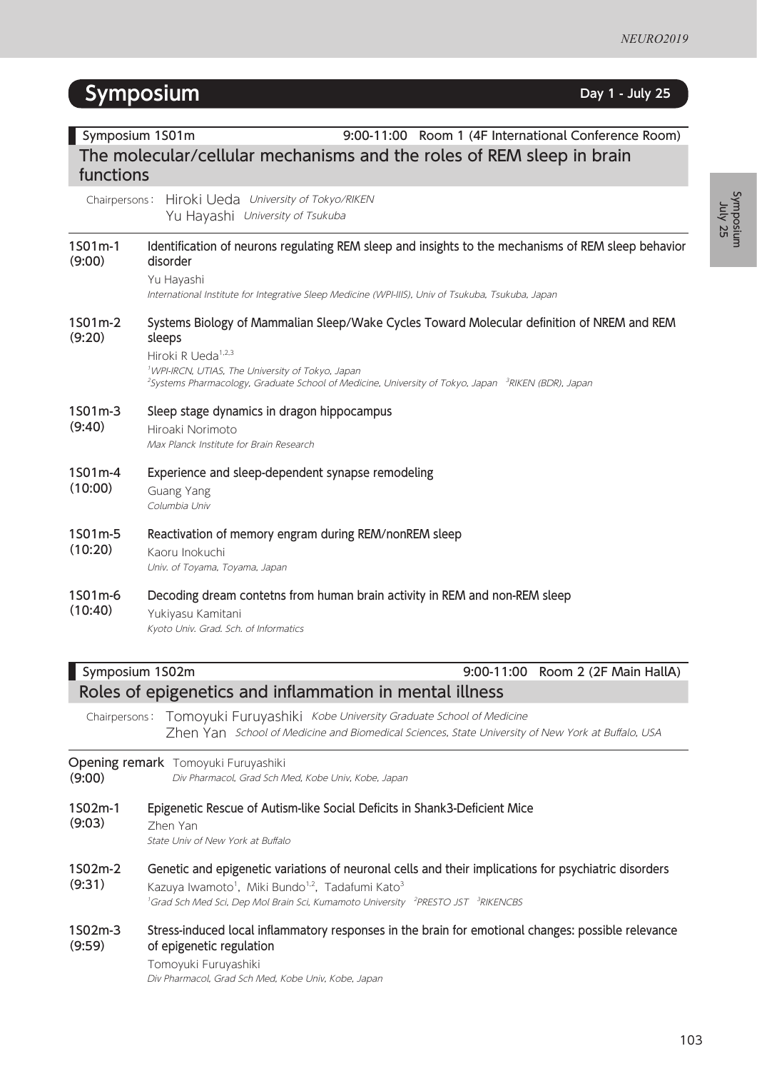Symposium Symposium<br>Tuly 25

# **Symposium Day** 1 **- July** 25

| Symposium 1S01m<br>9:00-11:00 Room 1 (4F International Conference Room) |                                                                                                                                                                                                                                                                                                                                      |  |
|-------------------------------------------------------------------------|--------------------------------------------------------------------------------------------------------------------------------------------------------------------------------------------------------------------------------------------------------------------------------------------------------------------------------------|--|
|                                                                         | The molecular/cellular mechanisms and the roles of REM sleep in brain                                                                                                                                                                                                                                                                |  |
| functions                                                               |                                                                                                                                                                                                                                                                                                                                      |  |
| Chairpersons:                                                           | Hiroki Ueda University of Tokyo/RIKEN<br>Yu Hayashi University of Tsukuba                                                                                                                                                                                                                                                            |  |
| 1S01m-1<br>(9:00)                                                       | Identification of neurons regulating REM sleep and insights to the mechanisms of REM sleep behavior<br>disorder                                                                                                                                                                                                                      |  |
|                                                                         | Yu Hayashi<br>International Institute for Integrative Sleep Medicine (WPI-IIIS), Univ of Tsukuba, Tsukuba, Japan                                                                                                                                                                                                                     |  |
| 1S01m-2<br>(9:20)                                                       | Systems Biology of Mammalian Sleep/Wake Cycles Toward Molecular definition of NREM and REM<br>sleeps<br>Hiroki R Ueda <sup>1,2,3</sup><br><sup>1</sup> WPI-IRCN, UTIAS, The University of Tokyo, Japan<br><sup>2</sup> Systems Pharmacology, Graduate School of Medicine, University of Tokyo, Japan <sup>3</sup> RIKEN (BDR), Japan |  |
| 1S01m-3<br>(9:40)                                                       | Sleep stage dynamics in dragon hippocampus<br>Hiroaki Norimoto<br>Max Planck Institute for Brain Research                                                                                                                                                                                                                            |  |
| 1S01m-4<br>(10:00)                                                      | Experience and sleep-dependent synapse remodeling<br>Guang Yang<br>Columbia Univ                                                                                                                                                                                                                                                     |  |
| 1S01m-5<br>(10:20)                                                      | Reactivation of memory engram during REM/nonREM sleep<br>Kaoru Inokuchi<br>Univ. of Toyama, Toyama, Japan                                                                                                                                                                                                                            |  |
| 1S01m-6<br>(10:40)                                                      | Decoding dream contetns from human brain activity in REM and non-REM sleep<br>Yukiyasu Kamitani<br>Kyoto Univ. Grad. Sch. of Informatics                                                                                                                                                                                             |  |
|                                                                         | Symposium 1S02m<br>9:00-11:00<br>Room 2 (2F Main HallA)                                                                                                                                                                                                                                                                              |  |
|                                                                         | Roles of epigenetics and inflammation in mental illness                                                                                                                                                                                                                                                                              |  |
| Chairpersons:                                                           | Tomoyuki Furuyashiki Kobe University Graduate School of Medicine<br>Zhen Yan School of Medicine and Biomedical Sciences, State University of New York at Buffalo, USA                                                                                                                                                                |  |
| (9:00)                                                                  | Opening remark Tomoyuki Furuyashiki<br>Div Pharmacol, Grad Sch Med, Kobe Univ, Kobe, Japan                                                                                                                                                                                                                                           |  |
| 1S02m-1<br>(9:03)                                                       | Epigenetic Rescue of Autism-like Social Deficits in Shank3-Deficient Mice<br>Zhen Yan<br>State Univ of New York at Buffalo                                                                                                                                                                                                           |  |
| 1S02m-2<br>(9:31)                                                       | Genetic and epigenetic variations of neuronal cells and their implications for psychiatric disorders<br>Kazuya Iwamoto <sup>1</sup> , Miki Bundo <sup>1,2</sup> , Tadafumi Kato <sup>3</sup>                                                                                                                                         |  |

<sup>1</sup>Grad Sch Med Sci, Dep Mol Brain Sci, Kumamoto University <sup>2</sup>PRESTO JST <sup>3</sup>RIKENCBS

#### 1S02m-3 (9:59) Stress-induced local inflammatory responses in the brain for emotional changes: possible relevance of epigenetic regulation

Tomoyuki Furuyashiki Div Pharmacol, Grad Sch Med, Kobe Univ, Kobe, Japan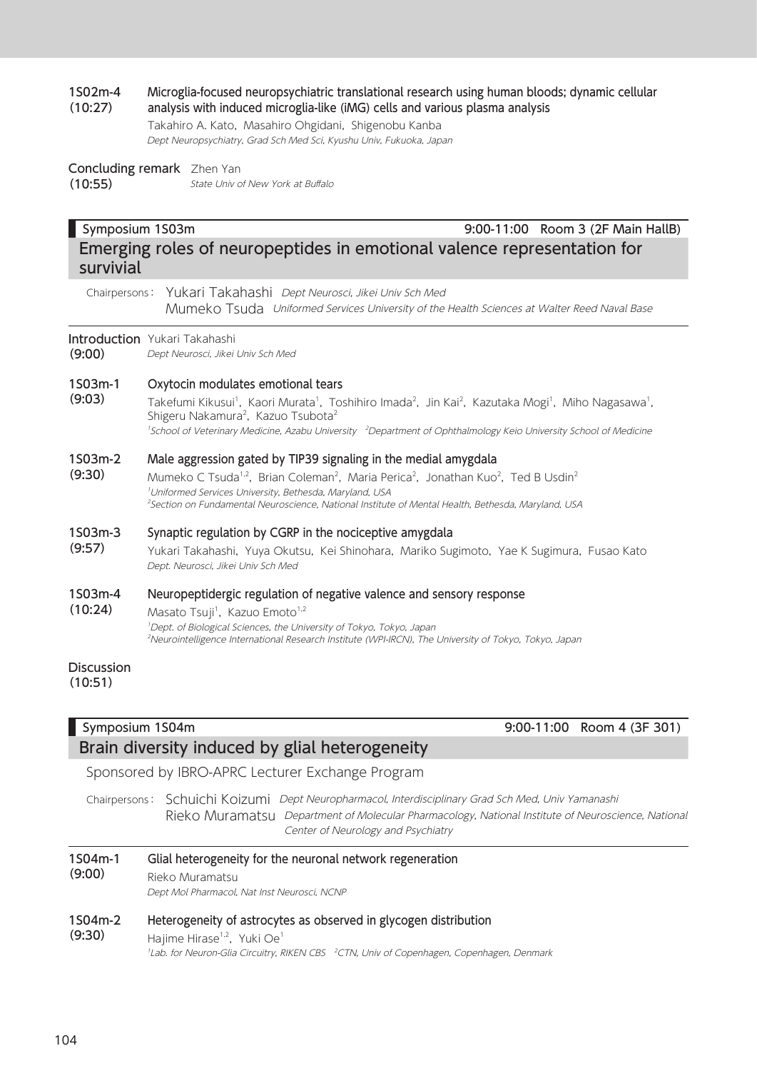#### 1S02m-4 (10:27) Microglia-focused neuropsychiatric translational research using human bloods; dynamic cellular analysis with induced microglia-like (iMG) cells and various plasma analysis

Takahiro A. Kato, Masahiro Ohgidani, Shigenobu Kanba Dept Neuropsychiatry, Grad Sch Med Sci, Kyushu Univ, Fukuoka, Japan

### Concluding remark Zhen Yan

(10:55) State Univ of New York at Buffalo

# Symposium 1S03m 9:00-11:00 Room 3 (2F Main HallB) Emerging roles of neuropeptides in emotional valence representation for

Chairpersons: Yukari Takahashi Dept Neurosci, Jikei Univ Sch Med Mumeko Tsuda Uniformed Services University of the Health Sciences at Walter Reed Naval Base

### Introduction Yukari Takahashi

survivial

(9:00) Dept Neurosci, Jikei Univ Sch Med

#### 1S03m-1 Oxytocin modulates emotional tears

(9:03) Takefumi Kikusui<sup>1</sup>, Kaori Murata<sup>1</sup>, Toshihiro Imada<sup>2</sup>, Jin Kai<sup>2</sup>, Kazutaka Mogi<sup>1</sup>, Miho Nagasawa<sup>1</sup>, Shigeru Nakamura<sup>2</sup>, Kazuo Tsubota<sup>2</sup> <sup>1</sup>School of Veterinary Medicine, Azabu University <sup>2</sup>Department of Ophthalmology Keio University School of Medicine

#### 1S03m-2 Male aggression gated by TIP39 signaling in the medial amygdala

(9:30) Mumeko C Tsuda<sup>1,2</sup>, Brian Coleman<sup>2</sup>, Maria Perica<sup>2</sup>, Jonathan Kuo<sup>2</sup>, Ted B Usdin<sup>2</sup> 1 Uniformed Services University, Bethesda, Maryland, USA 2 Section on Fundamental Neuroscience, National Institute of Mental Health, Bethesda, Maryland, USA

#### 1S03m-3 Synaptic regulation by CGRP in the nociceptive amygdala

(9:57) Yukari Takahashi, Yuya Okutsu, Kei Shinohara, Mariko Sugimoto, Yae K Sugimura, Fusao Kato Dept. Neurosci, Jikei Univ Sch Med

#### 1S03m-4 Neuropeptidergic regulation of negative valence and sensory response

(10:24) Masato Tsuji<sup>1</sup>, Kazuo Emoto<sup>1,2</sup> 1 Dept. of Biological Sciences, the University of Tokyo, Tokyo, Japan 2 Neurointelligence International Research Institute (WPI-IRCN), The University of Tokyo, Tokyo, Japan

### Discussion

(10:51)

### Symposium 1S04m 9:00-11:00 Room 4 (3F 301) Brain diversity induced by glial heterogeneity

Sponsored by IBRO-APRC Lecturer Exchange Program

Chairpersons: Schuichi Koizumi Dept Neuropharmacol, Interdisciplinary Grad Sch Med, Univ Yamanashi Rieko Muramatsu Department of Molecular Pharmacology, National Institute of Neuroscience, National Center of Neurology and Psychiatry

#### 1S04m-1 (9:00) Glial heterogeneity for the neuronal network regeneration Rieko Muramatsu Dept Mol Pharmacol, Nat Inst Neurosci, NCNP

#### 1S04m-2 Heterogeneity of astrocytes as observed in glycogen distribution

### (9:30) Hajime Hirase $1,2$ , Yuki Oe $1$ <sup>1</sup>Lab. for Neuron-Glia Circuitry, RIKEN CBS <sup>2</sup>CTN, Univ of Copenhagen, Copenhagen, Denmark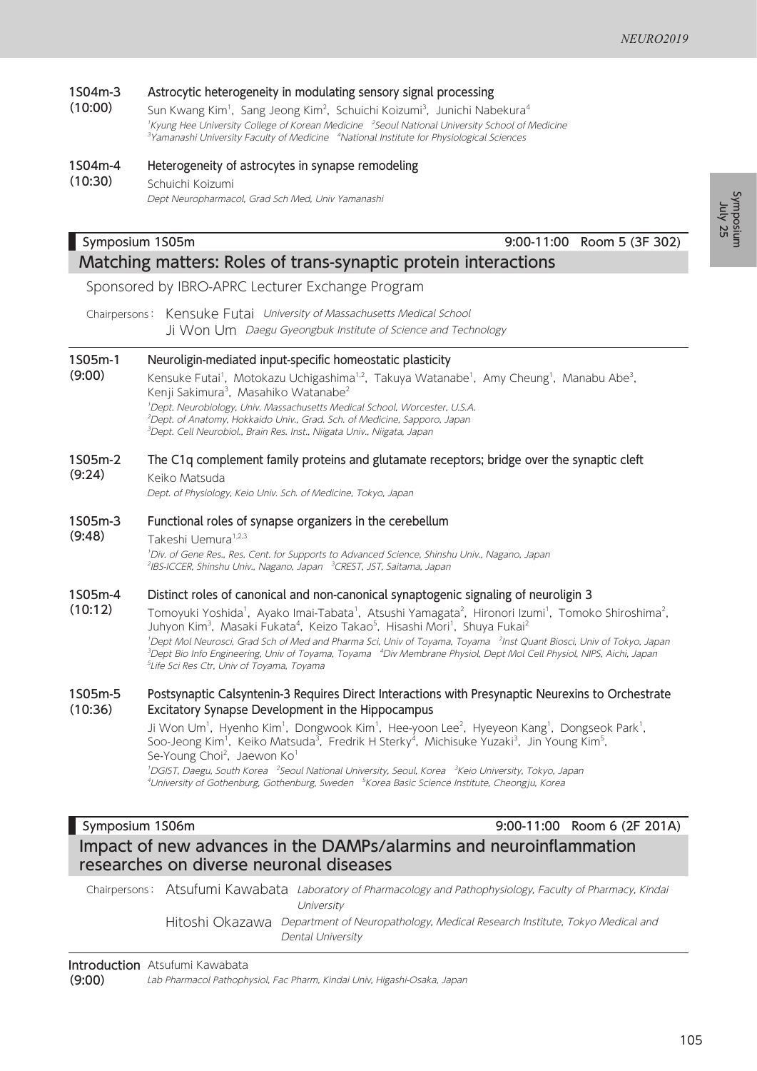1S04m-3 (10:00) Astrocytic heterogeneity in modulating sensory signal processing Sun Kwang Kim<sup>1</sup>, Sang Jeong Kim<sup>2</sup>, Schuichi Koizumi<sup>3</sup>, Junichi Nabekura<sup>4</sup>

<sup>1</sup>Kyung Hee University College of Korean Medicine <sup>2</sup>Seoul National University School of Medicine<sup>1</sup> <sup>3</sup>Yamanashi University Faculty of Medicine <sup>4</sup>National Institute for Physiological Sciences

1S04m-4 (10:30) Heterogeneity of astrocytes in synapse remodeling Schuichi Koizumi Dept Neuropharmacol, Grad Sch Med, Univ Yamanashi

### Symposium 1S05m 9:00-11:00 Room 5 (3F 302) Matching matters: Roles of trans-synaptic protein interactions

Sponsored by IBRO-APRC Lecturer Exchange Program

Chairpersons: Kensuke Futai University of Massachusetts Medical School Ji Won Um Daegu Gyeongbuk Institute of Science and Technology

#### 1S05m-1 Neuroligin-mediated input-specific homeostatic plasticity

(9:00) Kensuke Futai<sup>1</sup>, Motokazu Uchigashima<sup>1,2</sup>, Takuya Watanabe<sup>1</sup>, Amy Cheung<sup>1</sup>, Manabu Abe<sup>3</sup>, Kenji Sakimura<sup>3</sup>, Masahiko Watanabe<sup>2</sup> 1 Dept. Neurobiology, Univ. Massachusetts Medical School, Worcester, U.S.A. 2 Dept. of Anatomy, Hokkaido Univ., Grad. Sch. of Medicine, Sapporo, Japan <sup>3</sup>Dept. Cell Neurobiol., Brain Res. Inst., Niigata Univ., Niigata, Japan

#### 1S05m-2 The C1q complement family proteins and glutamate receptors; bridge over the synaptic cleft

(9:24) Keiko Matsuda

(9:48)

Dept. of Physiology, Keio Univ. Sch. of Medicine, Tokyo, Japan

#### 1S05m-3 Functional roles of synapse organizers in the cerebellum

Takeshi Uemura<sup>1,2,3</sup> 1 Div. of Gene Res., Res. Cent. for Supports to Advanced Science, Shinshu Univ., Nagano, Japan <sup>2</sup>IBS-ICCER, Shinshu Univ., Nagano, Japan <sup>3</sup>CREST, JST, Saitama, Japan

#### 1S05m-4 Distinct roles of canonical and non-canonical synaptogenic signaling of neuroligin 3

(10:12) Tomoyuki Yoshida<sup>1</sup>, Ayako Imai-Tabata<sup>1</sup>, Atsushi Yamagata<sup>2</sup>, Hironori Izumi<sup>1</sup>, Tomoko Shiroshima<sup>2</sup>, Juhyon Kim<sup>3</sup>, Masaki Fukata<sup>4</sup>, Keizo Takao<sup>5</sup>, Hisashi Mori<sup>1</sup>, Shuya Fukai<sup>2</sup> <sup>1</sup>Dept Mol Neurosci, Grad Sch of Med and Pharma Sci, Univ of Toyama, Toyama <sup>2</sup>Inst Quant Biosci, Univ of Tokyo, Japan <sup>3</sup>Dept Bio Info Engineering, Univ of Toyama, Toyama <sup>4</sup>Div Membrane Physiol, Dept Mol Cell Physiol, NIPS, Aichi, Japan 5 Life Sci Res Ctr, Univ of Toyama, Toyama

#### 1S05m-5 (10:36) Postsynaptic Calsyntenin-3 Requires Direct Interactions with Presynaptic Neurexins to Orchestrate Excitatory Synapse Development in the Hippocampus

Ji Won Um<sup>1</sup>, Hyenho Kim<sup>1</sup>, Dongwook Kim<sup>1</sup>, Hee-yoon Lee<sup>2</sup>, Hyeyeon Kang<sup>1</sup>, Dongseok Park<sup>1</sup>, Soo-Jeong Kim<sup>1</sup>, Keiko Matsuda<sup>3</sup>, Fredrik H Sterky<sup>4</sup>, Michisuke Yuzaki<sup>3</sup>, Jin Young Kim<sup>5</sup>, Se-Young Choi<sup>2</sup>, Jaewon Ko<sup>1</sup>

<sup>1</sup>DGIST, Daegu, South Korea <sup>2</sup>Seoul National University, Seoul, Korea <sup>3</sup>Keio University, Tokyo, Japan <sup>4</sup>University of Gothenburg, Gothenburg, Sweden <sup>5</sup>Korea Basic Science Institute, Cheongju, Korea

## Symposium 1S06m 9:00-11:00 Room 6 (2F 201A)

Impact of new advances in the DAMPs/alarmins and neuroinflammation researches on diverse neuronal diseases

Chairpersons: Atsufumi Kawabata Laboratory of Pharmacology and Pathophysiology, Faculty of Pharmacy, Kindai **University** 

> Hitoshi Okazawa Department of Neuropathology, Medical Research Institute, Tokyo Medical and Dental University

**Introduction** Atsufumi Kawabata

(9:00) Lab Pharmacol Pathophysiol, Fac Pharm, Kindai Univ, Higashi-Osaka, Japan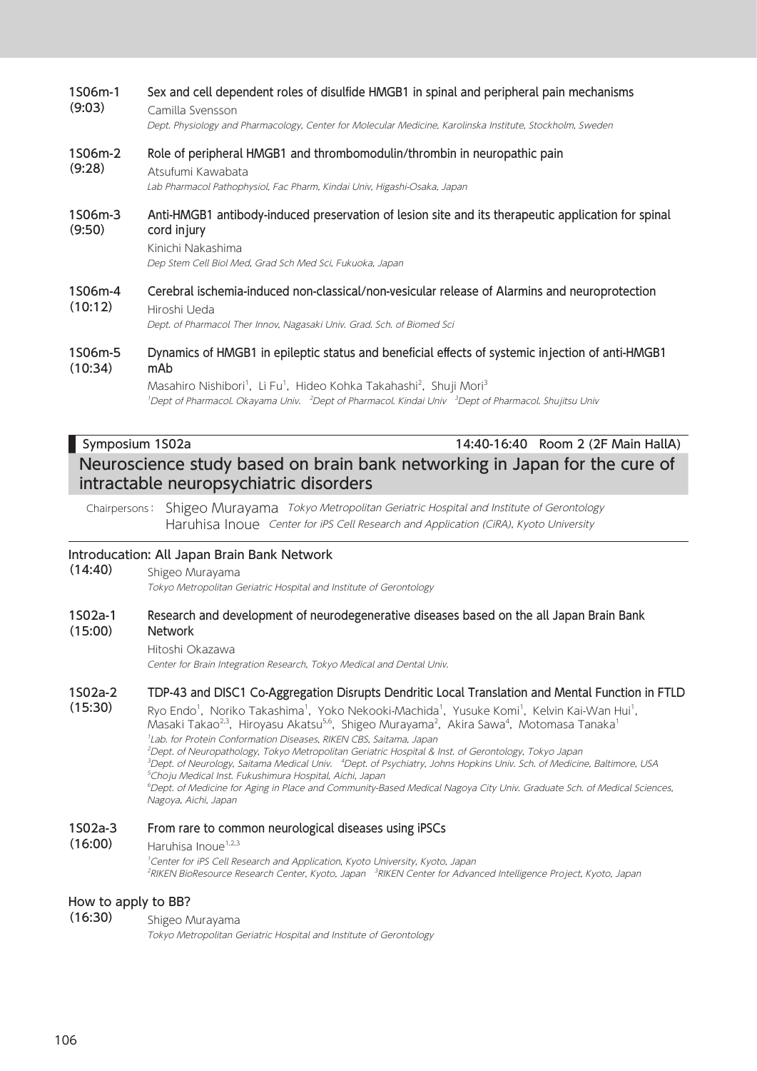### 1S06m-1 (9:03) Sex and cell dependent roles of disulfide HMGB1 in spinal and peripheral pain mechanisms Camilla Svensson Dept. Physiology and Pharmacology, Center for Molecular Medicine, Karolinska Institute, Stockholm, Sweden 1S06m-2 (9:28) Role of peripheral HMGB1 and thrombomodulin/thrombin in neuropathic pain Atsufumi Kawabata Lab Pharmacol Pathophysiol, Fac Pharm, Kindai Univ, Higashi-Osaka, Japan 1S06m-3 (9:50) Anti-HMGB1 antibody-induced preservation of lesion site and its therapeutic application for spinal cord injury Kinichi Nakashima Dep Stem Cell Biol Med, Grad Sch Med Sci, Fukuoka, Japan 1S06m-4 (10:12) Cerebral ischemia-induced non-classical/non-vesicular release of Alarmins and neuroprotection Hiroshi Ueda Dept. of Pharmacol Ther Innov, Nagasaki Univ. Grad. Sch. of Biomed Sci 1S06m-5 (10:34) Dynamics of HMGB1 in epileptic status and beneficial effects of systemic injection of anti-HMGB1 mAb Masahiro Nishibori<sup>1</sup>, Li Fu<sup>1</sup>, Hideo Kohka Takahashi<sup>2</sup>, Shuji Mori<sup>3</sup> <sup>1</sup>Dept of Pharmacol. Okayama Univ. <sup>2</sup>Dept of Pharmacol. Kindai Univ <sup>3</sup>Dept of Pharmacol. Shujitsu Univ

## Symposium 1S02a 14:40-16:40 Room 2 (2F Main HallA) Neuroscience study based on brain bank networking in Japan for the cure of intractable neuropsychiatric disorders

Chairpersons: Shigeo Murayama Tokyo Metropolitan Geriatric Hospital and Institute of Gerontology Haruhisa Inoue Center for iPS Cell Research and Application (CiRA), Kyoto University

### Introducation: All Japan Brain Bank Network

(14:40) Shigeo Murayama

Tokyo Metropolitan Geriatric Hospital and Institute of Gerontology

#### 1S02a-1 (15:00) Research and development of neurodegenerative diseases based on the all Japan Brain Bank **Network**

### Hitoshi Okazawa

Center for Brain Integration Research, Tokyo Medical and Dental Univ.

#### 1S02a-2 TDP-43 and DISC1 Co-Aggregation Disrupts Dendritic Local Translation and Mental Function in FTLD

(15:30) Ryo Endo<sup>1</sup>, Noriko Takashima<sup>1</sup>, Yoko Nekooki-Machida<sup>1</sup>, Yusuke Komi<sup>1</sup>, Kelvin Kai-Wan Hui<sup>1</sup>, Masaki Takao<sup>2.3</sup>, Hiroyasu Akatsu<sup>5.6</sup>, Shigeo Murayama<sup>2</sup>, Akira Sawa<sup>4</sup>, Motomasa Tanaka<sup>1</sup> 1 Lab. for Protein Conformation Diseases, RIKEN CBS, Saitama, Japan 2 Dept. of Neuropathology, Tokyo Metropolitan Geriatric Hospital & Inst. of Gerontology, Tokyo Japan <sup>3</sup>Dept. of Neurology, Saitama Medical Univ. "Dept. of Psychiatry, Johns Hopkins Univ. Sch. of Medicine, Baltimore, USA 5 Choju Medical Inst. Fukushimura Hospital, Aichi, Japan 6 Dept. of Medicine for Aging in Place and Community-Based Medical Nagoya City Univ. Graduate Sch. of Medical Sciences, Nagoya, Aichi, Japan

#### 1S02a-3 From rare to common neurological diseases using iPSCs

#### (16:00) Haruhisa Inoue<sup>1,2,3</sup>

<sup>1</sup>Center for iPS Cell Research and Application, Kyoto University, Kyoto, Japan <sup>2</sup>RIKEN BioResource Research Center, Kyoto, Japan <sup>3</sup>RIKEN Center for Advanced Intelligence Project, Kyoto, Japan

### How to apply to BB?

(16:30) Shigeo Murayama

Tokyo Metropolitan Geriatric Hospital and Institute of Gerontology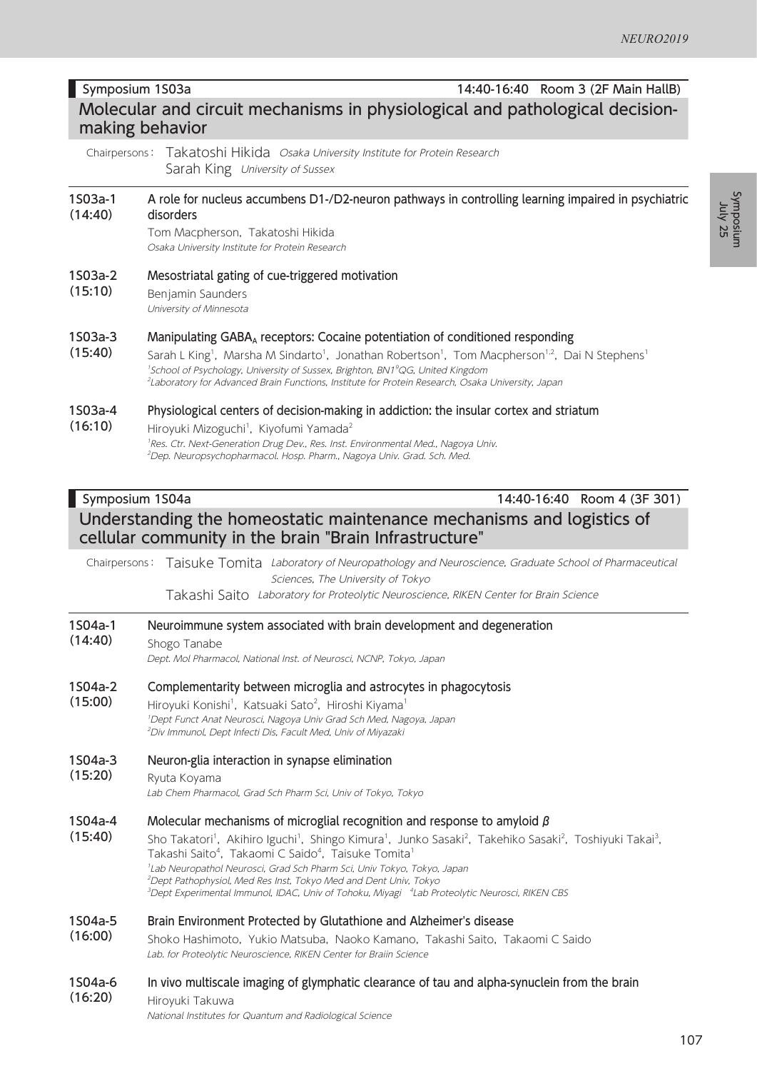### Tom Macpherson, Takatoshi Hikida Osaka University Institute for Protein Research

Chairpersons: Takatoshi Hikida Osaka University Institute for Protein Research

Symposium 1S03a 14:40-16:40 Room 3 (2F Main HallB) Molecular and circuit mechanisms in physiological and pathological decision-

A role for nucleus accumbens D1-/D2-neuron pathways in controlling learning impaired in psychiatric

#### 1S03a-2 Mesostriatal gating of cue-triggered motivation

Sarah King University of Sussex

(15:10) Benjamin Saunders

disorders

making behavior

1S03a-1 (14:40)

(16:10)

(15:20)

University of Minnesota

- 1S03a-3 Manipulating GABA<sub>A</sub> receptors: Cocaine potentiation of conditioned responding
- (15:40) Sarah L King<sup>1</sup>, Marsha M Sindarto<sup>1</sup>, Jonathan Robertson<sup>1</sup>, Tom Macpherson<sup>1,2</sup>, Dai N Stephens<sup>1</sup> <sup>1</sup>School of Psychology, University of Sussex, Brighton, BN1<sup>9</sup>QG, United Kingdom 2 Laboratory for Advanced Brain Functions, Institute for Protein Research, Osaka University, Japan

#### 1S03a-4 Physiological centers of decision-making in addiction: the insular cortex and striatum

Hiroyuki Mizoguchi<sup>1</sup>, Kiyofumi Yamada<sup>2</sup> <sup>1</sup>Res. Ctr. Next-Generation Drug Dev., Res. Inst. Environmental Med., Nagoya Univ. 2 Dep. Neuropsychopharmacol. Hosp. Pharm., Nagoya Univ. Grad. Sch. Med.

### Symposium 1S04a 14:40-16:40 Room 4 (3F 301) Understanding the homeostatic maintenance mechanisms and logistics of cellular community in the brain "Brain Infrastructure"

Chairpersons: Taisuke Tomita Laboratory of Neuropathology and Neuroscience, Graduate School of Pharmaceutical Sciences, The University of Tokyo

Takashi Saito Laboratory for Proteolytic Neuroscience, RIKEN Center for Brain Science

1S04a-1 (14:40) Neuroimmune system associated with brain development and degeneration

Shogo Tanabe

Dept. Mol Pharmacol, National Inst. of Neurosci, NCNP, Tokyo, Japan

#### 1S04a-2 Complementarity between microglia and astrocytes in phagocytosis

(15:00) Hiroyuki Konishi<sup>1</sup>, Katsuaki Sato<sup>2</sup>, Hiroshi Kiyama<sup>1</sup> 1 Dept Funct Anat Neurosci, Nagoya Univ Grad Sch Med, Nagoya, Japan 2 Div Immunol, Dept Infecti Dis, Facult Med, Univ of Miyazaki

#### 1S04a-3 Neuron-glia interaction in synapse elimination

Ryuta Koyama

Lab Chem Pharmacol, Grad Sch Pharm Sci, Univ of Tokyo, Tokyo

#### 1S04a-4 Molecular mechanisms of microglial recognition and response to amyloid β

(15:40) Sho Takatori<sup>1</sup>, Akihiro Iguchi<sup>1</sup>, Shingo Kimura<sup>1</sup>, Junko Sasaki<sup>2</sup>, Takehiko Sasaki<sup>2</sup>, Toshiyuki Takai<sup>3</sup>, Takashi Saito<sup>4</sup>, Takaomi C Saido<sup>4</sup>, Taisuke Tomita<sup>1</sup> 1 Lab Neuropathol Neurosci, Grad Sch Pharm Sci, Univ Tokyo, Tokyo, Japan 2 Dept Pathophysiol, Med Res Inst, Tokyo Med and Dent Univ, Tokyo <sup>3</sup>Dept Experimental Immunol, IDAC, Univ of Tohoku, Miyagi <sup>4</sup>Lab Proteolytic Neurosci, RIKEN CBS

#### 1S04a-5 Brain Environment Protected by Glutathione and Alzheimer's disease

(16:00) Shoko Hashimoto, Yukio Matsuba, Naoko Kamano, Takashi Saito, Takaomi C Saido Lab. for Proteolytic Neuroscience, RIKEN Center for Braiin Science

#### 1S04a-6 (16:20) In vivo multiscale imaging of glymphatic clearance of tau and alpha-synuclein from the brain

Hiroyuki Takuwa National Institutes for Quantum and Radiological Science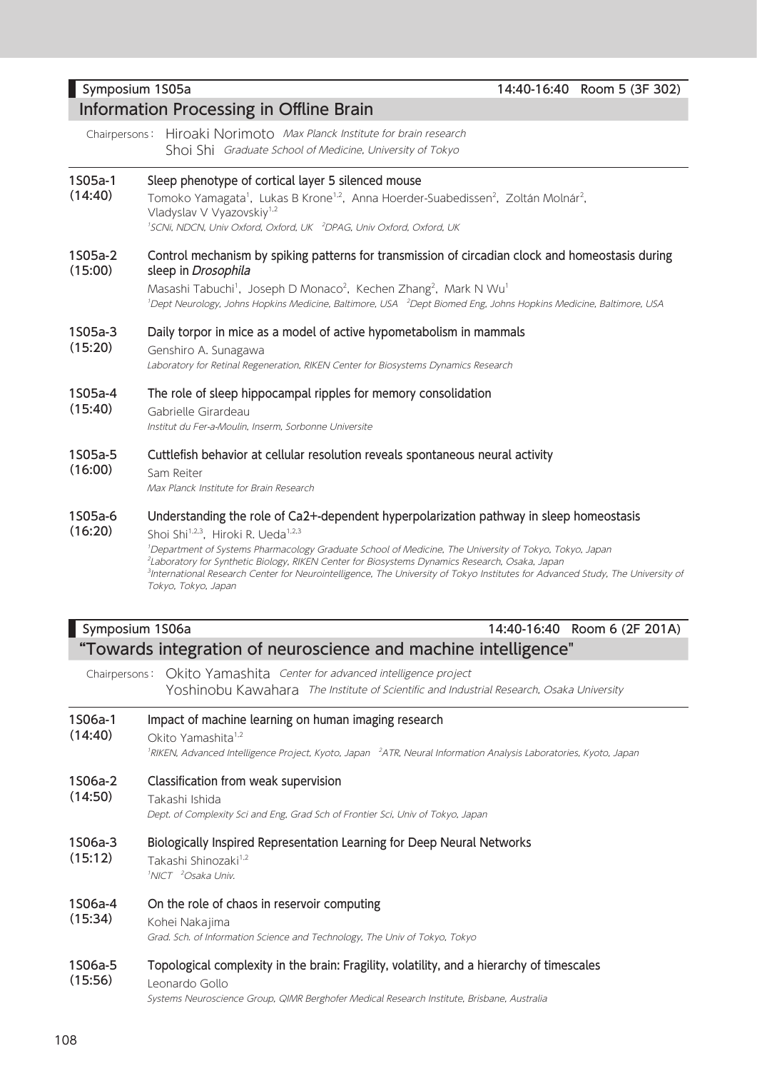# Symposium 1S05a 14:40-16:40 Room 5 (3F 302)

Chairpersons: Hiroaki Norimoto Max Planck Institute for brain research

Shoi Shi Graduate School of Medicine, University of Tokyo

#### 1S05a-1 Sleep phenotype of cortical layer 5 silenced mouse

Information Processing in Offline Brain

 $(14:40)$ Tomoko Yamagata<sup>1</sup>, Lukas B Krone<sup>1,2</sup>, Anna Hoerder-Suabedissen<sup>2</sup>, Zoltán Molnár<sup>2</sup>, Vladyslav V Vyazovskiy<sup>1,2</sup> <sup>1</sup>SCNi, NDCN, Univ Oxford, Oxford, UK <sup>2</sup>DPAG, Univ Oxford, Oxford, UK

#### 1S05a-2 (15:00) Control mechanism by spiking patterns for transmission of circadian clock and homeostasis during sleep in Drosophila

Masashi Tabuchi<sup>1</sup>, Joseph D Monaco<sup>2</sup>, Kechen Zhang<sup>2</sup>, Mark N Wu<sup>1</sup> <sup>1</sup>Dept Neurology, Johns Hopkins Medicine, Baltimore, USA <sup>2</sup>Dept Biomed Eng, Johns Hopkins Medicine, Baltimore, USA

#### 1S05a-3 Daily torpor in mice as a model of active hypometabolism in mammals

(15:20) Genshiro A. Sunagawa

Laboratory for Retinal Regeneration, RIKEN Center for Biosystems Dynamics Research

#### 1S05a-4 The role of sleep hippocampal ripples for memory consolidation

(15:40) Gabrielle Girardeau

Institut du Fer-a-Moulin, Inserm, Sorbonne Universite

#### 1S05a-5 Cuttlefish behavior at cellular resolution reveals spontaneous neural activity

(16:00) Sam Reiter

Max Planck Institute for Brain Research

#### 1S05a-6 Understanding the role of Ca2+-dependent hyperpolarization pathway in sleep homeostasis

(16:20) Shoi Shi<sup>1,2,3</sup>, Hiroki R. Ueda<sup>1,2,3</sup> 1 Department of Systems Pharmacology Graduate School of Medicine, The University of Tokyo, Tokyo, Japan 2 Laboratory for Synthetic Biology, RIKEN Center for Biosystems Dynamics Research, Osaka, Japan 3 International Research Center for Neurointelligence, The University of Tokyo Institutes for Advanced Study, The University of Tokyo, Tokyo, Japan

### Symposium 1S06a 14:40-16:40 Room 6 (2F 201A) "Towards integration of neuroscience and machine intelligence"

Chairpersons: Okito Yamashita Center for advanced intelligence project Yoshinobu Kawahara The Institute of Scientific and Industrial Research, Osaka University

#### 1S06a-1 Impact of machine learning on human imaging research

(14:40) Okito Yamashita<sup>1,2</sup>

<sup>1</sup>RIKEN, Advanced Intelligence Project, Kyoto, Japan <sup>2</sup>ATR, Neural Information Analysis Laboratories, Kyoto, Japan

- 1S06a-2 Classification from weak supervision
- (14:50) Takashi Ishida

Dept. of Complexity Sci and Eng, Grad Sch of Frontier Sci, Univ of Tokyo, Japan

#### 1S06a-3 Biologically Inspired Representation Learning for Deep Neural Networks

- (15:12) Takashi Shinozaki<sup>1,2</sup>
	- <sup>1</sup>NICT <sup>2</sup>Osaka Univ.

#### 1S06a-4 On the role of chaos in reservoir computing

#### (15:34) Kohei Nakajima

Grad. Sch. of Information Science and Technology, The Univ of Tokyo, Tokyo

#### 1S06a-5 (15:56) Topological complexity in the brain: Fragility, volatility, and a hierarchy of timescales Leonardo Gollo Systems Neuroscience Group, QIMR Berghofer Medical Research Institute, Brisbane, Australia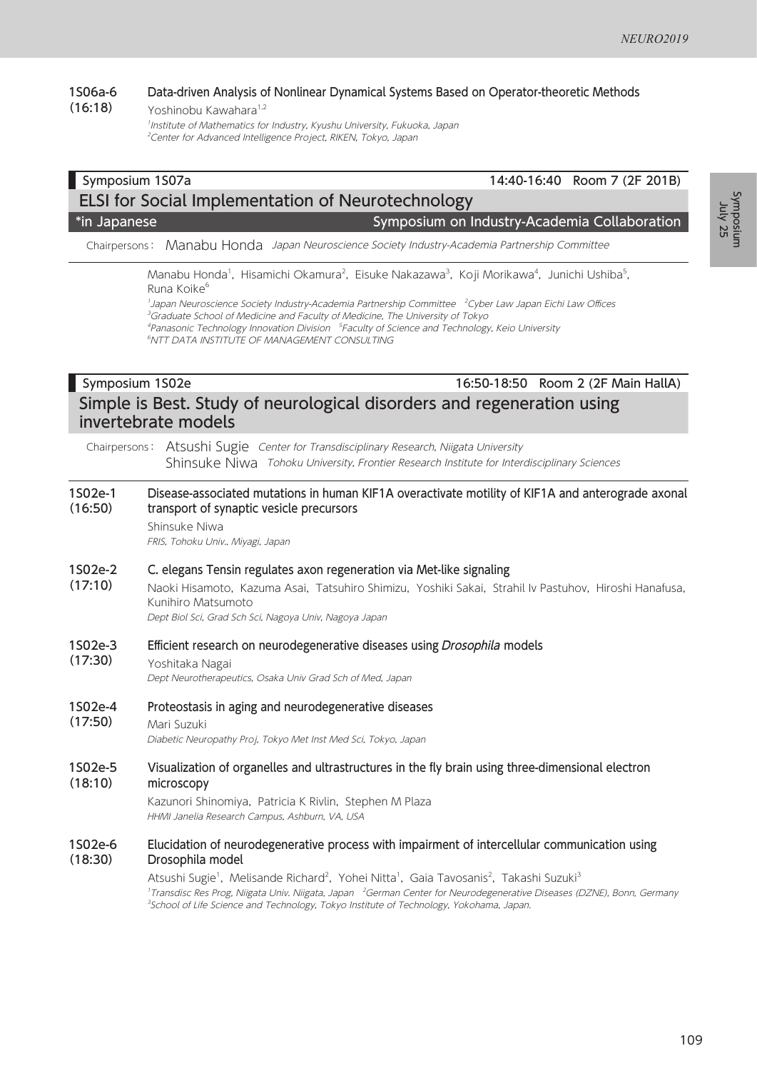#### 1S06a-6 (16:18) Data-driven Analysis of Nonlinear Dynamical Systems Based on Operator-theoretic Methods Yoshinobu Kawahara<sup>1,2</sup>

1 Institute of Mathematics for Industry, Kyushu University, Fukuoka, Japan <sup>2</sup>Center for Advanced Intelligence Project, RIKEN, Tokyo, Japan

### Symposium 1S07a 14:40-16:40 Room 7 (2F 201B) ELSI for Social Implementation of Neurotechnology \*in Japanese Symposium on Industry-Academia Collaboration

Chairpersons: Manabu Honda Japan Neuroscience Society Industry-Academia Partnership Committee

Manabu Honda<sup>1</sup>, Hisamichi Okamura<sup>2</sup>, Eisuke Nakazawa<sup>3</sup>, Koji Morikawa<sup>4</sup>, Junichi Ushiba<sup>5</sup>, Runa Koike<sup>6</sup>

1 Japan Neuroscience Society Industry-Academia Partnership Committee <sup>2</sup> Cyber Law Japan Eichi Law Offices

3 Graduate School of Medicine and Faculty of Medicine, The University of Tokyo

<sup>4</sup>Panasonic Technology Innovation Division <sup>5</sup>Faculty of Science and Technology, Keio University

6 NTT DATA INSTITUTE OF MANAGEMENT CONSULTING

### Symposium 1S02e 16:50-18:50 Room 2 (2F Main HallA) Simple is Best. Study of neurological disorders and regeneration using invertebrate models

Chairpersons: Atsushi Sugie Center for Transdisciplinary Research, Niigata University Shinsuke Niwa Tohoku University, Frontier Research Institute for Interdisciplinary Sciences

#### 1S02e-1 (16:50) Disease-associated mutations in human KIF1A overactivate motility of KIF1A and anterograde axonal transport of synaptic vesicle precursors

Shinsuke Niwa

FRIS, Tohoku Univ., Miyagi, Japan

#### 1S02e-2 C. elegans Tensin regulates axon regeneration via Met-like signaling

(17:10) Naoki Hisamoto, Kazuma Asai, Tatsuhiro Shimizu, Yoshiki Sakai, Strahil Iv Pastuhov, Hiroshi Hanafusa, Kunihiro Matsumoto

Dept Biol Sci, Grad Sch Sci, Nagoya Univ, Nagoya Japan

#### 1S02e-3 Efficient research on neurodegenerative diseases using *Drosophila* models

#### (17:30) Yoshitaka Nagai

Dept Neurotherapeutics, Osaka Univ Grad Sch of Med, Japan

#### 1S02e-4 Proteostasis in aging and neurodegenerative diseases

(17:50) Mari Suzuki

Diabetic Neuropathy Proj, Tokyo Met Inst Med Sci, Tokyo, Japan

#### 1S02e-5 (18:10) Visualization of organelles and ultrastructures in the fly brain using three-dimensional electron microscopy

Kazunori Shinomiya, Patricia K Rivlin, Stephen M Plaza HHMI Janelia Research Campus, Ashburn, VA, USA

#### 1S02e-6 (18:30) Elucidation of neurodegenerative process with impairment of intercellular communication using Drosophila model

Atsushi Sugie<sup>1</sup>, Melisande Richard<sup>2</sup>, Yohei Nitta<sup>1</sup>, Gaia Tavosanis<sup>2</sup>, Takashi Suzuki<sup>3</sup> <sup>1</sup>Transdisc Res Prog, Niigata Univ. Niigata, Japan <sup>2</sup>German Center for Neurodegenerative Diseases (DZNE), Bonn, Germany <sup>3</sup>School of Life Science and Technology, Tokyo Institute of Technology, Yokohama, Japan.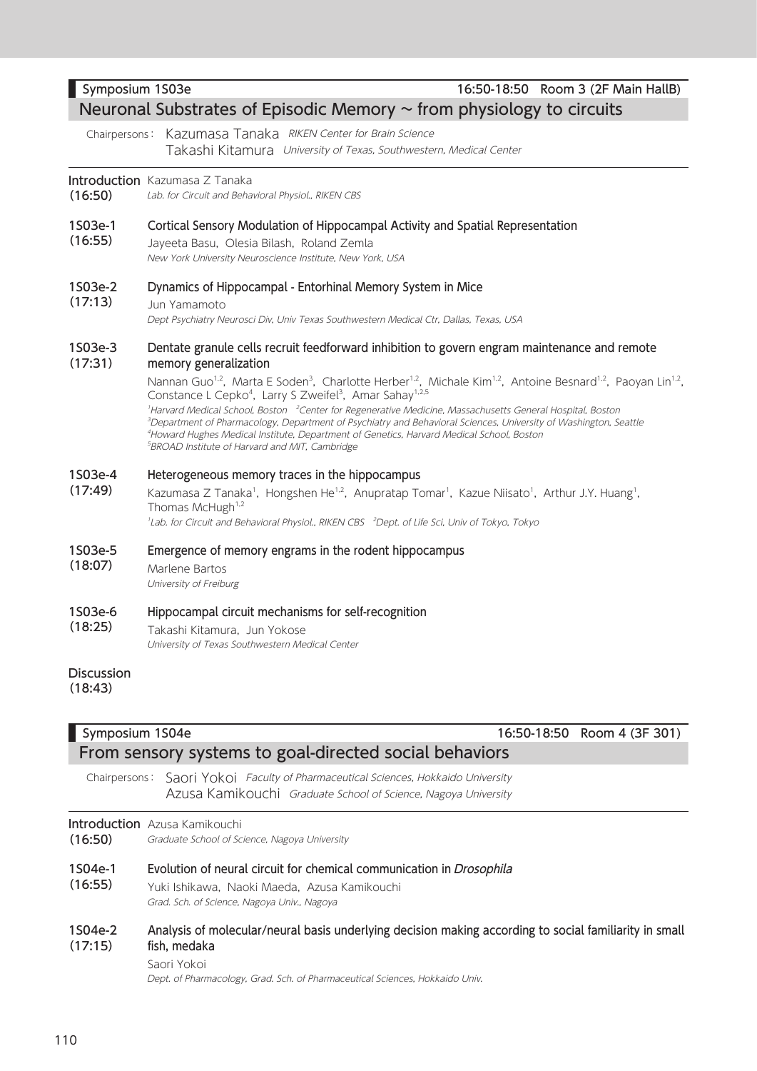|                    | Chairpersons: Kazumasa Tanaka RIKEN Center for Brain Science<br>Takashi Kitamura University of Texas, Southwestern, Medical Center                                                                                                                                                                                                                                                                                                                                                                                                                                                                                                                                                                                                                                                                                                                      |
|--------------------|---------------------------------------------------------------------------------------------------------------------------------------------------------------------------------------------------------------------------------------------------------------------------------------------------------------------------------------------------------------------------------------------------------------------------------------------------------------------------------------------------------------------------------------------------------------------------------------------------------------------------------------------------------------------------------------------------------------------------------------------------------------------------------------------------------------------------------------------------------|
| (16:50)            | <b>Introduction</b> Kazumasa Z Tanaka<br>Lab. for Circuit and Behavioral Physiol., RIKEN CBS                                                                                                                                                                                                                                                                                                                                                                                                                                                                                                                                                                                                                                                                                                                                                            |
| 1S03e-1<br>(16:55) | Cortical Sensory Modulation of Hippocampal Activity and Spatial Representation<br>Jayeeta Basu, Olesia Bilash, Roland Zemla<br>New York University Neuroscience Institute, New York, USA                                                                                                                                                                                                                                                                                                                                                                                                                                                                                                                                                                                                                                                                |
| 1S03e-2<br>(17:13) | Dynamics of Hippocampal - Entorhinal Memory System in Mice<br>Jun Yamamoto<br>Dept Psychiatry Neurosci Div, Univ Texas Southwestern Medical Ctr, Dallas, Texas, USA                                                                                                                                                                                                                                                                                                                                                                                                                                                                                                                                                                                                                                                                                     |
| 1S03e-3<br>(17:31) | Dentate granule cells recruit feedforward inhibition to govern engram maintenance and remote<br>memory generalization<br>Nannan Guo <sup>1,2</sup> , Marta E Soden <sup>3</sup> , Charlotte Herber <sup>1,2</sup> , Michale Kim <sup>1,2</sup> , Antoine Besnard <sup>1,2</sup> , Paoyan Lin <sup>1,2</sup> ,<br>Constance L Cepko <sup>4</sup> , Larry S Zweifel <sup>3</sup> , Amar Sahay <sup>1,2,5</sup><br><sup>1</sup> Harvard Medical School, Boston <sup>2</sup> Center for Regenerative Medicine, Massachusetts General Hospital, Boston<br><sup>3</sup> Department of Pharmacology, Department of Psychiatry and Behavioral Sciences, University of Washington, Seattle<br><sup>4</sup> Howard Hughes Medical Institute, Department of Genetics, Harvard Medical School, Boston<br><sup>5</sup> BROAD Institute of Harvard and MIT, Cambridge |
| 1S03e-4<br>(17:49) | Heterogeneous memory traces in the hippocampus<br>Kazumasa Z Tanaka <sup>1</sup> , Hongshen He <sup>1,2</sup> , Anupratap Tomar <sup>1</sup> , Kazue Niisato <sup>1</sup> , Arthur J.Y. Huang <sup>1</sup> ,<br>Thomas McHugh <sup>1,2</sup><br><sup>1</sup> Lab. for Circuit and Behavioral Physiol., RIKEN CBS <sup>2</sup> Dept. of Life Sci, Univ of Tokyo, Tokyo                                                                                                                                                                                                                                                                                                                                                                                                                                                                                   |
| 1S03e-5<br>(18:07) | Emergence of memory engrams in the rodent hippocampus<br>Marlene Bartos<br>University of Freiburg                                                                                                                                                                                                                                                                                                                                                                                                                                                                                                                                                                                                                                                                                                                                                       |

1S03e-6 Hippocampal circuit mechanisms for self-recognition

(18:25) Takashi Kitamura, Jun Yokose University of Texas Southwestern Medical Center

### Discussion

(18:43)

### **Symposium 1S04e** 16:50-18:50 Room 4 (3F 301) From sensory systems to goal-directed social behaviors

Chairpersons: Saori Yokoi Faculty of Pharmaceutical Sciences, Hokkaido University Azusa Kamikouchi Graduate School of Science, Nagoya University

### Introduction Azusa Kamikouchi

(16:50) Graduate School of Science, Nagoya University

#### 1S04e-1 Evolution of neural circuit for chemical communication in Drosophila

(16:55) Yuki Ishikawa, Naoki Maeda, Azusa Kamikouchi Grad. Sch. of Science, Nagoya Univ., Nagoya

#### 1S04e-2 (17:15) Analysis of molecular/neural basis underlying decision making according to social familiarity in small fish, medaka

### Saori Yokoi

Dept. of Pharmacology, Grad. Sch. of Pharmaceutical Sciences, Hokkaido Univ.

# Symposium 1S03e 16:50-18:50 Room 3 (2F Main HallB)

## Neuronal Substrates of Episodic Memory  $\sim$  from physiology to circuits

### Introduction

### $\mathbf{1}$  $($

### $\mathbf{1}$

1S03e-3  $($ 

 $\overline{1}$ 

### $\overline{1}$  $($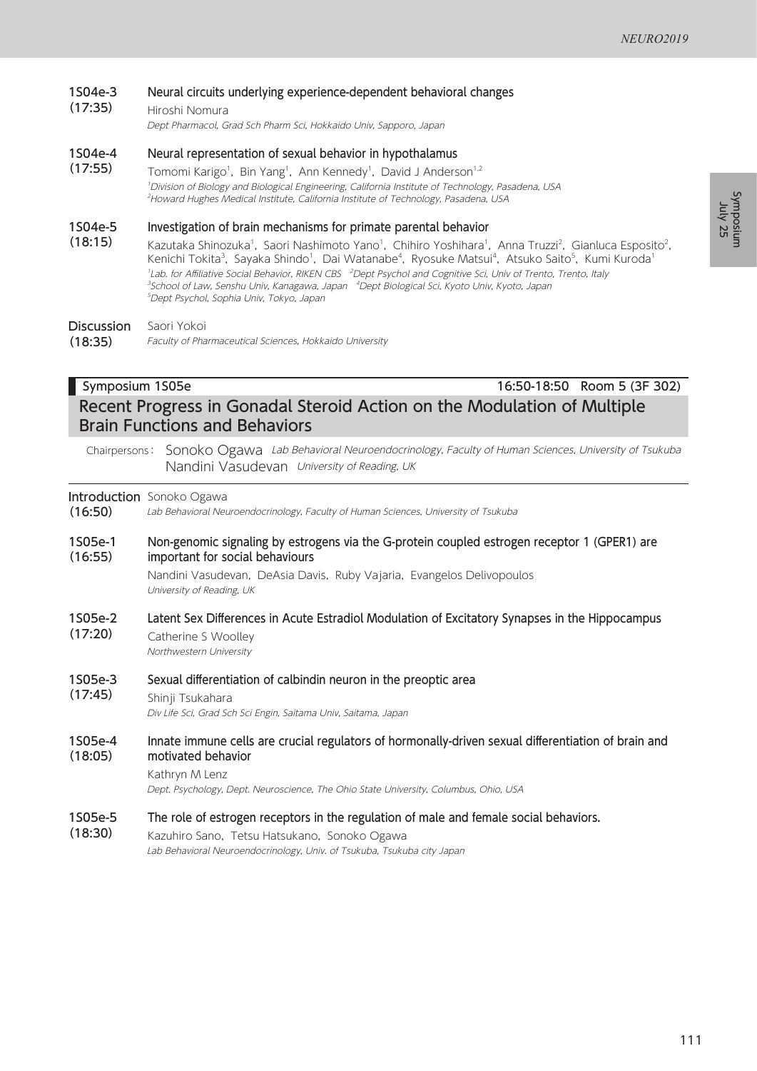#### 1S04e-3 Neural circuits underlying experience-dependent behavioral changes

#### (17:35) Hiroshi Nomura

Dept Pharmacol, Grad Sch Pharm Sci, Hokkaido Univ, Sapporo, Japan

#### 1S04e-4 Neural representation of sexual behavior in hypothalamus

(17:55) Tomomi Karigo<sup>1</sup>, Bin Yang<sup>1</sup>, Ann Kennedy<sup>1</sup>, David J Anderson<sup>1,2</sup> 1 Division of Biology and Biological Engineering, California Institute of Technology, Pasadena, USA <sup>2</sup>Howard Hughes Medical Institute, California Institute of Technology, Pasadena, USA

#### 1S04e-5 Investigation of brain mechanisms for primate parental behavior

(18:15) Kazutaka Shinozuka<sup>1</sup>, Saori Nashimoto Yano<sup>1</sup>, Chihiro Yoshihara<sup>1</sup>, Anna Truzzi<sup>2</sup>, Gianluca Esposito<sup>2</sup>, Kenichi Tokita<sup>3</sup>, Sayaka Shindo<sup>1</sup>, Dai Watanabe<sup>4</sup>, Ryosuke Matsui<sup>4</sup>, Atsuko Saito<sup>5</sup>, Kumi Kuroda<sup>1</sup> <sup>1</sup>Lab. for Affiliative Social Behavior, RIKEN CBS <sup>2</sup>Dept Psychol and Cognitive Sci, Univ of Trento, Trento, Italy <sup>3</sup>School of Law, Senshu Univ, Kanagawa, Japan <sup>4</sup>Dept Biological Sci, Kyoto Univ, Kyoto, Japan 5 Dept Psychol, Sophia Univ, Tokyo, Japan

**Discussion** Saori Yokoi

(18:35) Faculty of Pharmaceutical Sciences, Hokkaido University

## Symposium 1S05e 16:50-18:50 Room 5 (3F 302) Recent Progress in Gonadal Steroid Action on the Modulation of Multiple Brain Functions and Behaviors

Chairpersons: Sonoko Ogawa Lab Behavioral Neuroendocrinology, Faculty of Human Sciences, University of Tsukuba Nandini Vasudevan University of Reading, UK

**Introduction** Sonoko Ogawa

(16:50) Lab Behavioral Neuroendocrinology, Faculty of Human Sciences, University of Tsukuba

1S05e-1 (16:55) Non-genomic signaling by estrogens via the G-protein coupled estrogen receptor 1 (GPER1) are important for social behaviours

> Nandini Vasudevan, DeAsia Davis, Ruby Vajaria, Evangelos Delivopoulos University of Reading, UK

1S05e-2 (17:20) Latent Sex Differences in Acute Estradiol Modulation of Excitatory Synapses in the Hippocampus Catherine S Woolley

Northwestern University

- 1S05e-3 Sexual differentiation of calbindin neuron in the preoptic area
- (17:45) Shinji Tsukahara Div Life Sci, Grad Sch Sci Engin, Saitama Univ, Saitama, Japan
- 1S05e-4 (18:05) Innate immune cells are crucial regulators of hormonally-driven sexual differentiation of brain and motivated behavior

Dept. Psychology, Dept. Neuroscience, The Ohio State University, Columbus, Ohio, USA

- 1S05e-5 The role of estrogen receptors in the regulation of male and female social behaviors.
- (18:30) Kazuhiro Sano, Tetsu Hatsukano, Sonoko Ogawa Lab Behavioral Neuroendocrinology, Univ. of Tsukuba, Tsukuba city Japan

Kathryn M Lenz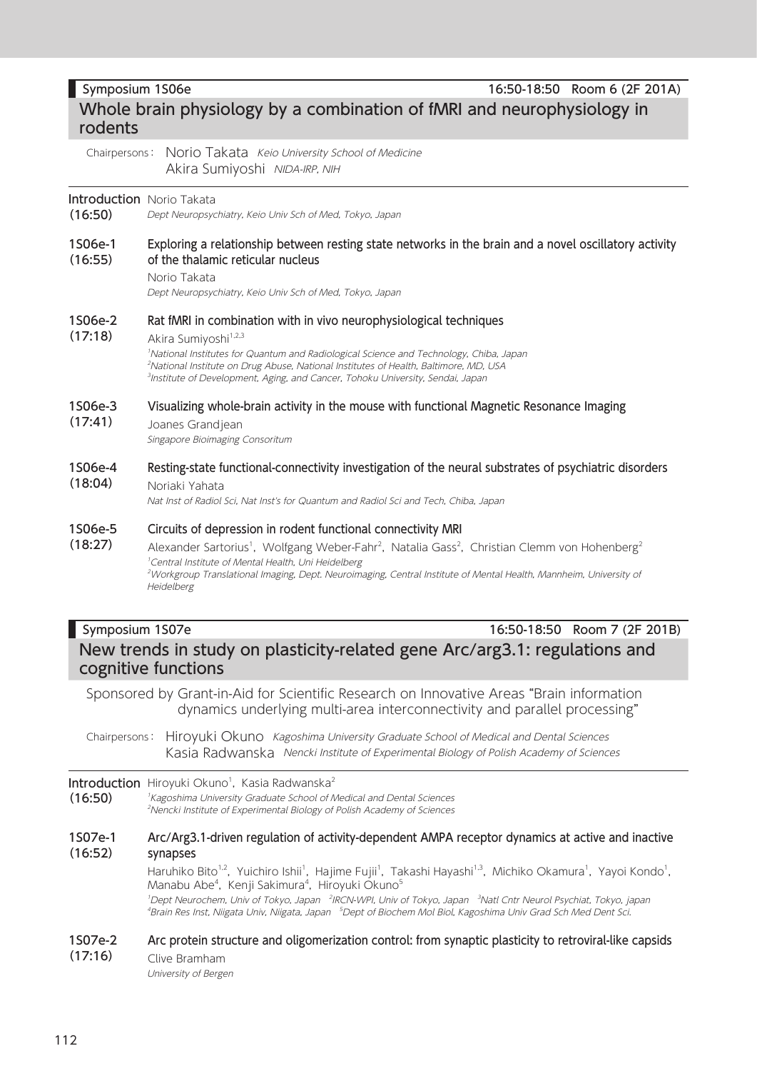Symposium 1S06e 16:50-18:50 Room 6 (2F 201A) Whole brain physiology by a combination of fMRI and neurophysiology in rodents Chairpersons: Norio Takata Keio University School of Medicine Akira Sumiyoshi NIDA-IRP, NIH

### **Introduction** Norio Takata

(16:50) Dept Neuropsychiatry, Keio Univ Sch of Med, Tokyo, Japan

1S06e-1 (16:55) Exploring a relationship between resting state networks in the brain and a novel oscillatory activity of the thalamic reticular nucleus

Norio Takata

Dept Neuropsychiatry, Keio Univ Sch of Med, Tokyo, Japan

#### 1S06e-2 Rat fMRI in combination with in vivo neurophysiological techniques

#### (17:18) Akira Sumiyoshi<sup>1,2,3</sup>

1 National Institutes for Quantum and Radiological Science and Technology, Chiba, Japan 2 National Institute on Drug Abuse, National Institutes of Health, Baltimore, MD, USA 3 Institute of Development, Aging, and Cancer, Tohoku University, Sendai, Japan

#### 1S06e-3 Visualizing whole-brain activity in the mouse with functional Magnetic Resonance Imaging

(17:41) Joanes Grandjean

Singapore Bioimaging Consoritum

1S06e-4 (18:04) Resting-state functional-connectivity investigation of the neural substrates of psychiatric disorders Noriaki Yahata

Nat Inst of Radiol Sci, Nat Inst's for Quantum and Radiol Sci and Tech, Chiba, Japan

#### 1S06e-5 Circuits of depression in rodent functional connectivity MRI

(18:27) Alexander Sartorius<sup>1</sup>, Wolfgang Weber-Fahr<sup>2</sup>, Natalia Gass<sup>2</sup>, Christian Clemm von Hohenberg<sup>2</sup> 1 Central Institute of Mental Health, Uni Heidelberg 2 Workgroup Translational Imaging, Dept. Neuroimaging, Central Institute of Mental Health, Mannheim, University of Heidelberg

Symposium 1S07e 16:50-18:50 Room 7 (2F 201B) New trends in study on plasticity-related gene Arc/arg3.1: regulations and cognitive functions

Sponsored by Grant-in-Aid for Scientific Research on Innovative Areas "Brain information dynamics underlying multi-area interconnectivity and parallel processing"

Chairpersons: Hiroyuki Okuno Kagoshima University Graduate School of Medical and Dental Sciences Kasia Radwanska Nencki Institute of Experimental Biology of Polish Academy of Sciences

### **Introduction** Hiroyuki Okuno<sup>1</sup>, Kasia Radwanska<sup>2</sup>

(16:50) 1 Kagoshima University Graduate School of Medical and Dental Sciences 2 Nencki Institute of Experimental Biology of Polish Academy of Sciences

#### 1S07e-1 (16:52) Arc/Arg3.1-driven regulation of activity-dependent AMPA receptor dynamics at active and inactive synapses

Haruhiko Bito<sup>1,2</sup>, Yuichiro Ishii<sup>1</sup>, Hajime Fujii<sup>1</sup>, Takashi Hayashi<sup>1,3</sup>, Michiko Okamura<sup>1</sup>, Yayoi Kondo<sup>1</sup>, Manabu Abe<sup>4</sup>, Kenji Sakimura<sup>4</sup>, Hiroyuki Okuno<sup>5</sup> <sup>1</sup>Dept Neurochem, Univ of Tokyo, Japan <sup>2</sup>IRCN-WPI, Univ of Tokyo, Japan <sup>3</sup>Natl Cntr Neurol Psychiat, Tokyo, japan <sup>4</sup>Brain Res Inst, Niigata Univ, Niigata, Japan <sup>5</sup>Dept of Biochem Mol Biol, Kagoshima Univ Grad Sch Med Dent Sci.

#### 1S07e-2 (17:16) Arc protein structure and oligomerization control: from synaptic plasticity to retroviral-like capsids

Clive Bramham University of Bergen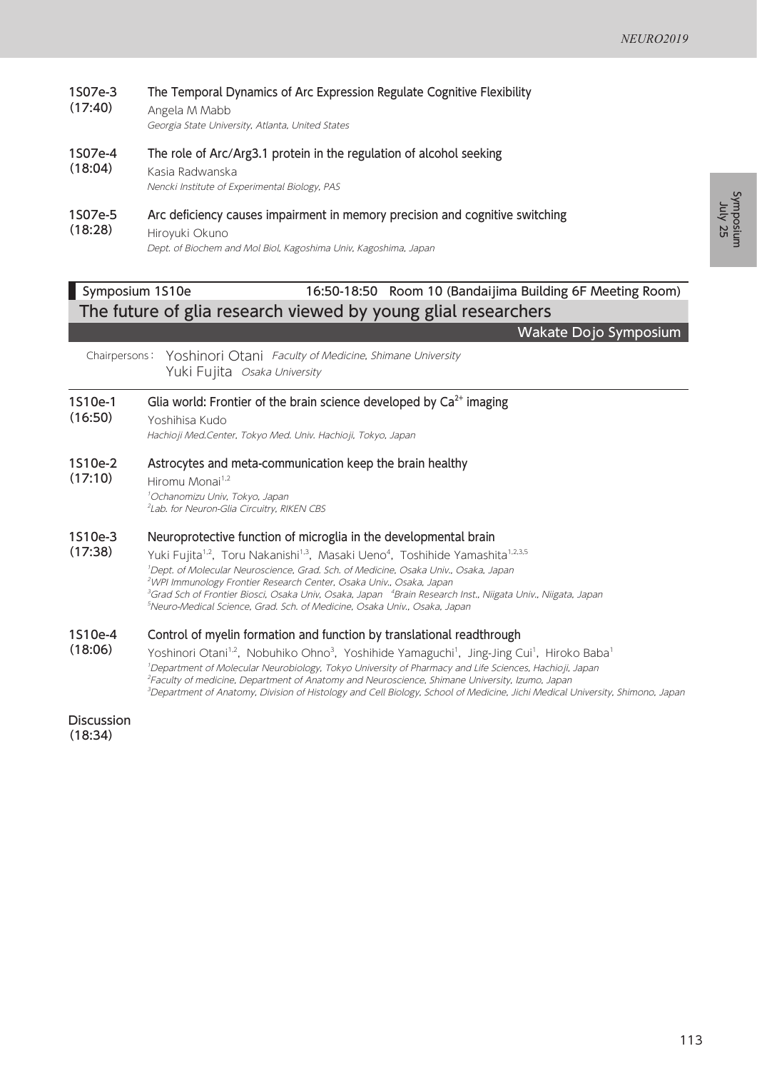#### 1S07e-3 (17:40) The Temporal Dynamics of Arc Expression Regulate Cognitive Flexibility

Angela M Mabb Georgia State University, Atlanta, United States

#### 1S07e-4 The role of Arc/Arg3.1 protein in the regulation of alcohol seeking

(18:04) Kasia Radwanska Nencki Institute of Experimental Biology, PAS

#### 1S07e-5 Arc deficiency causes impairment in memory precision and cognitive switching

(18:28) Hiroyuki Okuno Dept. of Biochem and Mol Biol, Kagoshima Univ, Kagoshima, Japan

### Symposium 1S10e 16:50-18:50 Room 10 (Bandaijima Building 6F Meeting Room) The future of glia research viewed by young glial researchers

Wakate Dojo Symposium

Chairpersons: Yoshinori Otani Faculty of Medicine, Shimane University Yuki Fujita Osaka University

#### 1S10e-1 Glia world: Frontier of the brain science developed by  $Ca<sup>2+</sup>$  imaging

(16:50) Yoshihisa Kudo

Hachioji Med.Center, Tokyo Med. Univ. Hachioji, Tokyo, Japan

#### 1S10e-2 Astrocytes and meta-communication keep the brain healthy

(17:10) Hiromu Monai<sup>1,2</sup>

1 Ochanomizu Univ, Tokyo, Japan 2 Lab. for Neuron-Glia Circuitry, RIKEN CBS

#### 1S10e-3 Neuroprotective function of microglia in the developmental brain

(17:38) Yuki Fujita<sup>1,2</sup>, Toru Nakanishi<sup>1,3</sup>, Masaki Ueno<sup>4</sup>, Toshihide Yamashita<sup>1,2,3,5</sup> 1 Dept. of Molecular Neuroscience, Grad. Sch. of Medicine, Osaka Univ., Osaka, Japan 2 WPI Immunology Frontier Research Center, Osaka Univ., Osaka, Japan <sup>3</sup>Grad Sch of Frontier Biosci, Osaka Univ, Osaka, Japan <sup>4</sup>Brain Research Inst., Niigata Univ., Niigata, Japan 5 Neuro-Medical Science, Grad. Sch. of Medicine, Osaka Univ., Osaka, Japan

#### 1S10e-4 Control of myelin formation and function by translational readthrough

(18:06) Yoshinori Otani<sup>1.2</sup>, Nobuhiko Ohno<sup>3</sup>, Yoshihide Yamaguchi<sup>1</sup>, Jing-Jing Cui<sup>1</sup>, Hiroko Baba<sup>1</sup> 1 Department of Molecular Neurobiology, Tokyo University of Pharmacy and Life Sciences, Hachioji, Japan 2 Faculty of medicine, Department of Anatomy and Neuroscience, Shimane University, Izumo, Japan 3 Department of Anatomy, Division of Histology and Cell Biology, School of Medicine, Jichi Medical University, Shimono, Japan

Discussion (18:34)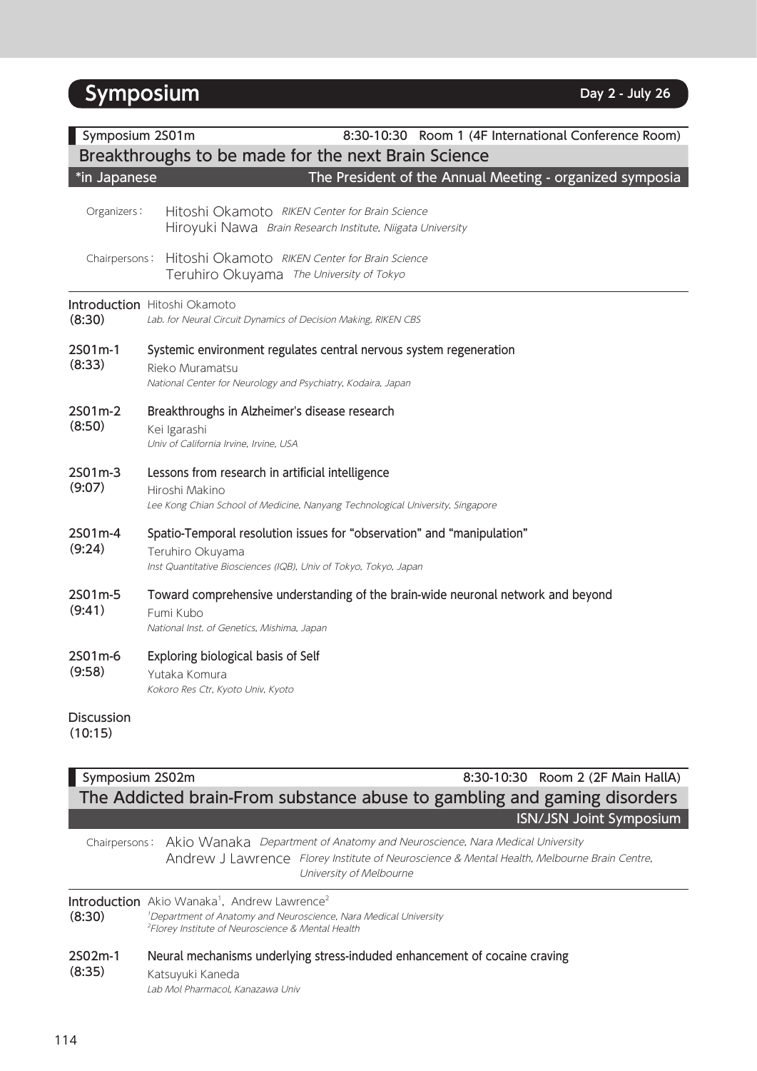# **Symposium Day 2 - Day 2 - Day 2 Day 2 Day 2 Day 2 Day 2 Day 2 Day 2 Day 2 Day 2 Day 2 Day 2 Day 2 Day 2 Day 2 Day 2 Day 2 Day 2 Day 2 D**

| Symposium 2S01m<br>8:30-10:30 Room 1 (4F International Conference Room)<br>Breakthroughs to be made for the next Brain Science |                                                                                                                                                                |  |
|--------------------------------------------------------------------------------------------------------------------------------|----------------------------------------------------------------------------------------------------------------------------------------------------------------|--|
| *in Japanese                                                                                                                   | The President of the Annual Meeting - organized symposia                                                                                                       |  |
| Organizers:                                                                                                                    | Hitoshi Okamoto RIKEN Center for Brain Science<br>Hiroyuki Nawa Brain Research Institute, Niigata University                                                   |  |
| Chairpersons:                                                                                                                  | Hitoshi Okamoto RIKEN Center for Brain Science<br>Teruhiro Okuyama The University of Tokyo                                                                     |  |
| (8:30)                                                                                                                         | <b>Introduction</b> Hitoshi Okamoto<br>Lab. for Neural Circuit Dynamics of Decision Making, RIKEN CBS                                                          |  |
| 2S01m-1<br>(8:33)                                                                                                              | Systemic environment regulates central nervous system regeneration<br>Rieko Muramatsu<br>National Center for Neurology and Psychiatry, Kodaira, Japan          |  |
| 2S01m-2<br>(8:50)                                                                                                              | Breakthroughs in Alzheimer's disease research<br>Kei Igarashi<br>Univ of California Irvine, Irvine, USA                                                        |  |
| 2S01m-3<br>(9:07)                                                                                                              | Lessons from research in artificial intelligence<br>Hiroshi Makino<br>Lee Kong Chian School of Medicine, Nanyang Technological University, Singapore           |  |
| 2S01m-4<br>(9:24)                                                                                                              | Spatio-Temporal resolution issues for "observation" and "manipulation"<br>Teruhiro Okuyama<br>Inst Quantitative Biosciences (IQB), Univ of Tokyo, Tokyo, Japan |  |
| 2S01m-5<br>(9:41)                                                                                                              | Toward comprehensive understanding of the brain-wide neuronal network and beyond<br>Fumi Kubo<br>National Inst. of Genetics, Mishima, Japan                    |  |
| 2S01m-6<br>(9:58)                                                                                                              | Exploring biological basis of Self<br>Yutaka Komura<br>Kokoro Res Ctr, Kyoto Univ, Kyoto                                                                       |  |
| <b>Discussion</b><br>(10:15)                                                                                                   |                                                                                                                                                                |  |

# Symposium 2S02m 8:30-10:30 Room 2 (2F Main HallA) The Addicted brain-From substance abuse to gambling and gaming disorders ISN/JSN Joint Symposium

Chairpersons: Akio Wanaka Department of Anatomy and Neuroscience, Nara Medical University Andrew J Lawrence Florey Institute of Neuroscience & Mental Health, Melbourne Brain Centre, University of Melbourne

**Introduction** Akio Wanaka<sup>1</sup>, Andrew Lawrence<sup>2</sup> (8:30)

<sup>1</sup>Department of Anatomy and Neuroscience, Nara Medical University 2 Florey Institute of Neuroscience & Mental Health

2S02m-1 (8:35) Neural mechanisms underlying stress-induded enhancement of cocaine craving Katsuyuki Kaneda Lab Mol Pharmacol, Kanazawa Univ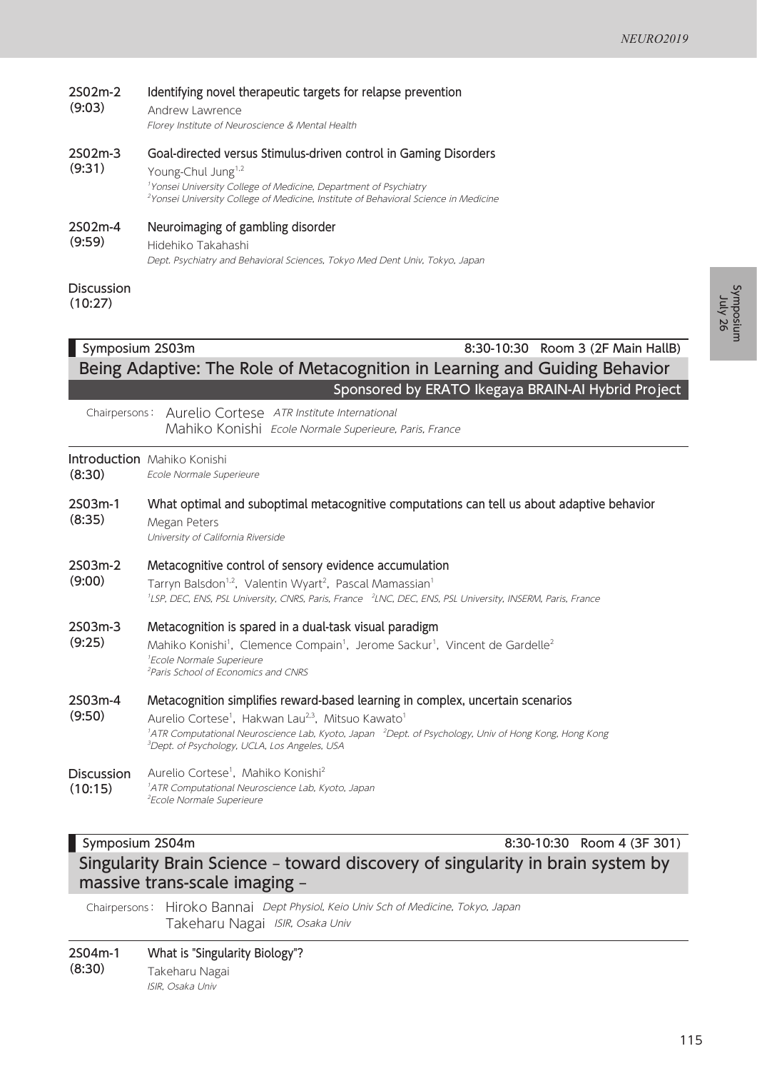| 2S02m-2<br>(9:03) | Identifying novel therapeutic targets for relapse prevention<br>Andrew Lawrence<br>Florey Institute of Neuroscience & Mental Health                                                                                                                                                   |
|-------------------|---------------------------------------------------------------------------------------------------------------------------------------------------------------------------------------------------------------------------------------------------------------------------------------|
| 2S02m-3<br>(9:31) | Goal-directed versus Stimulus-driven control in Gaming Disorders<br>Young-Chul Jung <sup>1,2</sup><br><sup>1</sup> Yonsei University College of Medicine, Department of Psychiatry<br><sup>2</sup> Yonsei University College of Medicine, Institute of Behavioral Science in Medicine |
| 2S02m-4<br>(9:59) | Neuroimaging of gambling disorder<br>Hidehiko Takahashi<br>Dept. Psychiatry and Behavioral Sciences, Tokyo Med Dent Univ, Tokyo, Japan                                                                                                                                                |
| <b>Discussion</b> |                                                                                                                                                                                                                                                                                       |

(10:27)

## Symposium 2S03m 8:30-10:30 Room 3 (2F Main HallB) Being Adaptive: The Role of Metacognition in Learning and Guiding Behavior Sponsored by ERATO Ikegaya BRAIN-AI Hybrid Project

Chairpersons: Aurelio Cortese ATR Institute International Mahiko Konishi Ecole Normale Superieure, Paris, France

### Introduction Mahiko Konishi

(8:30) Ecole Normale Superieure

2S03m-1 (8:35) What optimal and suboptimal metacognitive computations can tell us about adaptive behavior Megan Peters

University of California Riverside

### 2S03m-2 Metacognitive control of sensory evidence accumulation

(9:00) Tarryn Balsdon<sup>1,2</sup>, Valentin Wyart<sup>2</sup>, Pascal Mamassian<sup>1</sup> <sup>1</sup>LSP, DEC, ENS, PSL University, CNRS, Paris, France <sup>2</sup>LNC, DEC, ENS, PSL University, INSERM, Paris, France

#### 2S03m-3 Metacognition is spared in a dual-task visual paradigm

(9:25) Mahiko Konishi<sup>1</sup>, Clemence Compain<sup>1</sup>, Jerome Sackur<sup>1</sup>, Vincent de Gardelle<sup>2</sup> 1 Ecole Normale Superieure 2 Paris School of Economics and CNRS

#### 2S03m-4 Metacognition simplifies reward-based learning in complex, uncertain scenarios

(9:50) Aurelio Cortese<sup>1</sup>, Hakwan Lau<sup>2,3</sup>, Mitsuo Kawato<sup>1</sup> <sup>1</sup>ATR Computational Neuroscience Lab, Kyoto, Japan <sup>2</sup>Dept. of Psychology, Univ of Hong Kong, Hong Kong 3 Dept. of Psychology, UCLA, Los Angeles, USA

#### **Discussion** Aurelio Cortese<sup>1</sup>, Mahiko Konishi<sup>2</sup>

(10:15) 1 ATR Computational Neuroscience Lab, Kyoto, Japan 2 Ecole Normale Superieure

### Symposium 2S04m 8:30-10:30 Room 4 (3F 301)

# Singularity Brain Science – toward discovery of singularity in brain system by massive trans-scale imaging –

Chairpersons: Hiroko Bannai Dept Physiol, Keio Univ Sch of Medicine, Tokyo, Japan Takeharu Nagai ISIR, Osaka Univ

2S04m-1 (8:30) What is "Singularity Biology"? Takeharu Nagai

ISIR, Osaka Univ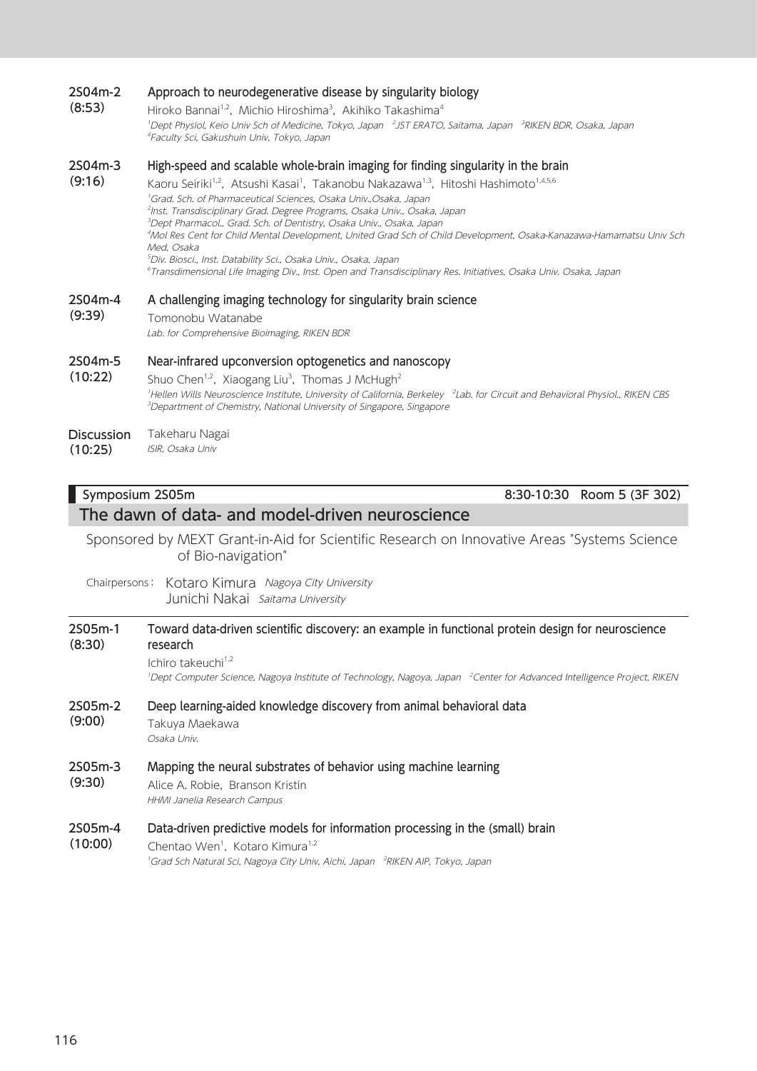#### 2S04m-2 Approach to neurodegenerative disease by singularity biology

Hiroko Bannai<sup>1,2</sup>, Michio Hiroshima<sup>3</sup>, Akihiko Takashima<sup>4</sup> <sup>1</sup>Dept Physiol, Keio Univ Sch of Medicine, Tokyo, Japan <sup>2</sup>JST ERATO, Saitama, Japan <sup>3</sup>RIKEN BDR, Osaka, Japan 1 4 Faculty Sci, Gakushuin Univ, Tokyo, Japan

#### 2S04m-3 High-speed and scalable whole-brain imaging for finding singularity in the brain

(9:16) Kaoru Seiriki<sup>1,2</sup>, Atsushi Kasai<sup>1</sup>, Takanobu Nakazawa<sup>1,3</sup>, Hitoshi Hashimoto<sup>1,4,5,6</sup> Grad. Sch. of Pharmaceutical Sciences, Osaka Univ.,Osaka, Japan Inst. Transdisciplinary Grad. Degree Programs, Osaka Univ., Osaka, Japan Dept Pharmacol., Grad. Sch. of Dentistry, Osaka Univ., Osaka, Japan Mol Res Cent for Child Mental Development, United Grad Sch of Child Development, Osaka-Kanazawa-Hamamatsu Univ Sch Med, Osaka Div. Biosci., Inst. Datability Sci., Osaka Univ., Osaka, Japan Transdimensional Life Imaging Div., Inst. Open and Transdisciplinary Res. Initiatives, Osaka Univ. Osaka, Japan

#### 2S04m-4 A challenging imaging technology for singularity brain science

(9:39) Tomonobu Watanabe Lab. for Comprehensive Bioimaging, RIKEN BDR

#### 2S04m-5 Near-infrared upconversion optogenetics and nanoscopy

(10:22) Shuo Chen<sup>1,2</sup>, Xiaogang Liu<sup>3</sup>, Thomas J McHugh<sup>2</sup> <sup>1</sup>Hellen Wills Neuroscience Institute, University of California, Berkeley <sup>2</sup>Lab. for Circuit and Behavioral Physiol., RIKEN CBS <sup>3</sup>Department of Chemistry, National University of Singapore, Singapore

#### **Discussion** Takeharu Nagai

(10:25) ISIR, Osaka Univ

(8:53)

### Symposium 2S05m 8:30-10:30 Room 5 (3F 302)

### The dawn of data- and model-driven neuroscience

Sponsored by MEXT Grant-in-Aid for Scientific Research on Innovative Areas "Systems Science of Bio-navigation"

Chairpersons: Kotaro Kimura Nagoya City University Junichi Nakai Saitama University

### 2S05m-1 (8:30) Toward data-driven scientific discovery: an example in functional protein design for neuroscience research Ichiro takeuchi $1,2$ <sup>1</sup>Dept Computer Science, Nagoya Institute of Technology, Nagoya, Japan <sup>2</sup>Center for Advanced Intelligence Project, RIKEN 2S05m-2 (9:00) Deep learning-aided knowledge discovery from animal behavioral data Takuya Maekawa Osaka Univ. 2S05m-3 (9:30) Mapping the neural substrates of behavior using machine learning Alice A. Robie, Branson Kristin HHMI Janelia Research Campus 2S05m-4 Data-driven predictive models for information processing in the (small) brain

(10:00) Chentao Wen<sup>1</sup>, Kotaro Kimura<sup>1,2</sup> <sup>1</sup>Grad Sch Natural Sci, Nagoya City Univ, Aichi, Japan <sup>2</sup>RIKEN AIP, Tokyo, Japan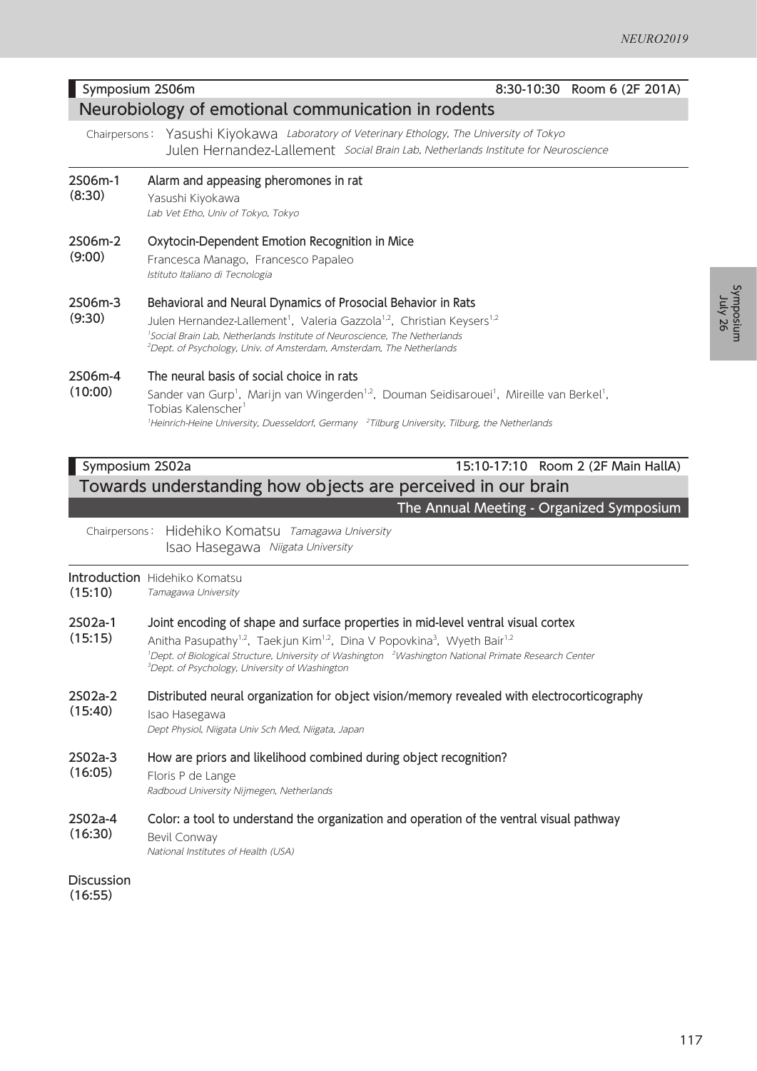### Symposium 2S06m 8:30-10:30 Room 6 (2F 201A)

### Neurobiology of emotional communication in rodents

Chairpersons: Yasushi Kiyokawa Laboratory of Veterinary Ethology, The University of Tokyo Julen Hernandez-Lallement Social Brain Lab, Netherlands Institute for Neuroscience

- 2S06m-1 Alarm and appeasing pheromones in rat
- (8:30) Yasushi Kiyokawa

Lab Vet Etho, Univ of Tokyo, Tokyo

#### 2S06m-2 Oxytocin-Dependent Emotion Recognition in Mice

(9:00) Francesca Manago, Francesco Papaleo Istituto Italiano di Tecnologia

#### 2S06m-3 Behavioral and Neural Dynamics of Prosocial Behavior in Rats

(9:30) Julen Hernandez-Lallement<sup>1</sup>, Valeria Gazzola<sup>1,2</sup>, Christian Keysers<sup>1,2</sup> <sup>1</sup>Social Brain Lab, Netherlands Institute of Neuroscience, The Netherlands 2 Dept. of Psychology, Univ. of Amsterdam, Amsterdam, The Netherlands

#### 2S06m-4 The neural basis of social choice in rats

(10:00) Sander van Gurp<sup>1</sup>, Marijn van Wingerden<sup>1,2</sup>, Douman Seidisarouei<sup>1</sup>, Mireille van Berkel<sup>1</sup>, Tobias Kalenscher<sup>1</sup> <sup>1</sup>Heinrich-Heine University, Duesseldorf, Germany <sup>2</sup>Tilburg University, Tilburg, the Netherlands

### Symposium 2S02a 15:10-17:10 Room 2 (2F Main HallA) Towards understanding how objects are perceived in our brain

### The Annual Meeting - Organized Symposium

Chairpersons: Hidehiko Komatsu Tamagawa University Isao Hasegawa Niigata University

### **Introduction** Hidehiko Komatsu

(15:10) Tamagawa University

#### 2S02a-1 Joint encoding of shape and surface properties in mid-level ventral visual cortex

- (15:15) Anitha Pasupathy<sup>1,2</sup>, Taekjun Kim<sup>1,2</sup>, Dina V Popovkina<sup>3</sup>, Wyeth Bair<sup>1,2</sup> <sup>1</sup>Dept. of Biological Structure, University of Washington <sup>2</sup>Washington National Primate Research Center 3 Dept. of Psychology, University of Washington
- 2S02a-2 (15:40) Distributed neural organization for object vision/memory revealed with electrocorticography

Isao Hasegawa Dept Physiol, Niigata Univ Sch Med, Niigata, Japan

#### 2S02a-3 How are priors and likelihood combined during object recognition?

(16:05) Floris P de Lange

Radboud University Nijmegen, Netherlands

#### 2S02a-4 Color: a tool to understand the organization and operation of the ventral visual pathway

(16:30) Bevil Conway

National Institutes of Health (USA)

**Discussion** (16:55)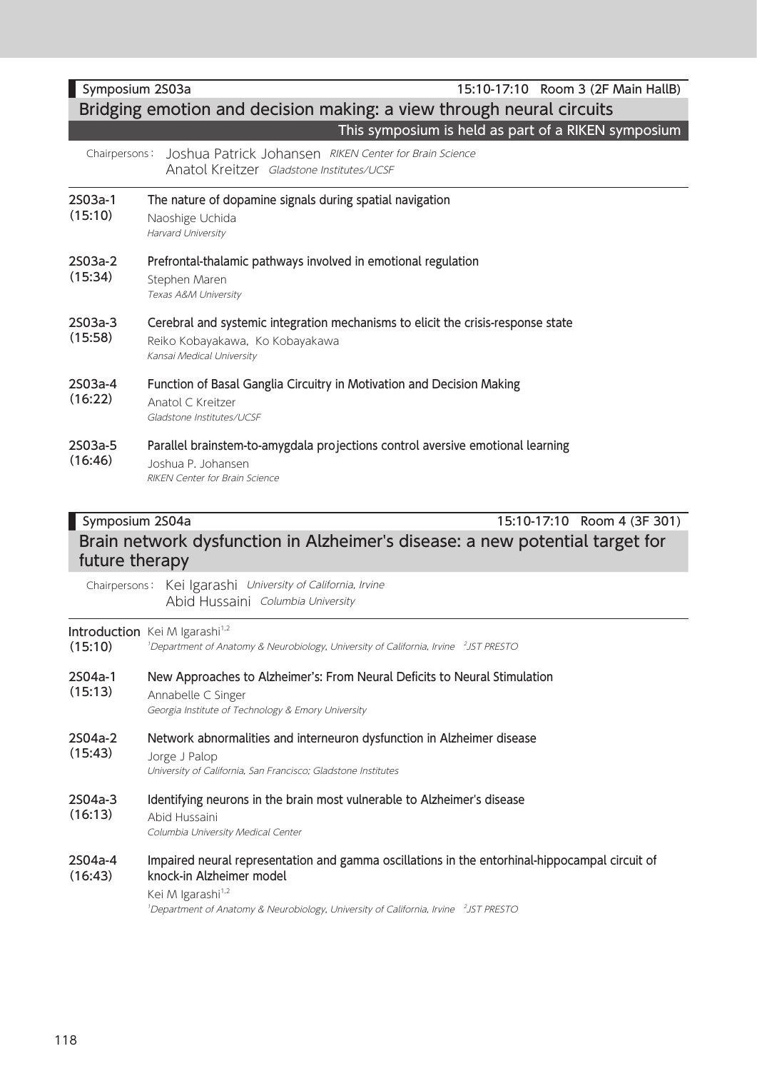### Symposium 2S03a 15:10-17:10 Room 3 (2F Main HallB) Bridging emotion and decision making: a view through neural circuits This symposium is held as part of a RIKEN symposium Chairpersons: Joshua Patrick Johansen RIKEN Center for Brain Science Anatol Kreitzer Gladstone Institutes/UCSF 2S03a-1 (15:10) The nature of dopamine signals during spatial navigation Naoshige Uchida Harvard University 2S03a-2 (15:34) Prefrontal-thalamic pathways involved in emotional regulation Stephen Maren Texas A&M University 2S03a-3 (15:58) Cerebral and systemic integration mechanisms to elicit the crisis-response state Reiko Kobayakawa, Ko Kobayakawa Kansai Medical University 2S03a-4 (16:22) Function of Basal Ganglia Circuitry in Motivation and Decision Making Anatol C Kreitzer Gladstone Institutes/UCSF

#### 2S03a-5 (16:46) Parallel brainstem-to-amygdala projections control aversive emotional learning Joshua P. Johansen RIKEN Center for Brain Science

# Symposium 2S04a 15:10-17:10 Room 4 (3F 301) Brain network dysfunction in Alzheimer's disease: a new potential target for future therapy

Chairpersons: Kei Igarashi University of California, Irvine Abid Hussaini Columbia University

### **Introduction** Kei M Igarashi<sup>1,2</sup>

| (15:10)            | <b>INCREASED IN THE READER</b><br><sup>1</sup> Department of Anatomy & Neurobiology, University of California, Irvine <sup>2</sup> JST PRESTO                                                                                                                              |
|--------------------|----------------------------------------------------------------------------------------------------------------------------------------------------------------------------------------------------------------------------------------------------------------------------|
| 2S04a-1<br>(15:13) | New Approaches to Alzheimer's: From Neural Deficits to Neural Stimulation<br>Annabelle C Singer<br>Georgia Institute of Technology & Emory University                                                                                                                      |
| 2S04a-2<br>(15:43) | Network abnormalities and interneuron dysfunction in Alzheimer disease<br>Jorge J Palop<br>University of California, San Francisco; Gladstone Institutes                                                                                                                   |
| 2S04a-3<br>(16:13) | Identifying neurons in the brain most vulnerable to Alzheimer's disease<br>Abid Hussaini<br>Columbia University Medical Center                                                                                                                                             |
| 2S04a-4<br>(16:43) | Impaired neural representation and gamma oscillations in the entorhinal-hippocampal circuit of<br>knock-in Alzheimer model<br>Kei M Igarashi <sup>1,2</sup><br><sup>1</sup> Department of Anatomy & Neurobiology, University of California, Irvine <sup>2</sup> JST PRESTO |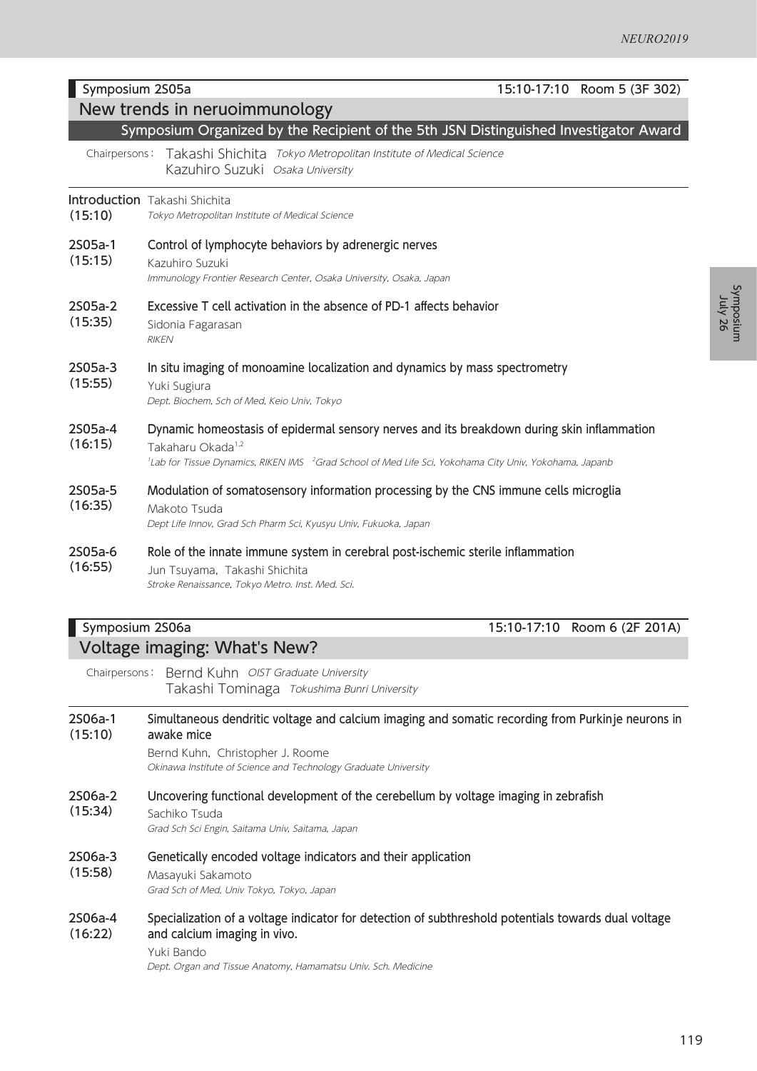Symposium Symposium<br>mulsoqmy26

|                    | Symposium 2S05a<br>15:10-17:10 Room 5 (3F 302)                                                                                                                                                                                                                |  |  |
|--------------------|---------------------------------------------------------------------------------------------------------------------------------------------------------------------------------------------------------------------------------------------------------------|--|--|
|                    | New trends in neruoimmunology<br>Symposium Organized by the Recipient of the 5th JSN Distinguished Investigator Award                                                                                                                                         |  |  |
|                    | Takashi Shichita Tokyo Metropolitan Institute of Medical Science<br>Chairpersons:<br>Kazuhiro Suzuki Osaka University                                                                                                                                         |  |  |
| (15:10)            | Introduction Takashi Shichita<br>Tokyo Metropolitan Institute of Medical Science                                                                                                                                                                              |  |  |
| 2S05a-1<br>(15:15) | Control of lymphocyte behaviors by adrenergic nerves<br>Kazuhiro Suzuki<br>Immunology Frontier Research Center, Osaka University, Osaka, Japan                                                                                                                |  |  |
| 2S05a-2<br>(15:35) | Excessive T cell activation in the absence of PD-1 affects behavior<br>Sidonia Fagarasan<br><b>RIKEN</b>                                                                                                                                                      |  |  |
| 2S05a-3<br>(15:55) | In situ imaging of monoamine localization and dynamics by mass spectrometry<br>Yuki Sugiura<br>Dept. Biochem, Sch of Med, Keio Univ, Tokyo                                                                                                                    |  |  |
| 2S05a-4<br>(16:15) | Dynamic homeostasis of epidermal sensory nerves and its breakdown during skin inflammation<br>Takaharu Okada <sup>1,2</sup><br><sup>1</sup> Lab for Tissue Dynamics, RIKEN IMS <sup>2</sup> Grad School of Med Life Sci, Yokohama City Univ, Yokohama, Japanb |  |  |
| 2S05a-5<br>(16:35) | Modulation of somatosensory information processing by the CNS immune cells microglia<br>Makoto Tsuda<br>Dept Life Innov, Grad Sch Pharm Sci, Kyusyu Univ, Fukuoka, Japan                                                                                      |  |  |
| 2S05a-6<br>(16:55) | Role of the innate immune system in cerebral post-ischemic sterile inflammation<br>Jun Tsuyama, Takashi Shichita<br>Stroke Renaissance, Tokyo Metro. Inst. Med. Sci.                                                                                          |  |  |

## Symposium 2S06a 15:10-17:10 Room 6 (2F 201A) Voltage imaging: What's New?

Chairpersons: Bernd Kuhn OIST Graduate University Takashi Tominaga Tokushima Bunri University

2S06a-1 (15:10) Simultaneous dendritic voltage and calcium imaging and somatic recording from Purkinje neurons in awake mice

> Bernd Kuhn, Christopher J. Roome Okinawa Institute of Science and Technology Graduate University

2S06a-2 (15:34) Uncovering functional development of the cerebellum by voltage imaging in zebrafish

Sachiko Tsuda Grad Sch Sci Engin, Saitama Univ, Saitama, Japan

- 2S06a-3 Genetically encoded voltage indicators and their application
- (15:58) Masayuki Sakamoto Grad Sch of Med, Univ Tokyo, Tokyo, Japan
- 2S06a-4 (16:22) Specialization of a voltage indicator for detection of subthreshold potentials towards dual voltage and calcium imaging in vivo.

Yuki Bando

Dept. Organ and Tissue Anatomy, Hamamatsu Univ. Sch. Medicine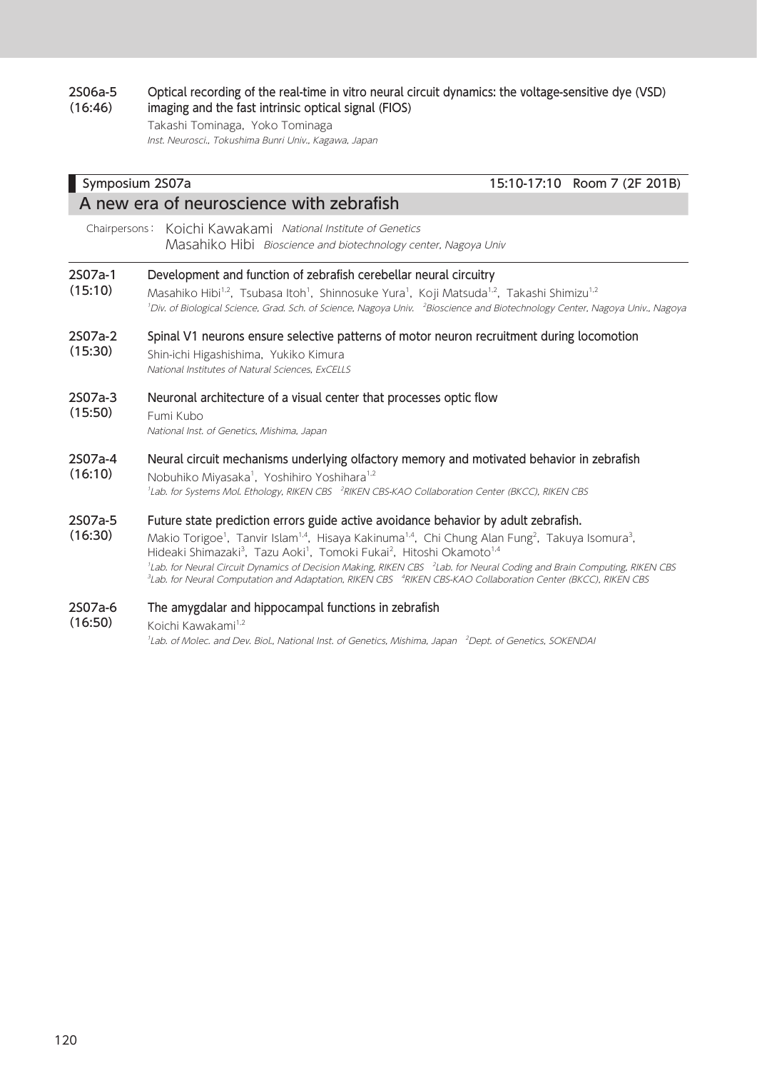#### 2S06a-5 (16:46) Optical recording of the real-time in vitro neural circuit dynamics: the voltage-sensitive dye (VSD) imaging and the fast intrinsic optical signal (FIOS)

Takashi Tominaga, Yoko Tominaga Inst. Neurosci., Tokushima Bunri Univ., Kagawa, Japan

### Symposium 2S07a 15:10-17:10 Room 7 (2F 201B) A new era of neuroscience with zebrafish Chairpersons: Koichi Kawakami National Institute of Genetics Masahiko Hibi Bioscience and biotechnology center, Nagoya Univ 2S07a-1 (15:10) Development and function of zebrafish cerebellar neural circuitry Masahiko Hibi<sup>1,2</sup>, Tsubasa Itoh<sup>1</sup>, Shinnosuke Yura<sup>1</sup>, Koji Matsuda<sup>1,2</sup>, Takashi Shimizu<sup>1,2</sup> <sup>1</sup>Div. of Biological Science, Grad. Sch. of Science, Nagoya Univ. <sup>2</sup>Bioscience and Biotechnology Center, Nagoya Univ., Nagoya 2S07a-2 (15:30) Spinal V1 neurons ensure selective patterns of motor neuron recruitment during locomotion Shin-ichi Higashishima, Yukiko Kimura National Institutes of Natural Sciences, ExCELLS 2S07a-3 (15:50) Neuronal architecture of a visual center that processes optic flow Fumi Kubo National Inst. of Genetics, Mishima, Japan 2S07a-4 (16:10) Neural circuit mechanisms underlying olfactory memory and motivated behavior in zebrafish Nobuhiko Miyasaka<sup>1</sup>, Yoshihiro Yoshihara<sup>1,2</sup> <sup>1</sup>Lab. for Systems Mol. Ethology, RIKEN CBS <sup>2</sup>RIKEN CBS-KAO Collaboration Center (BKCC), RIKEN CBS 2S07a-5 (16:30) Future state prediction errors guide active avoidance behavior by adult zebrafish. Makio Torigoe<sup>1</sup>, Tanvir Islam<sup>1,4</sup>, Hisaya Kakinuma<sup>1,4</sup>, Chi Chung Alan Fung<sup>2</sup>, Takuya Isomura<sup>3</sup>,

Hideaki Shimazaki<sup>3</sup>, Tazu Aoki<sup>1</sup>, Tomoki Fukai<sup>2</sup>, Hitoshi Okamoto<sup>1,4</sup> <sup>1</sup>Lab. for Neural Circuit Dynamics of Decision Making, RIKEN CBS <sup>2</sup>Lab. for Neural Coding and Brain Computing, RIKEN CBS <sup>3</sup>Lab. for Neural Computation and Adaptation, RIKEN CBS <sup>4</sup>RIKEN CBS-KAO Collaboration Center (BKCC), RIKEN CBS

#### 2S07a-6 The amygdalar and hippocampal functions in zebrafish

(16:50) Koichi Kawakami<sup>1,2</sup> <sup>1</sup>Lab. of Molec. and Dev. Biol., National Inst. of Genetics, Mishima, Japan <sup>2</sup>Dept. of Genetics, SOKENDAI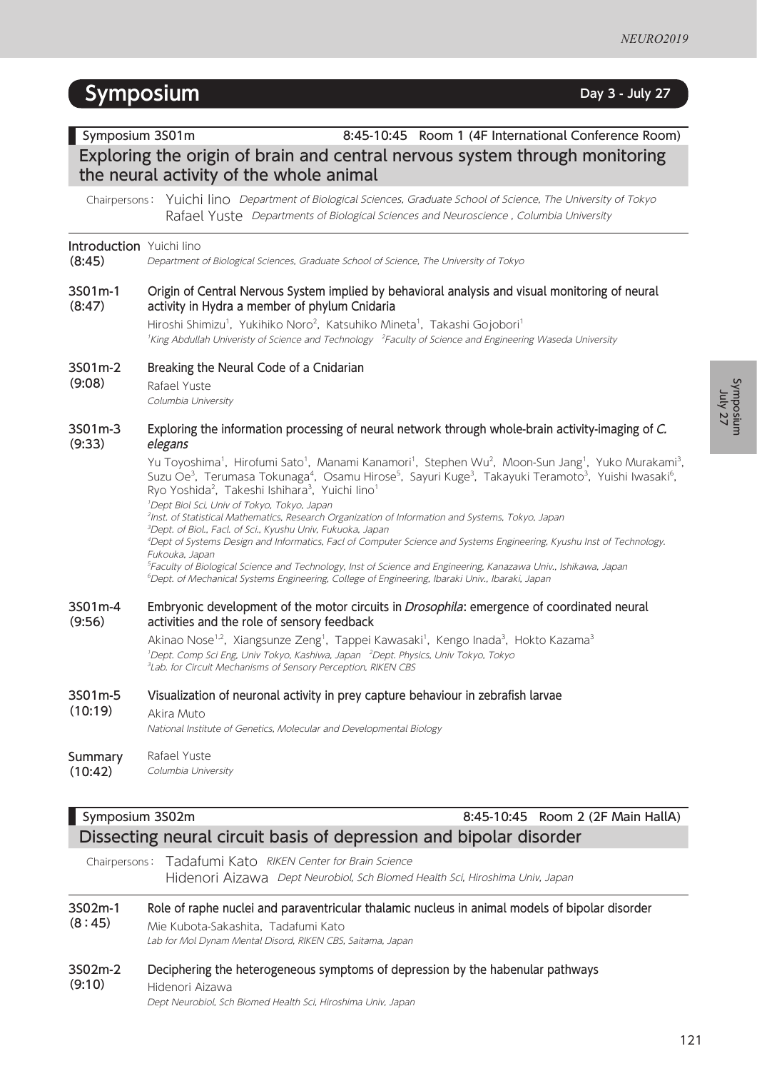# **Symposium Day 3 - July 27**

### Symposium 3S01m 8:45-10:45 Room 1 (4F International Conference Room) Exploring the origin of brain and central nervous system through monitoring the neural activity of the whole animal Chairpersons: Yuichi Iino Department of Biological Sciences, Graduate School of Science, The University of Tokyo Rafael Yuste Departments of Biological Sciences and Neuroscience, Columbia University Introduction Yuichi lino (8:45) Department of Biological Sciences, Graduate School of Science, The University of Tokyo 3S01m-1 (8:47) Origin of Central Nervous System implied by behavioral analysis and visual monitoring of neural activity in Hydra a member of phylum Cnidaria Hiroshi Shimizu<sup>1</sup>, Yukihiko Noro<sup>2</sup>, Katsuhiko Mineta<sup>1</sup>, Takashi Gojobori<sup>1</sup> <sup>1</sup>King Abdullah Univeristy of Science and Technology <sup>2</sup>Faculty of Science and Engineering Waseda University

- 3S01m-2 Breaking the Neural Code of a Cnidarian
- (9:08) Rafael Yuste Columbia University

#### 3S01m-3 (9:33) Exploring the information processing of neural network through whole-brain activity-imaging of C. elegans

Yu Toyoshima<sup>1</sup>, Hirofumi Sato<sup>1</sup>, Manami Kanamori<sup>1</sup>, Stephen Wu<sup>2</sup>, Moon-Sun Jang<sup>1</sup>, Yuko Murakami<sup>3</sup>, Suzu Oe<sup>3</sup>, Terumasa Tokunaga<sup>4</sup>, Osamu Hirose<sup>5</sup>, Sayuri Kuge<sup>3</sup>, Takayuki Teramoto<sup>3</sup>, Yuishi Iwasaki<sup>6</sup>, Ryo Yoshida<sup>2</sup>, Takeshi Ishihara<sup>3</sup>, Yuichi lino<sup>1</sup>

1 Dept Biol Sci, Univ of Tokyo, Tokyo, Japan

 Inst. of Statistical Mathematics, Research Organization of Information and Systems, Tokyo, Japan Dept. of Biol., Facl. of Sci., Kyushu Univ, Fukuoka, Japan Dept of Systems Design and Informatics, Facl of Computer Science and Systems Engineering, Kyushu Inst of Technology. Fukouka, Japan Faculty of Biological Science and Technology, Inst of Science and Engineering, Kanazawa Univ., Ishikawa, Japan Dept. of Mechanical Systems Engineering, College of Engineering, Ibaraki Univ., Ibaraki, Japan

#### 3S01m-4 (9:56) Embryonic development of the motor circuits in *Drosophila*: emergence of coordinated neural activities and the role of sensory feedback

Akinao Nose<sup>1,2</sup>, Xiangsunze Zeng<sup>1</sup>, Tappei Kawasaki<sup>1</sup>, Kengo Inada<sup>3</sup>, Hokto Kazama<sup>3</sup> <sup>1</sup>Dept. Comp Sci Eng, Univ Tokyo, Kashiwa, Japan <sup>2</sup>Dept. Physics, Univ Tokyo, Tokyo <sup>3</sup>Lab. for Circuit Mechanisms of Sensory Perception, RIKEN CBS

### 3S01m-5 Visualization of neuronal activity in prey capture behaviour in zebrafish larvae

(10:19) Akira Muto

National Institute of Genetics, Molecular and Developmental Biology

### **Summary** Rafael Yuste

(10:42) Columbia University

# Symposium 3S02m 8:45-10:45 Room 2 (2F Main HallA) Dissecting neural circuit basis of depression and bipolar disorder

Chairpersons: Tadafumi Kato RIKEN Center for Brain Science Hidenori Aizawa Dept Neurobiol, Sch Biomed Health Sci, Hiroshima Univ, Japan

### 3S02m-1 (8:45) Role of raphe nuclei and paraventricular thalamic nucleus in animal models of bipolar disorder Mie Kubota-Sakashita, Tadafumi Kato

Lab for Mol Dynam Mental Disord, RIKEN CBS, Saitama, Japan

### 3S02m-2 (9:10) Deciphering the heterogeneous symptoms of depression by the habenular pathways Hidenori Aizawa Dept Neurobiol, Sch Biomed Health Sci, Hiroshima Univ, Japan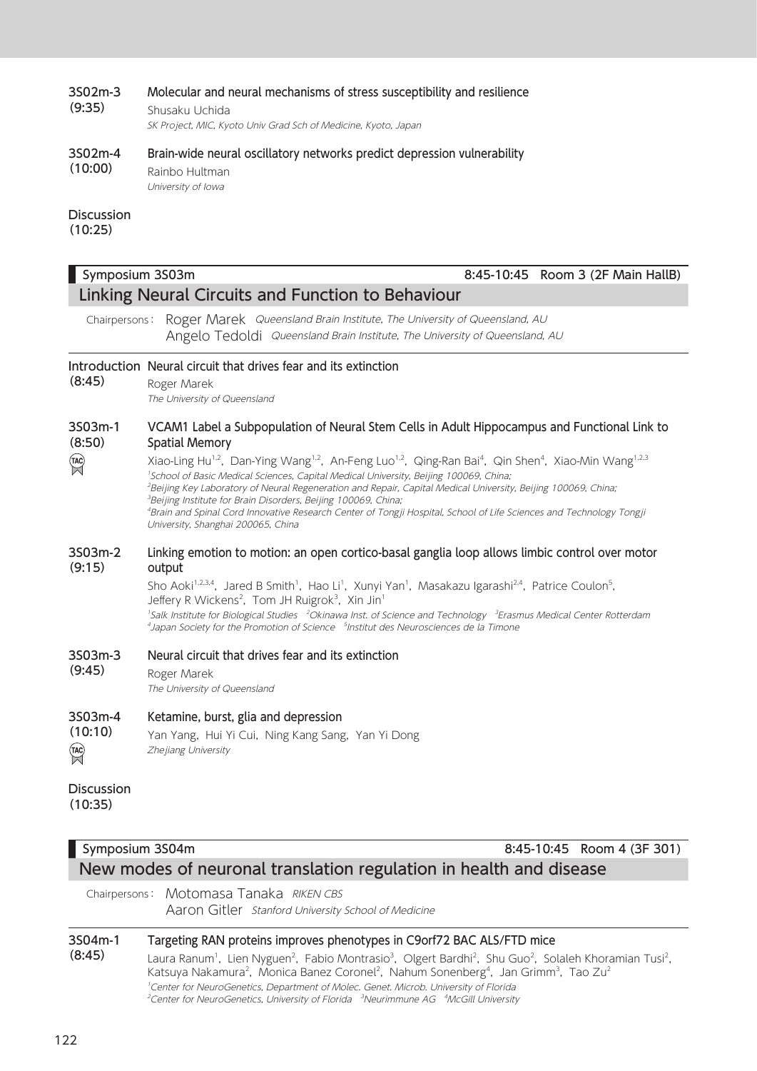#### 3S02m-3 (9:35) Molecular and neural mechanisms of stress susceptibility and resilience

Shusaku Uchida SK Project, MIC, Kyoto Univ Grad Sch of Medicine, Kyoto, Japan

### 3S02m-4 (10:00) Brain-wide neural oscillatory networks predict depression vulnerability Rainbo Hultman

University of Iowa

# **Discussion**

(10:25)

### Linking Neural Circuits and Function to Behaviour Chairpersons: Roger Marek Queensland Brain Institute, The University of Queensland, AU Angelo Tedoldi Queensland Brain Institute, The University of Queensland, AU Introduction Neural circuit that drives fear and its extinction (8:45) Roger Marek The University of Queensland 3S03m-1 VCAM1 Label a Subpopulation of Neural Stem Cells in Adult Hippocampus and Functional Link to (8:50) Spatial Memory  $TAC$ Xiao-Ling Hu<sup>1,2</sup>, Dan-Ying Wang<sup>1,2</sup>, An-Feng Luo<sup>1,2</sup>, Qing-Ran Bai<sup>4</sup>, Qin Shen<sup>4</sup>, Xiao-Min Wang<sup>1,2,3</sup> 1 School of Basic Medical Sciences, Capital Medical University, Beijing 100069, China; <sup>2</sup>Beijing Key Laboratory of Neural Regeneration and Repair, Capital Medical University, Beijing 100069, China; <sup>3</sup>Beijing Institute for Brain Disorders, Beijing 100069, China; 4 Brain and Spinal Cord Innovative Research Center of Tongji Hospital, School of Life Sciences and Technology Tongji University, Shanghai 200065, China 3S03m-2 Linking emotion to motion: an open cortico-basal ganglia loop allows limbic control over motor (9:15) output Sho Aoki<sup>1,2,3,4</sup>, Jared B Smith<sup>1</sup>, Hao Li<sup>1</sup>, Xunyi Yan<sup>1</sup>, Masakazu Igarashi<sup>2,4</sup>, Patrice Coulon<sup>5</sup>, Jeffery R Wickens<sup>2</sup>, Tom JH Ruigrok<sup>3</sup>, Xin Jin<sup>1</sup> <sup>1</sup>Salk Institute for Biological Studies <sup>2</sup>Okinawa Inst. of Science and Technology <sup>3</sup>Erasmus Medical Center Rotterdam <sup>4</sup> Japan Society for the Promotion of Science <sup>5</sup> Institut des Neurosciences de la Timone 3S03m-3 Neural circuit that drives fear and its extinction (9:45) Roger Marek The University of Queensland 3S03m-4 Ketamine, burst, glia and depression (10:10) Yan Yang, Hui Yi Cui, Ning Kang Sang, Yan Yi Dong  $TAC$ Zhejiang University Discussion (10:35)

Symposium 3S03m 8:45-10:45 Room 3 (2F Main HallB)

| Symposium 3S04m                                                    | 8:45-10:45 Room 4 (3F 301) |
|--------------------------------------------------------------------|----------------------------|
| New modes of neuronal translation regulation in health and disease |                            |

Chairpersons: Motomasa Tanaka RIKEN CBS Aaron Gitler Stanford University School of Medicine

### 3S04m-1 (8:45) Targeting RAN proteins improves phenotypes in C9orf72 BAC ALS/FTD mice Laura Ranum<sup>1</sup>, Lien Nyguen<sup>2</sup>, Fabio Montrasio<sup>3</sup>, Olgert Bardhi<sup>2</sup>, Shu Guo<sup>2</sup>, Solaleh Khoramian Tusi<sup>2</sup>, Katsuya Nakamura<sup>2</sup>, Monica Banez Coronel<sup>2</sup>, Nahum Sonenberg<sup>4</sup>, Jan Grimm<sup>3</sup>, Tao Zu<sup>2</sup> 1 Center for NeuroGenetics, Department of Molec. Genet. Microb. University of Florida <sup>2</sup>Center for NeuroGenetics, University of Florida <sup>3</sup>Neurimmune AG <sup>4</sup>McGill University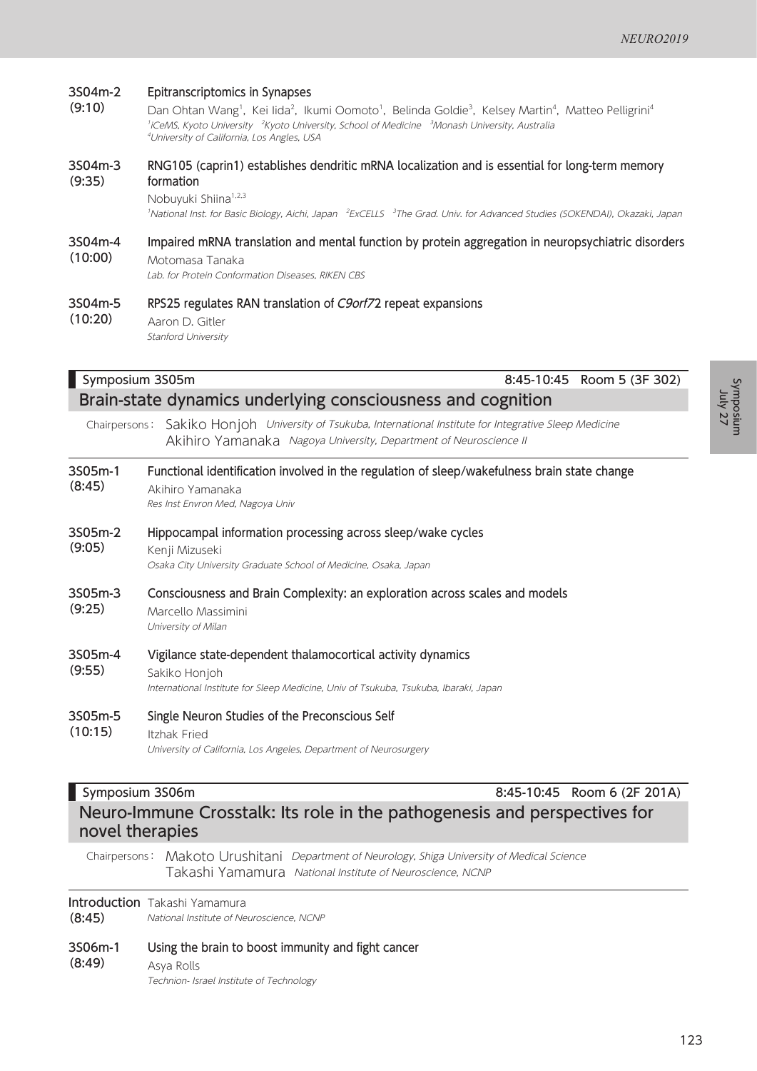#### 3S04m-2 Epitranscriptomics in Synapses

(9:10) Dan Ohtan Wang<sup>1</sup>, Kei lida<sup>2</sup>, Ikumi Oomoto<sup>1</sup>, Belinda Goldie<sup>3</sup>, Kelsey Martin<sup>4</sup>, Matteo Pelligrini<sup>4</sup> <sup>1</sup>iCeMS, Kyoto University <sup>- 2</sup>Kyoto University, School of Medicine <sup>- 3</sup>Monash University, Australia 4 University of California, Los Angles, USA

#### 3S04m-3 (9:35) RNG105 (caprin1) establishes dendritic mRNA localization and is essential for long-term memory formation

Nobuyuki Shiina<sup>1,2,3</sup>

<sup>1</sup>National Inst. for Basic Biology, Aichi, Japan <sup>2</sup>ExCELLS <sup>3</sup>The Grad. Univ. for Advanced Studies (SOKENDAI), Okazaki, Japan

3S04m-4 (10:00) Impaired mRNA translation and mental function by protein aggregation in neuropsychiatric disorders Motomasa Tanaka Lab. for Protein Conformation Diseases, RIKEN CBS

3S04m-5 (10:20) RPS25 regulates RAN translation of C9orf72 repeat expansions Aaron D. Gitler Stanford University

| Symposium 3S05m                                             | 8:45-10:45 Room 5 (3F 302)                                                                                                                                           |  |
|-------------------------------------------------------------|----------------------------------------------------------------------------------------------------------------------------------------------------------------------|--|
| Brain-state dynamics underlying consciousness and cognition |                                                                                                                                                                      |  |
| Chairpersons:                                               | Sakiko Honjoh University of Tsukuba, International Institute for Integrative Sleep Medicine<br>Akihiro Yamanaka Nagoya University, Department of Neuroscience II     |  |
| 3S05m-1<br>(8:45)                                           | Functional identification involved in the regulation of sleep/wakefulness brain state change<br>Akihiro Yamanaka<br>Res Inst Envron Med, Nagoya Univ                 |  |
| 3S05m-2<br>(9:05)                                           | Hippocampal information processing across sleep/wake cycles<br>Kenji Mizuseki<br>Osaka City University Graduate School of Medicine, Osaka, Japan                     |  |
| 3S05m-3<br>(9:25)                                           | Consciousness and Brain Complexity: an exploration across scales and models<br>Marcello Massimini<br>University of Milan                                             |  |
| 3S05m-4<br>(9:55)                                           | Vigilance state-dependent thalamocortical activity dynamics<br>Sakiko Honjoh<br>International Institute for Sleep Medicine, Univ of Tsukuba, Tsukuba, Ibaraki, Japan |  |
| 3S05m-5<br>(10:15)                                          | Single Neuron Studies of the Preconscious Self<br><b>Itzhak Fried</b><br>University of California, Los Angeles, Department of Neurosurgery                           |  |

### **Symposium 3S06m** 8:45-10:45 Room 6 (2F 201A) Neuro-Immune Crosstalk: Its role in the pathogenesis and perspectives for novel therapies

Chairpersons: Makoto Urushitani Department of Neurology, Shiga University of Medical Science Takashi Yamamura National Institute of Neuroscience, NCNP

Introduction Takashi Yamamura

(8:45) National Institute of Neuroscience, NCNP

- 3S06m-1 Using the brain to boost immunity and fight cancer
- (8:49) Asya Rolls Technion- Israel Institute of Technology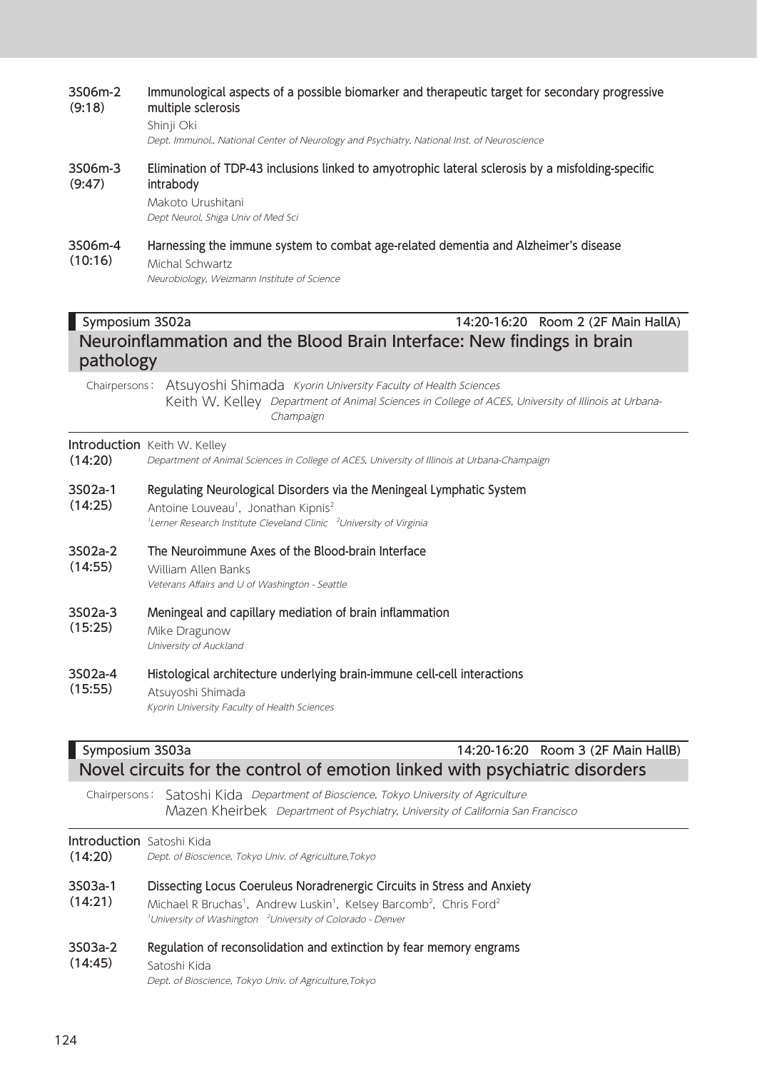### 3S06m-2 (9:18) Immunological aspects of a possible biomarker and therapeutic target for secondary progressive multiple sclerosis Shinji Oki Dept. Immunol., National Center of Neurology and Psychiatry, National Inst. of Neuroscience 3S06m-3 (9:47) Elimination of TDP-43 inclusions linked to amyotrophic lateral sclerosis by a misfolding-specific intrabody Makoto Urushitani Dept Neurol, Shiga Univ of Med Sci 3S06m-4  $(10:16)$ Harnessing the immune system to combat age-related dementia and Alzheimer's disease Michal Schwartz Neurobiology, Weizmann Institute of Science Symposium 3S02a 14:20-16:20 Room 2 (2F Main HallA) Neuroinflammation and the Blood Brain Interface: New findings in brain pathology Chairpersons: Atsuyoshi Shimada Kyorin University Faculty of Health Sciences Keith W. Kelley Department of Animal Sciences in College of ACES, University of Illinois at Urbana-Champaign **Introduction** Keith W. Kelley (14:20) Department of Animal Sciences in College of ACES, University of Illinois at Urbana-Champaign 3S02a-1 (14:25) Regulating Neurological Disorders via the Meningeal Lymphatic System Antoine Louveau<sup>1</sup>, Jonathan Kipnis<sup>2</sup> <sup>1</sup>Lerner Research Institute Cleveland Clinic <sup>2</sup>University of Virginia 3S02a-2 (14:55) The Neuroimmune Axes of the Blood-brain Interface William Allen Banks Veterans Affairs and U of Washington - Seattle 3S02a-3 (15:25) Meningeal and capillary mediation of brain inflammation Mike Dragunow University of Auckland 3S02a-4 (15:55) Histological architecture underlying brain-immune cell-cell interactions Atsuyoshi Shimada Kyorin University Faculty of Health Sciences Symposium 3S03a 14:20-16:20 Room 3 (2F Main HallB) Novel circuits for the control of emotion linked with psychiatric disorders

Chairpersons: Satoshi Kida Department of Bioscience, Tokyo University of Agriculture Mazen Kheirbek Department of Psychiatry, University of California San Francisco

### Introduction Satoshi Kida

| (14:20)            | Dept. of Bioscience, Tokyo Univ. of Agriculture, Tokyo                                                                                                                                                                                                                               |
|--------------------|--------------------------------------------------------------------------------------------------------------------------------------------------------------------------------------------------------------------------------------------------------------------------------------|
| 3S03a-1<br>(14:21) | Dissecting Locus Coeruleus Noradrenergic Circuits in Stress and Anxiety<br>Michael R Bruchas <sup>1</sup> , Andrew Luskin <sup>1</sup> , Kelsey Barcomb <sup>2</sup> , Chris Ford <sup>2</sup><br><sup>1</sup> University of Washington <sup>2</sup> University of Colorado - Denver |
| 3S03a-2<br>(14:45) | Regulation of reconsolidation and extinction by fear memory engrams<br>Satoshi Kida<br>Dept. of Bioscience, Tokyo Univ. of Agriculture, Tokyo                                                                                                                                        |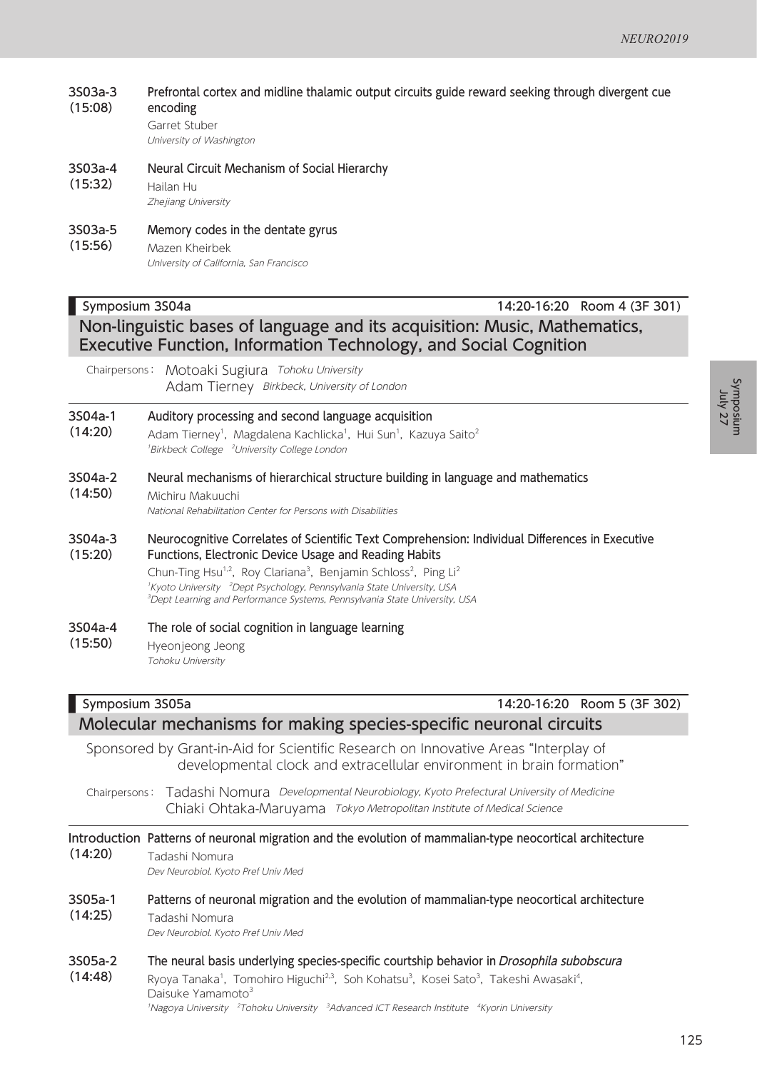#### 3S03a-3 (15:08) Prefrontal cortex and midline thalamic output circuits guide reward seeking through divergent cue encoding

Garret Stuber University of Washington

#### 3S03a-4 Neural Circuit Mechanism of Social Hierarchy

(15:32) Hailan Hu Zhejiang University

#### 3S03a-5 Memory codes in the dentate gyrus

(15:56) Mazen Kheirbek University of California, San Francisco

### Symposium 3S04a 14:20-16:20 Room 4 (3F 301) Non-linguistic bases of language and its acquisition: Music, Mathematics, Executive Function, Information Technology, and Social Cognition

Chairpersons: Motoaki Sugiura Tohoku University Adam Tierney Birkbeck, University of London

#### 3S04a-1 Auditory processing and second language acquisition

- (14:20) Adam Tierney<sup>1</sup>, Magdalena Kachlicka<sup>1</sup>, Hui Sun<sup>1</sup>, Kazuya Saito<sup>2</sup> <sup>1</sup>Birkbeck College <sup>2</sup>University College London
- 3S04a-2 (14:50) Neural mechanisms of hierarchical structure building in language and mathematics Michiru Makuuchi National Rehabilitation Center for Persons with Disabilities
- 3S04a-3 (15:20) Neurocognitive Correlates of Scientific Text Comprehension: Individual Differences in Executive Functions, Electronic Device Usage and Reading Habits

Chun-Ting Hsu<sup>1,2</sup>, Roy Clariana<sup>3</sup>, Benjamin Schloss<sup>2</sup>, Ping Li<sup>2</sup> <sup>1</sup>Kyoto University <sup>2</sup>Dept Psychology, Pennsylvania State University, USA 3 Dept Learning and Performance Systems, Pennsylvania State University, USA

#### 3S04a-4 (15:50) The role of social cognition in language learning

Hyeonjeong Jeong Tohoku University

### Symposium 3S05a 14:20-16:20 Room 5 (3F 302) Molecular mechanisms for making species-specific neuronal circuits

Sponsored by Grant-in-Aid for Scientific Research on Innovative Areas "Interplay of developmental clock and extracellular environment in brain formation"

Chairpersons: Tadashi Nomura Developmental Neurobiology, Kyoto Prefectural University of Medicine Chiaki Ohtaka-Maruyama Tokyo Metropolitan Institute of Medical Science

### Introduction Patterns of neuronal migration and the evolution of mammalian-type neocortical architecture (14:20) Tadashi Nomura Dev Neurobiol. Kyoto Pref Univ Med 3S05a-1 (14:25) Patterns of neuronal migration and the evolution of mammalian-type neocortical architecture Tadashi Nomura Dev Neurobiol. Kyoto Pref Univ Med

3S05a-2 (14:48) The neural basis underlying species-specific courtship behavior in Drosophila subobscura Ryoya Tanaka<sup>1</sup>, Tomohiro Higuchi<sup>2,3</sup>, Soh Kohatsu<sup>3</sup>, Kosei Sato<sup>3</sup>, Takeshi Awasaki<sup>4</sup>, Daisuke Yamamoto<sup>3</sup>

<sup>1</sup>Nagoya University <sup>2</sup>Tohoku University <sup>3</sup>Advanced ICT Research Institute <sup>4</sup>Kyorin University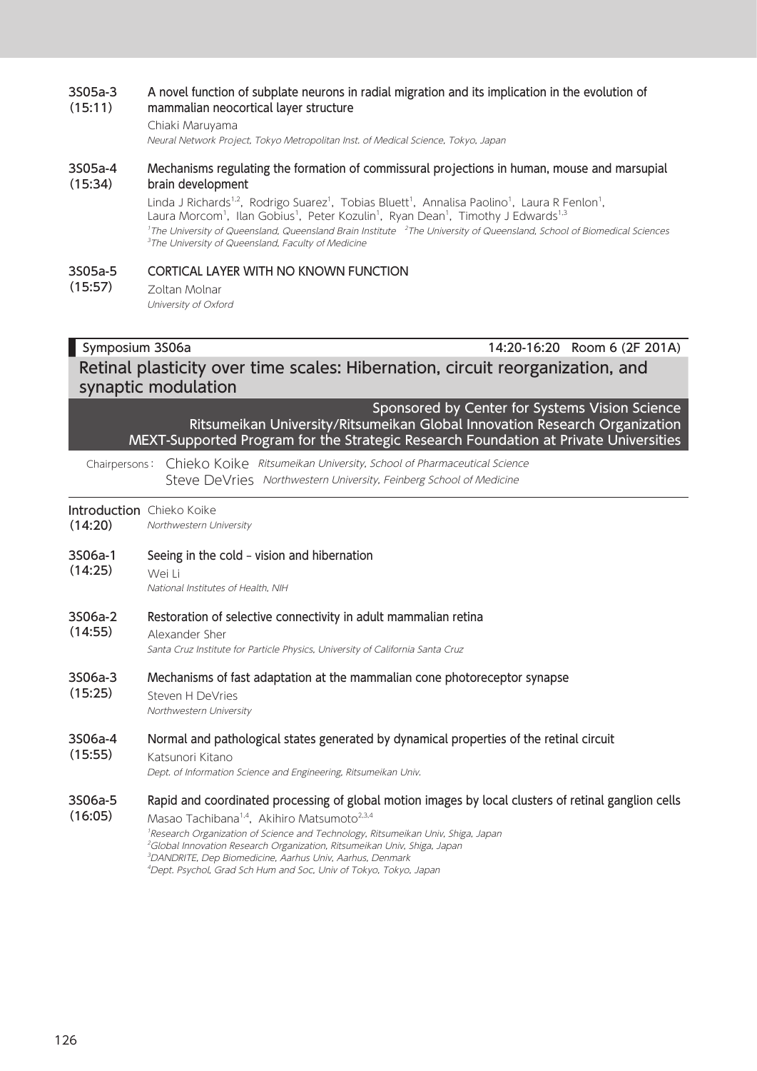#### 3S05a-3 (15:11) A novel function of subplate neurons in radial migration and its implication in the evolution of mammalian neocortical layer structure

### Chiaki Maruyama

Neural Network Project, Tokyo Metropolitan Inst. of Medical Science, Tokyo, Japan

#### 3S05a-4 (15:34) Mechanisms regulating the formation of commissural projections in human, mouse and marsupial brain development

Linda J Richards<sup>1,2</sup>, Rodrigo Suarez<sup>1</sup>, Tobias Bluett<sup>1</sup>, Annalisa Paolino<sup>1</sup>, Laura R Fenlon<sup>1</sup>, Laura Morcom<sup>1</sup>, Ilan Gobius<sup>1</sup>, Peter Kozulin<sup>1</sup>, Ryan Dean<sup>1</sup>, Timothy J Edwards<sup>1,3</sup> <sup>1</sup>The University of Queensland, Queensland Brain Institute <sup>2</sup>The University of Queensland, School of Biomedical Sciences <sup>3</sup>The University of Queensland, Faculty of Medicine

#### 3S05a-5 (15:57) CORTICAL LAYER WITH NO KNOWN FUNCTION

Zoltan Molnar University of Oxford

### Symposium 3S06a 14:20-16:20 Room 6 (2F 201A) Retinal plasticity over time scales: Hibernation, circuit reorganization, and synaptic modulation

Sponsored by Center for Systems Vision Science Ritsumeikan University/Ritsumeikan Global Innovation Research Organization MEXT-Supported Program for the Strategic Research Foundation at Private Universities

Chairpersons: Chieko Koike Ritsumeikan University, School of Pharmaceutical Science Steve DeVries Northwestern University, Feinberg School of Medicine

**Introduction** Chieko Koike (14:20) Northwestern University

- 3S06a-1 Seeing in the cold – vision and hibernation
- (14:25) Wei Li

National Institutes of Health, NIH

#### 3S06a-2 Restoration of selective connectivity in adult mammalian retina

(14:55) Alexander Sher

Santa Cruz Institute for Particle Physics, University of California Santa Cruz

- 3S06a-3 Mechanisms of fast adaptation at the mammalian cone photoreceptor synapse
- (15:25) Steven H DeVries Northwestern University

#### 3S06a-4 Normal and pathological states generated by dynamical properties of the retinal circuit

#### (15:55) Katsunori Kitano

Dept. of Information Science and Engineering, Ritsumeikan Univ.

#### 3S06a-5 Rapid and coordinated processing of global motion images by local clusters of retinal ganglion cells

(16:05) Masao Tachibana<sup>1,4</sup>, Akihiro Matsumoto<sup>2,3,4</sup> <sup>1</sup>Research Organization of Science and Technology, Ritsumeikan Univ, Shiga, Japan <sup>2</sup>Global Innovation Research Organization, Ritsumeikan Univ, Shiga, Japan 3 DANDRITE, Dep Biomedicine, Aarhus Univ, Aarhus, Denmark 4 Dept. Psychol, Grad Sch Hum and Soc, Univ of Tokyo, Tokyo, Japan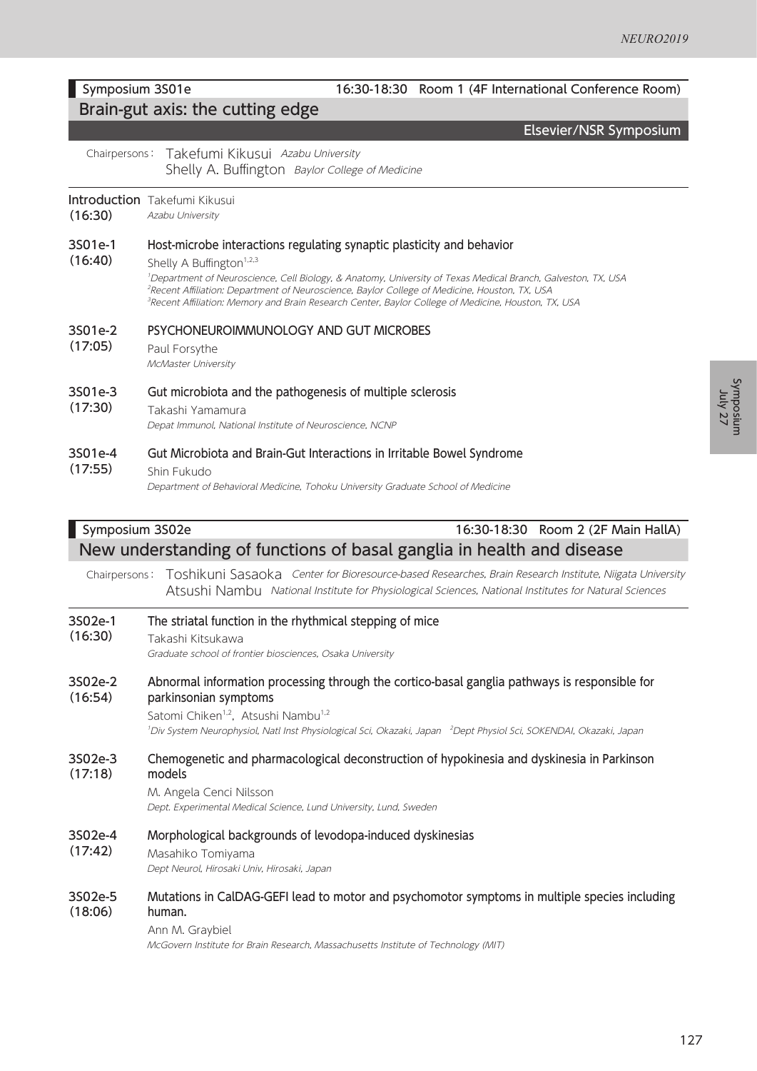Symposium anisodurk<br>July 27

### Symposium 3S01e 16:30-18:30 Room 1 (4F International Conference Room) Brain-gut axis: the cutting edge Elsevier/NSR Symposium Chairpersons: Takefumi Kikusui Azabu University Shelly A. Buffington Baylor College of Medicine Introduction Takefumi Kikusui (16:30) Azabu University (16:40) Host-microbe interactions regulating synaptic plasticity and behavior Shelly A Buffington<sup>1,2,3</sup> 1 Department of Neuroscience, Cell Biology, & Anatomy, University of Texas Medical Branch, Galveston, TX, USA 2 Recent Affiliation: Department of Neuroscience, Baylor College of Medicine, Houston, TX, USA <sup>3</sup>Recent Affiliation: Memory and Brain Research Center, Baylor College of Medicine, Houston, TX, USA 3S01e-2 (17:05) PSYCHONEUROIMMUNOLOGY AND GUT MICROBES Paul Forsythe McMaster University (17:30) Gut microbiota and the pathogenesis of multiple sclerosis Takashi Yamamura Depat Immunol, National Institute of Neuroscience, NCNP 3S01e-4 (17:55) Gut Microbiota and Brain-Gut Interactions in Irritable Bowel Syndrome Shin Fukudo Department of Behavioral Medicine, Tohoku University Graduate School of Medicine

### Symposium 3S02e 16:30-18:30 Room 2 (2F Main HallA) New understanding of functions of basal ganglia in health and disease

Chairpersons: Toshikuni Sasaoka Center for Bioresource-based Researches, Brain Research Institute, Niigata University Atsushi Nambu National Institute for Physiological Sciences, National Institutes for Natural Sciences

| 3S02e-1<br>(16:30) | The striatal function in the rhythmical stepping of mice<br>Takashi Kitsukawa<br>Graduate school of frontier biosciences, Osaka University                                                                                                                                                                                         |
|--------------------|------------------------------------------------------------------------------------------------------------------------------------------------------------------------------------------------------------------------------------------------------------------------------------------------------------------------------------|
| 3S02e-2<br>(16:54) | Abnormal information processing through the cortico-basal ganglia pathways is responsible for<br>parkinsonian symptoms<br>Satomi Chiken <sup>1,2</sup> , Atsushi Nambu <sup>1,2</sup><br><sup>1</sup> Div System Neurophysiol, Natl Inst Physiological Sci, Okazaki, Japan <sup>2</sup> Dept Physiol Sci, SOKENDAI, Okazaki, Japan |
| 3S02e-3<br>(17:18) | Chemogenetic and pharmacological deconstruction of hypokinesia and dyskinesia in Parkinson<br>models<br>M. Angela Cenci Nilsson<br>Dept. Experimental Medical Science, Lund University, Lund, Sweden                                                                                                                               |
| 3S02e-4<br>(17:42) | Morphological backgrounds of levodopa-induced dyskinesias<br>Masahiko Tomiyama<br>Dept Neurol, Hirosaki Univ, Hirosaki, Japan                                                                                                                                                                                                      |
| 3S02e-5<br>(18:06) | Mutations in CalDAG-GEFI lead to motor and psychomotor symptoms in multiple species including<br>human.<br>Ann M. Graybiel<br>McGovern Institute for Brain Research, Massachusetts Institute of Technology (MIT)                                                                                                                   |

### 3S01e-1

### 3S01e-3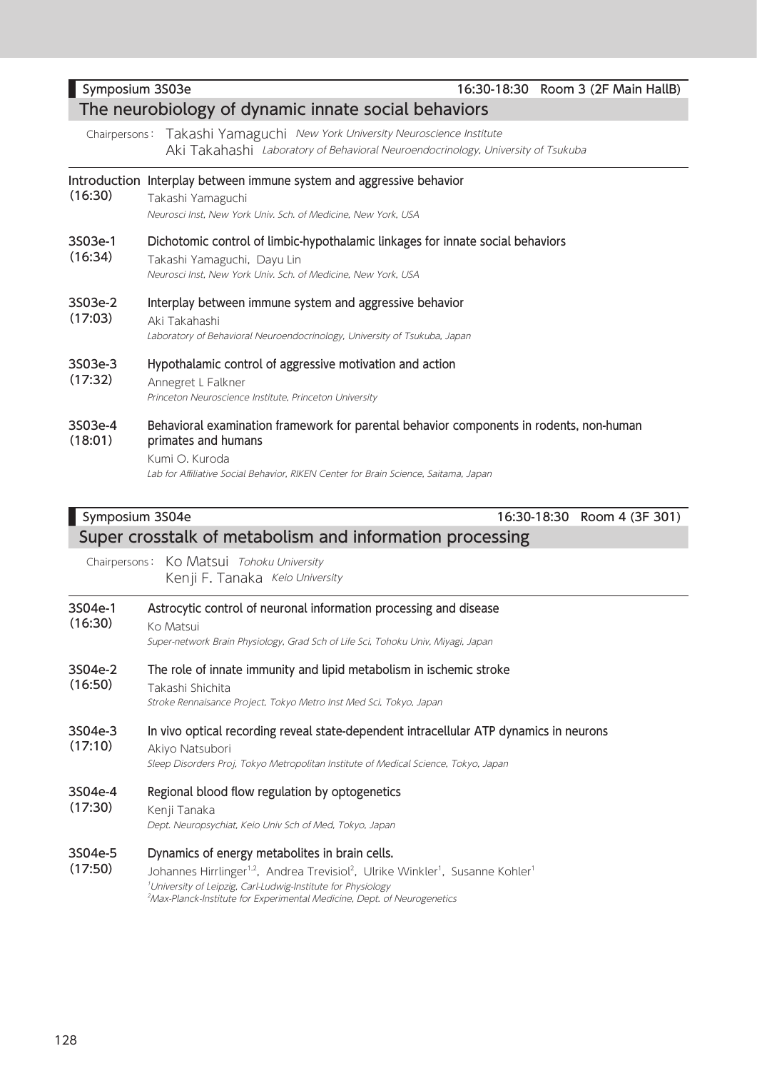### Chairpersons: Takashi Yamaguchi New York University Neuroscience Institute Aki Takahashi Laboratory of Behavioral Neuroendocrinology, University of Tsukuba Introduction Interplay between immune system and aggressive behavior (16:30) Takashi Yamaguchi Neurosci Inst, New York Univ. Sch. of Medicine, New York, USA 3S03e-1 (16:34) Dichotomic control of limbic-hypothalamic linkages for innate social behaviors Takashi Yamaguchi, Dayu Lin Neurosci Inst, New York Univ. Sch. of Medicine, New York, USA 3S03e-2 (17:03) Interplay between immune system and aggressive behavior Aki Takahashi Laboratory of Behavioral Neuroendocrinology, University of Tsukuba, Japan 3S03e-3 (17:32) Hypothalamic control of aggressive motivation and action Annegret L Falkner Princeton Neuroscience Institute, Princeton University 3S03e-4 (18:01) Behavioral examination framework for parental behavior components in rodents, non-human primates and humans Kumi O. Kuroda Lab for Affiliative Social Behavior, RIKEN Center for Brain Science, Saitama, Japan Symposium 3S04e 16:30-18:30 Room 4 (3F 301) Super crosstalk of metabolism and information processing

Chairpersons: Ko Matsui Tohoku University Kenji F. Tanaka Keio University

| 3S04e-1<br>(16:30) | Astrocytic control of neuronal information processing and disease<br>Ko Matsui<br>Super-network Brain Physiology, Grad Sch of Life Sci, Tohoku Univ, Miyagi, Japan                                                                                                                                                                                  |
|--------------------|-----------------------------------------------------------------------------------------------------------------------------------------------------------------------------------------------------------------------------------------------------------------------------------------------------------------------------------------------------|
| 3S04e-2<br>(16:50) | The role of innate immunity and lipid metabolism in ischemic stroke<br>Takashi Shichita<br>Stroke Rennaisance Project, Tokyo Metro Inst Med Sci, Tokyo, Japan                                                                                                                                                                                       |
| 3S04e-3<br>(17:10) | In vivo optical recording reveal state-dependent intracellular ATP dynamics in neurons<br>Akiyo Natsubori<br>Sleep Disorders Proj, Tokyo Metropolitan Institute of Medical Science, Tokyo, Japan                                                                                                                                                    |
| 3S04e-4<br>(17:30) | Regional blood flow regulation by optogenetics<br>Kenji Tanaka<br>Dept. Neuropsychiat, Keio Univ Sch of Med, Tokyo, Japan                                                                                                                                                                                                                           |
| 3S04e-5<br>(17:50) | Dynamics of energy metabolites in brain cells.<br>Johannes Hirrlinger <sup>1,2</sup> , Andrea Trevisiol <sup>2</sup> , Ulrike Winkler <sup>1</sup> , Susanne Kohler <sup>1</sup><br><sup>1</sup> University of Leipzig, Carl-Ludwig-Institute for Physiology<br><sup>2</sup> Max-Planck-Institute for Experimental Medicine, Dept. of Neurogenetics |

### Symposium 3S03e 16:30-18:30 Room 3 (2F Main HallB)

### The neurobiology of dynamic innate social behaviors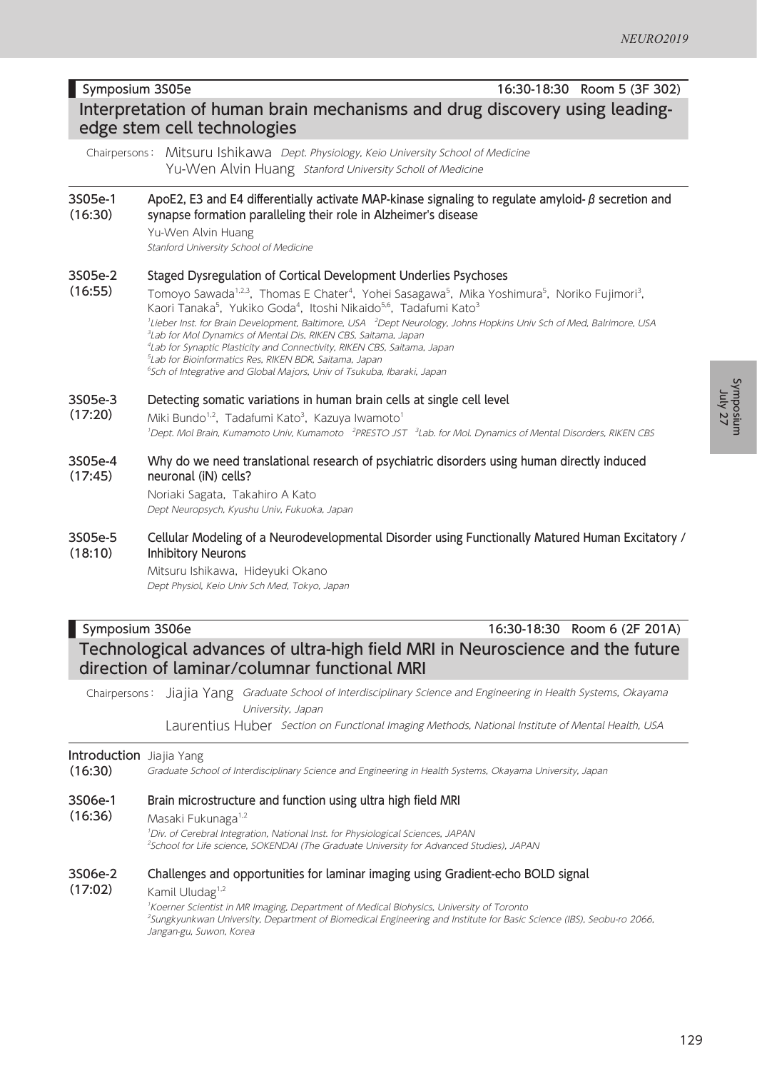## Interpretation of human brain mechanisms and drug discovery using leadingedge stem cell technologies

Chairpersons: Mitsuru Ishikawa Dept. Physiology, Keio University School of Medicine Yu-Wen Alvin Huang Stanford University Scholl of Medicine

#### 3S05e-1 (16:30) ApoE2, E3 and E4 differentially activate MAP-kinase signaling to regulate amyloid- $β$  secretion and synapse formation paralleling their role in Alzheimer's disease

Yu-Wen Alvin Huang Stanford University School of Medicine

#### 3S05e-2 Staged Dysregulation of Cortical Development Underlies Psychoses

(16:55) Tomoyo Sawada<sup>1,2,3</sup>, Thomas E Chater<sup>4</sup>, Yohei Sasagawa<sup>5</sup>, Mika Yoshimura<sup>5</sup>, Noriko Fujimori<sup>3</sup>, Kaori Tanaka<sup>5</sup>, Yukiko Goda<sup>4</sup>, Itoshi Nikaido<sup>5,6</sup>, Tadafumi Kato<sup>3</sup> <sup>1</sup>Lieber Inst. for Brain Development, Baltimore, USA <sup>2</sup>Dept Neurology, Johns Hopkins Univ Sch of Med, Balrimore, USA 3 Lab for Mol Dynamics of Mental Dis, RIKEN CBS, Saitama, Japan 4 Lab for Synaptic Plasticity and Connectivity, RIKEN CBS, Saitama, Japan 5 Lab for Bioinformatics Res, RIKEN BDR, Saitama, Japan 6 Sch of Integrative and Global Majors, Univ of Tsukuba, Ibaraki, Japan

### 3S05e-3 Detecting somatic variations in human brain cells at single cell level

(17:20) Miki Bundo<sup>1,2</sup>, Tadafumi Kato<sup>3</sup>, Kazuya Iwamoto<sup>1</sup> <sup>1</sup>Dept. Mol Brain, Kumamoto Univ, Kumamoto <sup>2</sup>PRESTO JST <sup>3</sup>Lab. for Mol. Dynamics of Mental Disorders, RIKEN CBS

#### 3S05e-4 (17:45) Why do we need translational research of psychiatric disorders using human directly induced neuronal (iN) cells?

Noriaki Sagata, Takahiro A Kato Dept Neuropsych, Kyushu Univ, Fukuoka, Japan

#### 3S05e-5 (18:10) Cellular Modeling of a Neurodevelopmental Disorder using Functionally Matured Human Excitatory / Inhibitory Neurons

Mitsuru Ishikawa, Hideyuki Okano Dept Physiol, Keio Univ Sch Med, Tokyo, Japan

### Symposium 3S06e 16:30-18:30 Room 6 (2F 201A) Technological advances of ultra-high field MRI in Neuroscience and the future direction of laminar/columnar functional MRI

Chairpersons: Jiajia Yang Graduate School of Interdisciplinary Science and Engineering in Health Systems, Okayama University, Japan

Laurentius Huber Section on Functional Imaging Methods, National Institute of Mental Health, USA

### Introduction Jiajia Yang

(16:30) Graduate School of Interdisciplinary Science and Engineering in Health Systems, Okayama University, Japan

#### 3S06e-1 Brain microstructure and function using ultra high field MRI

(16:36) Masaki Fukunaga<sup>1,2</sup>

> 1 Div. of Cerebral Integration, National Inst. for Physiological Sciences, JAPAN 2 School for Life science, SOKENDAI (The Graduate University for Advanced Studies), JAPAN

#### 3S06e-2 Challenges and opportunities for laminar imaging using Gradient-echo BOLD signal

(17:02) Kamil Uludag<sup>1,2</sup>

1 Koerner Scientist in MR Imaging, Department of Medical Biohysics, University of Toronto 2 Sungkyunkwan University, Department of Biomedical Engineering and Institute for Basic Science (IBS), Seobu-ro 2066, Jangan-gu, Suwon, Korea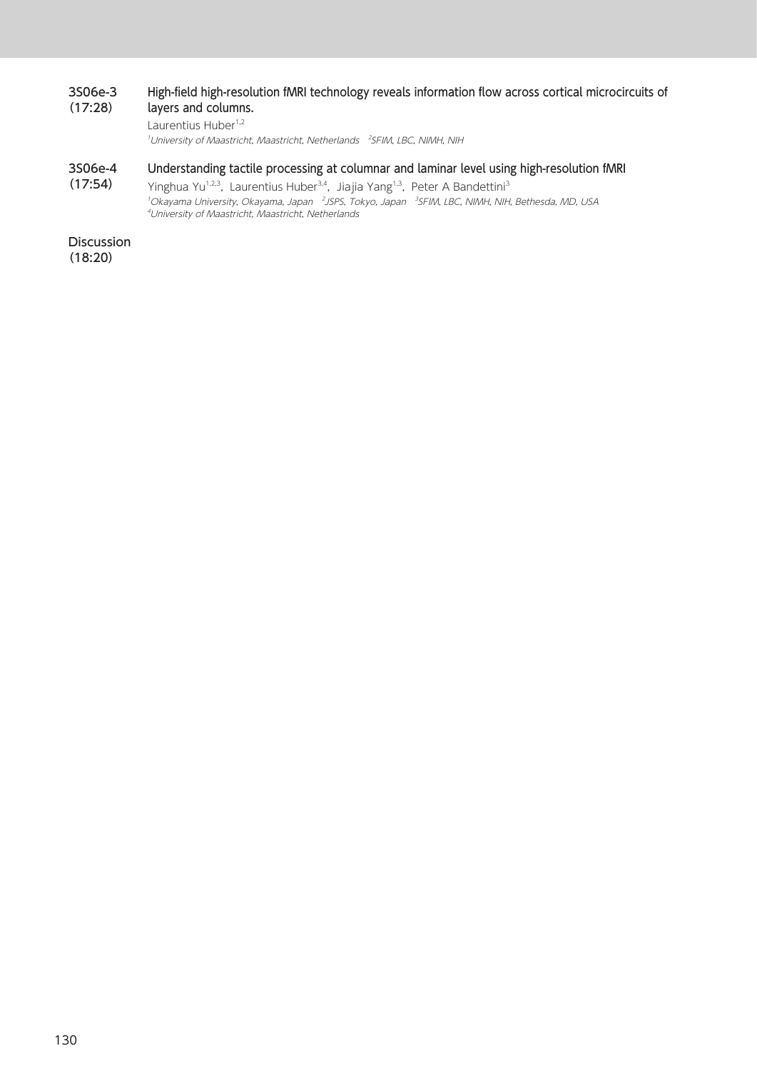#### 3S06e-3 (17:28) High-field high-resolution fMRI technology reveals information flow across cortical microcircuits of layers and columns.

Laurentius Huber<sup>1,2</sup>

<sup>1</sup>University of Maastricht, Maastricht, Netherlands <sup>2</sup>SFIM, LBC, NIMH, NIH

#### 3S06e-4 Understanding tactile processing at columnar and laminar level using high-resolution fMRI

(17:54) Yinghua Yu<sup>1,2,3</sup>, Laurentius Huber<sup>3,4</sup>, Jiajia Yang<sup>1,3</sup>, Peter A Bandettini<sup>3</sup><br>'Okayama University, Okayama, Japan *<sup>2</sup>JSPS, Tokyo, Japan <sup>3</sup>SFIM, LBC, NIMH, NIH, Bethesda, MD, USA*<br>"University of Maastricht, Maastrich

**Discussion** (18:20)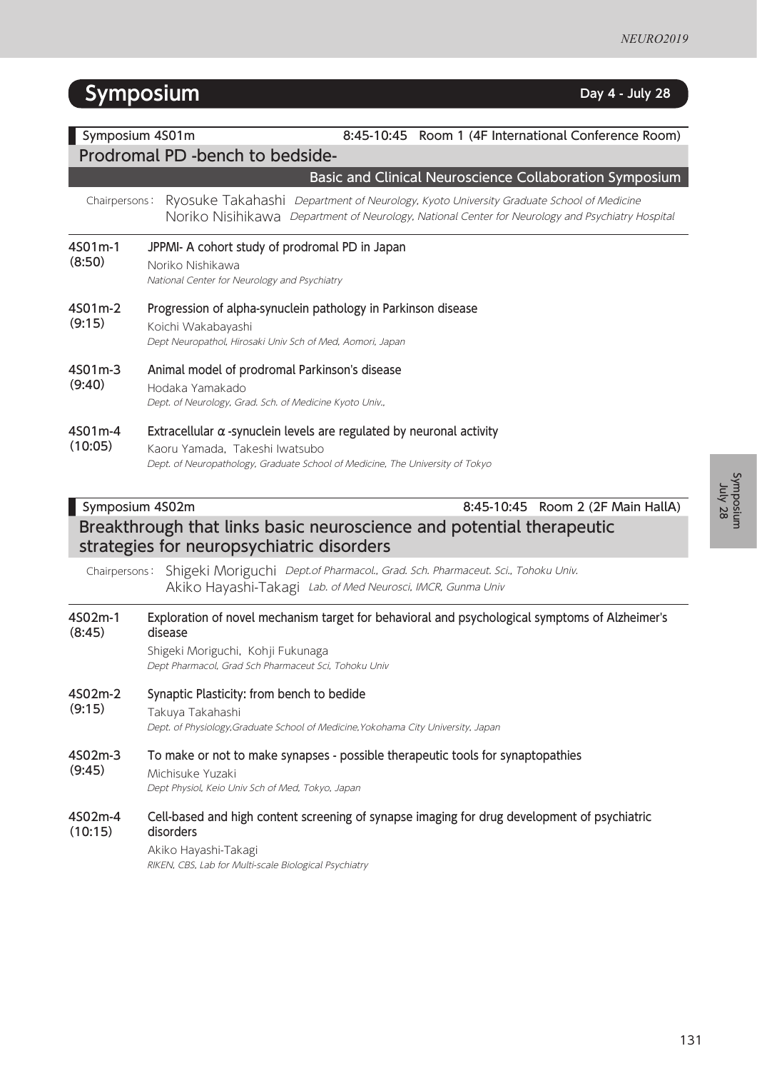# **Symposium** Day 4 - July 28

| Symposium 4S01m<br>8:45-10:45 Room 1 (4F International Conference Room)<br>Prodromal PD -bench to bedside-                                                                |                                                                                                                                                                                                                                                        |  |
|---------------------------------------------------------------------------------------------------------------------------------------------------------------------------|--------------------------------------------------------------------------------------------------------------------------------------------------------------------------------------------------------------------------------------------------------|--|
| Chairpersons:                                                                                                                                                             | Basic and Clinical Neuroscience Collaboration Symposium<br>Ryosuke Takahashi Department of Neurology, Kyoto University Graduate School of Medicine<br>Noriko Nisihikawa Department of Neurology, National Center for Neurology and Psychiatry Hospital |  |
| 4S01m-1<br>(8:50)                                                                                                                                                         | JPPMI- A cohort study of prodromal PD in Japan<br>Noriko Nishikawa<br>National Center for Neurology and Psychiatry                                                                                                                                     |  |
| 4S01m-2<br>(9:15)                                                                                                                                                         | Progression of alpha-synuclein pathology in Parkinson disease<br>Koichi Wakabayashi<br>Dept Neuropathol, Hirosaki Univ Sch of Med, Aomori, Japan                                                                                                       |  |
| 4S01m-3<br>(9:40)                                                                                                                                                         | Animal model of prodromal Parkinson's disease<br>Hodaka Yamakado<br>Dept. of Neurology, Grad. Sch. of Medicine Kyoto Univ.,                                                                                                                            |  |
| 4S01m-4<br>(10:05)                                                                                                                                                        | Extracellular $\alpha$ -synuclein levels are regulated by neuronal activity<br>Kaoru Yamada, Takeshi Iwatsubo<br>Dept. of Neuropathology, Graduate School of Medicine, The University of Tokyo                                                         |  |
| Symposium 4S02m<br>8:45-10:45 Room 2 (2F Main HallA)<br>Breakthrough that links basic neuroscience and potential therapeutic<br>strategies for neuropsychiatric disorders |                                                                                                                                                                                                                                                        |  |
| Chairpersons:                                                                                                                                                             | Shigeki Moriguchi Dept.of Pharmacol., Grad. Sch. Pharmaceut. Sci., Tohoku Univ.<br>Akiko Hayashi-Takagi Lab. of Med Neurosci, IMCR, Gunma Univ                                                                                                         |  |
| 4S02m-1<br>(8:45)                                                                                                                                                         | Exploration of novel mechanism target for behavioral and psychological symptoms of Alzheimer's<br>disease<br>Shigeki Moriguchi, Kohji Fukunaga<br>Dept Pharmacol, Grad Sch Pharmaceut Sci, Tohoku Univ                                                 |  |
| 4S02m-2<br>(9:15)                                                                                                                                                         | Synaptic Plasticity: from bench to bedide<br>Takuya Takahashi<br>Dept. of Physiology, Graduate School of Medicine, Yokohama City University, Japan                                                                                                     |  |
| 4S02m-3<br>(9:45)                                                                                                                                                         | To make or not to make synapses - possible therapeutic tools for synaptopathies<br>Michisuke Yuzaki<br>Dept Physiol, Keio Univ Sch of Med, Tokyo, Japan                                                                                                |  |
| 4S02m-4<br>(10:15)                                                                                                                                                        | Cell-based and high content screening of synapse imaging for drug development of psychiatric<br>disorders<br>Akiko Hayashi-Takagi<br>RIKEN, CBS, Lab for Multi-scale Biological Psychiatry                                                             |  |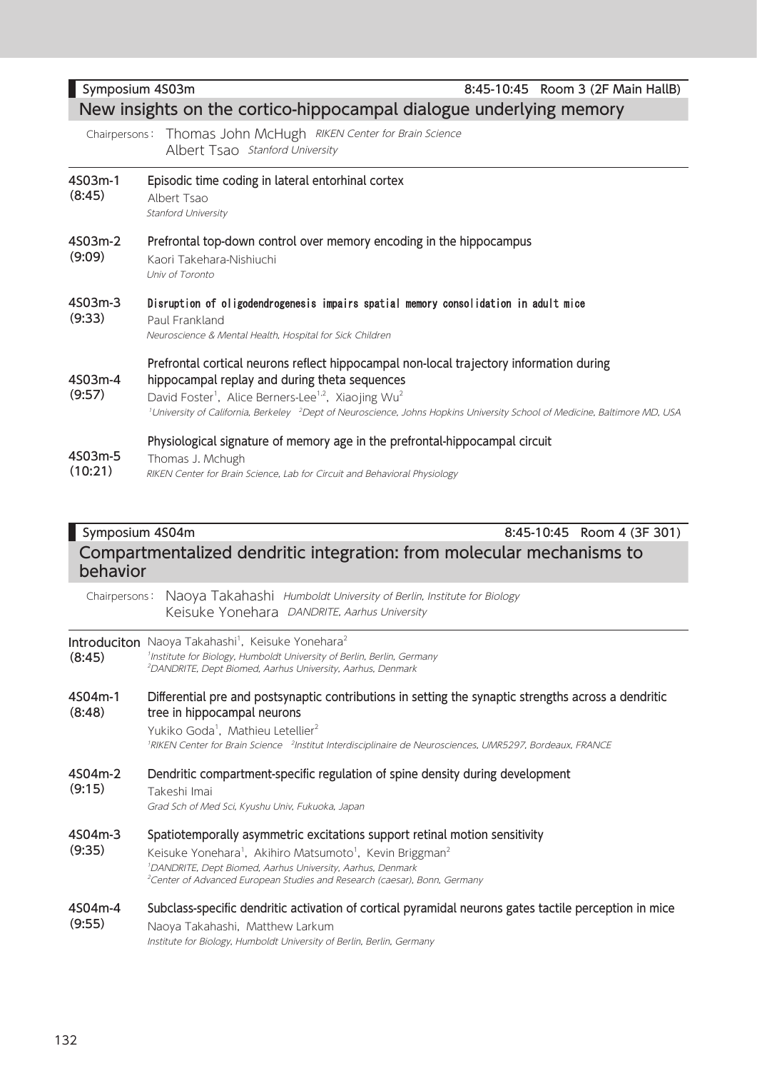| Symposium 4S03m                                                                   |                                                                                                                                                                                                                                                                                                                                                                                          | 8:45-10:45 Room 3 (2F Main HallB) |  |  |
|-----------------------------------------------------------------------------------|------------------------------------------------------------------------------------------------------------------------------------------------------------------------------------------------------------------------------------------------------------------------------------------------------------------------------------------------------------------------------------------|-----------------------------------|--|--|
| New insights on the cortico-hippocampal dialogue underlying memory                |                                                                                                                                                                                                                                                                                                                                                                                          |                                   |  |  |
| Chairpersons:                                                                     | Thomas John McHugh RIKEN Center for Brain Science<br>Albert Tsao Stanford University                                                                                                                                                                                                                                                                                                     |                                   |  |  |
| 4S03m-1<br>(8:45)                                                                 | Episodic time coding in lateral entorhinal cortex<br>Albert Tsao<br><b>Stanford University</b>                                                                                                                                                                                                                                                                                           |                                   |  |  |
| 4S03m-2<br>(9:09)                                                                 | Prefrontal top-down control over memory encoding in the hippocampus<br>Kaori Takehara-Nishiuchi<br>Univ of Toronto                                                                                                                                                                                                                                                                       |                                   |  |  |
| 4S03m-3<br>(9:33)                                                                 | Disruption of oligodendrogenesis impairs spatial memory consolidation in adult mice<br>Paul Frankland<br>Neuroscience & Mental Health, Hospital for Sick Children                                                                                                                                                                                                                        |                                   |  |  |
| 4S03m-4<br>(9:57)                                                                 | Prefrontal cortical neurons reflect hippocampal non-local trajectory information during<br>hippocampal replay and during theta sequences<br>David Foster <sup>1</sup> , Alice Berners-Lee <sup>1,2</sup> , Xiaojing Wu <sup>2</sup><br><sup>1</sup> University of California, Berkeley <sup>2</sup> Dept of Neuroscience, Johns Hopkins University School of Medicine, Baltimore MD, USA |                                   |  |  |
| 4S03m-5<br>(10:21)                                                                | Physiological signature of memory age in the prefrontal-hippocampal circuit<br>Thomas J. Mchugh<br>RIKEN Center for Brain Science, Lab for Circuit and Behavioral Physiology                                                                                                                                                                                                             |                                   |  |  |
| Symposium 4S04m                                                                   |                                                                                                                                                                                                                                                                                                                                                                                          | 8:45-10:45 Room 4 (3F 301)        |  |  |
| Compartmentalized dendritic integration: from molecular mechanisms to<br>behavior |                                                                                                                                                                                                                                                                                                                                                                                          |                                   |  |  |
| Chairpersons:                                                                     | Naoya Takahashi Humboldt University of Berlin, Institute for Biology<br>Keisuke Yonehara DANDRITE, Aarhus University                                                                                                                                                                                                                                                                     |                                   |  |  |
| (8:45)                                                                            | Introduciton Naoya Takahashi <sup>1</sup> , Keisuke Yonehara <sup>2</sup><br><sup>1</sup> Institute for Biology, Humboldt University of Berlin, Berlin, Germany<br><sup>2</sup> DANDRITE, Dept Biomed, Aarhus University, Aarhus, Denmark                                                                                                                                                |                                   |  |  |

4S04m-1 (8:48) Differential pre and postsynaptic contributions in setting the synaptic strengths across a dendritic tree in hippocampal neurons Yukiko Goda<sup>1</sup>, Mathieu Letellier<sup>2</sup>

RIKEN Center for Brain Science <sup>2</sup>Institut Interdisciplinaire de Neurosciences, UMR5297, Bordeaux, FRANCE

4S04m-2 Dendritic compartment-specific regulation of spine density during development

(9:15) Takeshi Imai

Grad Sch of Med Sci, Kyushu Univ, Fukuoka, Japan

- 4S04m-3 Spatiotemporally asymmetric excitations support retinal motion sensitivity
- (9:35) Keisuke Yonehara<sup>1</sup>, Akihiro Matsumoto<sup>1</sup>, Kevin Briggman<sup>2</sup> 1 DANDRITE, Dept Biomed, Aarhus University, Aarhus, Denmark <sup>2</sup>Center of Advanced European Studies and Research (caesar), Bonn, Germany
- 4S04m-4 (9:55) Subclass-specific dendritic activation of cortical pyramidal neurons gates tactile perception in mice Naoya Takahashi, Matthew Larkum Institute for Biology, Humboldt University of Berlin, Berlin, Germany

132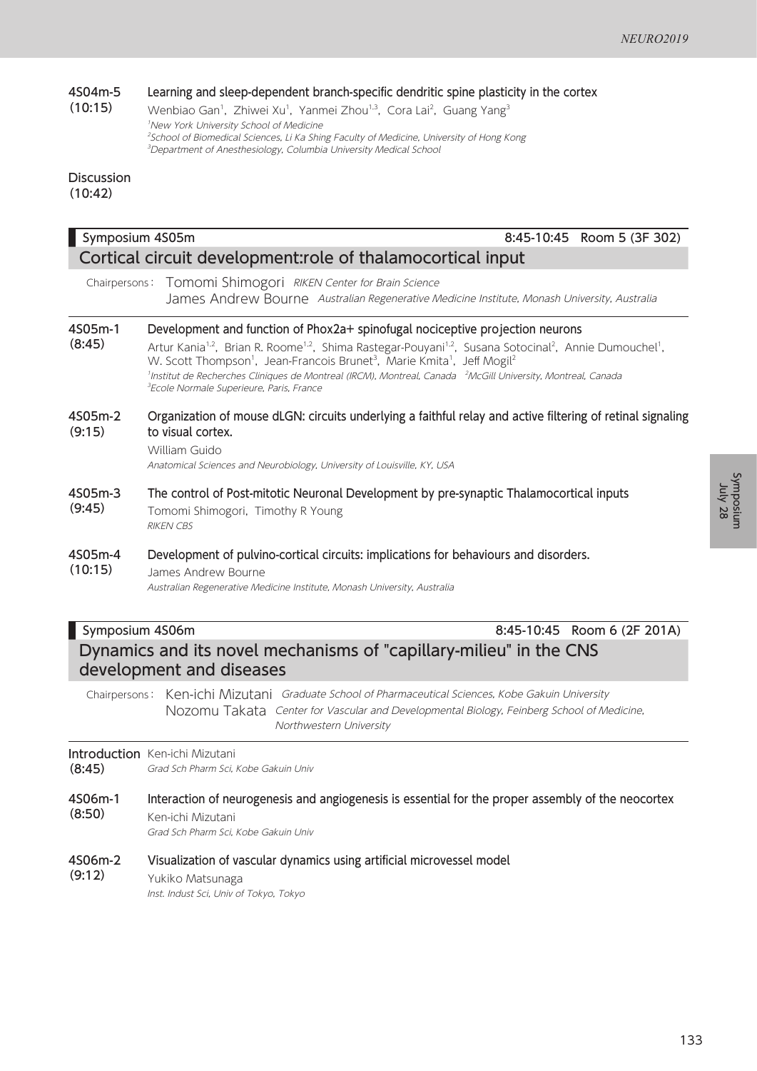#### 4S04m-5 (10:15) Learning and sleep-dependent branch-specific dendritic spine plasticity in the cortex

Wenbiao Gan<sup>1</sup>, Zhiwei Xu<sup>1</sup>, Yanmei Zhou<sup>1,3</sup>, Cora Lai<sup>2</sup>, Guang Yang<sup>3</sup> 1 New York University School of Medicine <sup>2</sup>School of Biomedical Sciences, Li Ka Shing Faculty of Medicine, University of Hong Kong 3 Department of Anesthesiology, Columbia University Medical School

### Discussion (10:42)

| Symposium 4S05m                                            | 8:45-10:45 Room 5 (3F 302)                                                                                                                                                                                                                                                                                                                                                                                                                                                                                                                                                     |  |  |  |
|------------------------------------------------------------|--------------------------------------------------------------------------------------------------------------------------------------------------------------------------------------------------------------------------------------------------------------------------------------------------------------------------------------------------------------------------------------------------------------------------------------------------------------------------------------------------------------------------------------------------------------------------------|--|--|--|
| Cortical circuit development:role of thalamocortical input |                                                                                                                                                                                                                                                                                                                                                                                                                                                                                                                                                                                |  |  |  |
| Chairpersons:                                              | Tomomi Shimogori RIKEN Center for Brain Science<br>James Andrew Bourne Australian Regenerative Medicine Institute, Monash University, Australia                                                                                                                                                                                                                                                                                                                                                                                                                                |  |  |  |
| 4S05m-1<br>(8:45)                                          | Development and function of Phox2a+ spinofugal nociceptive projection neurons<br>Artur Kania <sup>1,2</sup> , Brian R. Roome <sup>1,2</sup> , Shima Rastegar-Pouyani <sup>1,2</sup> , Susana Sotocinal <sup>2</sup> , Annie Dumouchel <sup>1</sup> ,<br>W. Scott Thompson <sup>1</sup> , Jean-Francois Brunet <sup>3</sup> , Marie Kmita <sup>1</sup> , Jeff Mogil <sup>2</sup><br><sup>1</sup> Institut de Recherches Cliniques de Montreal (IRCM), Montreal, Canada <sup>2</sup> McGill University, Montreal, Canada<br><sup>3</sup> Ecole Normale Superieure, Paris, France |  |  |  |
| 4S05m-2<br>(9:15)                                          | Organization of mouse dLGN: circuits underlying a faithful relay and active filtering of retinal signaling<br>to visual cortex.<br>William Guido<br>Anatomical Sciences and Neurobiology, University of Louisville, KY, USA                                                                                                                                                                                                                                                                                                                                                    |  |  |  |
| 4S05m-3<br>(9:45)                                          | The control of Post-mitotic Neuronal Development by pre-synaptic Thalamocortical inputs<br>Tomomi Shimogori, Timothy R Young<br><b>RIKEN CBS</b>                                                                                                                                                                                                                                                                                                                                                                                                                               |  |  |  |
| 4S05m-4<br>(10:15)                                         | Development of pulvino-cortical circuits: implications for behaviours and disorders.<br>James Andrew Bourne<br>Australian Regenerative Medicine Institute, Monash University, Australia                                                                                                                                                                                                                                                                                                                                                                                        |  |  |  |

Symposium 4S06m 8:45-10:45 Room 6 (2F 201A) Dynamics and its novel mechanisms of "capillary-milieu" in the CNS development and diseases

Chairpersons: Ken-ichi Mizutani Graduate School of Pharmaceutical Sciences, Kobe Gakuin University Nozomu Takata Center for Vascular and Developmental Biology, Feinberg School of Medicine, Northwestern University

### **Introduction** Ken-ichi Mizutani

(8:45) Grad Sch Pharm Sci, Kobe Gakuin Univ

4S06m-1 (8:50) Interaction of neurogenesis and angiogenesis is essential for the proper assembly of the neocortex Ken-ichi Mizutani

Grad Sch Pharm Sci, Kobe Gakuin Univ

- 4S06m-2 Visualization of vascular dynamics using artificial microvessel model
- (9:12) Yukiko Matsunaga

Inst. Indust Sci, Univ of Tokyo, Tokyo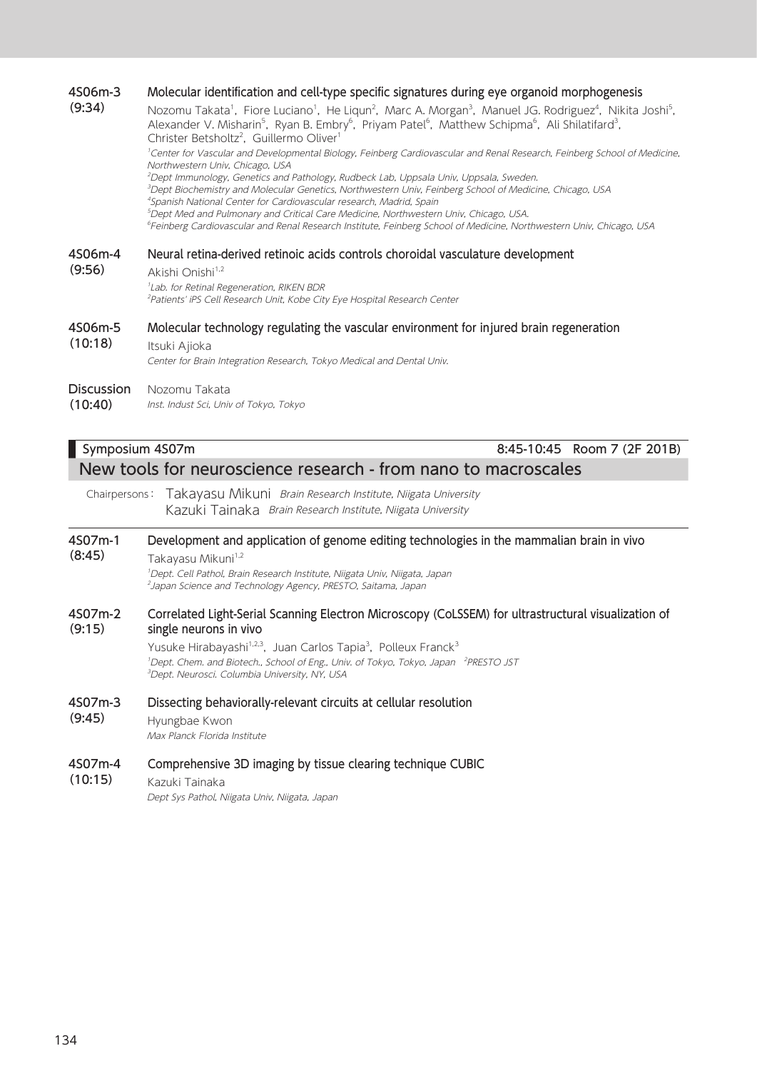### 4S06m-3 (9:34) Molecular identification and cell-type specific signatures during eye organoid morphogenesis Nozomu Takata<sup>1</sup>, Fiore Luciano<sup>1</sup>, He Liqun<sup>2</sup>, Marc A. Morgan<sup>3</sup>, Manuel JG. Rodriguez<sup>4</sup>, Nikita Joshi<sup>5</sup>, Alexander V. Misharin<sup>5</sup>, Ryan B. Embry<sup>6</sup>, Priyam Patel<sup>6</sup>, Matthew Schipma<sup>6</sup>, Ali Shilatifard<sup>3</sup>, Christer Betsholtz<sup>2</sup>, Guillermo Oliver<sup>1</sup> <sup>1</sup>Center for Vascular and Developmental Biology, Feinberg Cardiovascular and Renal Research, Feinberg School of Medicine, Northwestern Univ, Chicago, USA 2 Dept Immunology, Genetics and Pathology, Rudbeck Lab, Uppsala Univ, Uppsala, Sweden. 3 Dept Biochemistry and Molecular Genetics, Northwestern Univ, Feinberg School of Medicine, Chicago, USA 4 Spanish National Center for Cardiovascular research, Madrid, Spain 5 Dept Med and Pulmonary and Critical Care Medicine, Northwestern Univ, Chicago, USA. 6 Feinberg Cardiovascular and Renal Research Institute, Feinberg School of Medicine, Northwestern Univ, Chicago, USA 4S06m-4 (9:56) Neural retina-derived retinoic acids controls choroidal vasculature development Akishi Onishi<sup>1,2</sup> 1 Lab. for Retinal Regeneration, RIKEN BDR <sup>2</sup>Patients' iPS Cell Research Unit, Kobe City Eye Hospital Research Center 4S06m-5 (10:18) Molecular technology regulating the vascular environment for injured brain regeneration Itsuki Ajioka Center for Brain Integration Research, Tokyo Medical and Dental Univ. Discussion Nozomu Takata

(10:40) Inst. Indust Sci, Univ of Tokyo, Tokyo

# Symposium 4S07m 8:45-10:45 Room 7 (2F 201B) New tools for neuroscience research - from nano to macroscales

Chairpersons: Takayasu Mikuni Brain Research Institute, Niigata University Kazuki Tainaka Brain Research Institute, Niigata University

#### 4S07m-1 Development and application of genome editing technologies in the mammalian brain in vivo

(8:45) Takayasu Mikuni<sup>1,2</sup> 1 Dept. Cell Pathol, Brain Research Institute, Niigata Univ, Niigata, Japan 2 Japan Science and Technology Agency, PRESTO, Saitama, Japan

#### 4S07m-2 (9:15) Correlated Light-Serial Scanning Electron Microscopy (CoLSSEM) for ultrastructural visualization of single neurons in vivo

Yusuke Hirabayashi<sup>1,2,3</sup>, Juan Carlos Tapia<sup>3</sup>, Polleux Franck<sup>3</sup> <sup>1</sup>Dept. Chem. and Biotech., School of Eng., Univ. of Tokyo, Tokyo, Japan <sup>2</sup>PRESTO JST 3 Dept. Neurosci. Columbia University, NY, USA

- 4S07m-3 Dissecting behaviorally-relevant circuits at cellular resolution
- (9:45) Hyungbae Kwon Max Planck Florida Institute

#### 4S07m-4 Comprehensive 3D imaging by tissue clearing technique CUBIC

(10:15) Kazuki Tainaka

Dept Sys Pathol, Niigata Univ, Niigata, Japan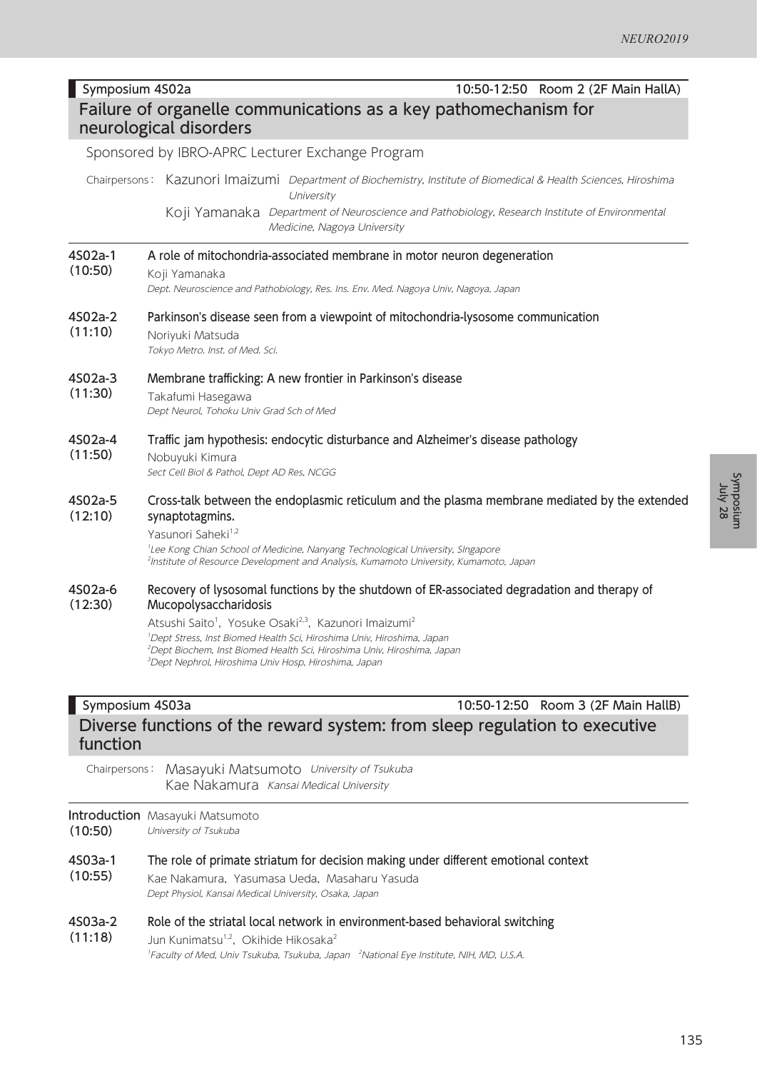|                                                                                           | 10:50-12:50 Room 2 (2F Main HallA)<br>Symposium 4S02a                                                                                                                                                                                                                                                                                                  |  |  |  |
|-------------------------------------------------------------------------------------------|--------------------------------------------------------------------------------------------------------------------------------------------------------------------------------------------------------------------------------------------------------------------------------------------------------------------------------------------------------|--|--|--|
| Failure of organelle communications as a key pathomechanism for<br>neurological disorders |                                                                                                                                                                                                                                                                                                                                                        |  |  |  |
|                                                                                           | Sponsored by IBRO-APRC Lecturer Exchange Program                                                                                                                                                                                                                                                                                                       |  |  |  |
|                                                                                           | Chairpersons: Kazunori Imaizumi Department of Biochemistry, Institute of Biomedical & Health Sciences, Hiroshima<br>University<br>Koji Yamanaka<br>Department of Neuroscience and Pathobiology, Research Institute of Environmental<br>Medicine, Nagoya University                                                                                     |  |  |  |
| 4S02a-1<br>(10:50)                                                                        | A role of mitochondria-associated membrane in motor neuron degeneration<br>Koji Yamanaka<br>Dept. Neuroscience and Pathobiology, Res. Ins. Env. Med. Nagoya Univ, Nagoya, Japan                                                                                                                                                                        |  |  |  |
| 4S02a-2<br>(11:10)                                                                        | Parkinson's disease seen from a viewpoint of mitochondria-lysosome communication<br>Noriyuki Matsuda<br>Tokyo Metro. Inst. of Med. Sci.                                                                                                                                                                                                                |  |  |  |
| 4S02a-3<br>(11:30)                                                                        | Membrane trafficking: A new frontier in Parkinson's disease<br>Takafumi Hasegawa<br>Dept Neurol, Tohoku Univ Grad Sch of Med                                                                                                                                                                                                                           |  |  |  |
| 4S02a-4<br>(11:50)                                                                        | Traffic jam hypothesis: endocytic disturbance and Alzheimer's disease pathology<br>Nobuyuki Kimura<br>Sect Cell Biol & Pathol, Dept AD Res, NCGG                                                                                                                                                                                                       |  |  |  |
| 4S02a-5<br>(12:10)                                                                        | Cross-talk between the endoplasmic reticulum and the plasma membrane mediated by the extended<br>synaptotagmins.<br>Yasunori Saheki <sup>1,2</sup><br><sup>1</sup> Lee Kong Chian School of Medicine, Nanyang Technological University, SIngapore<br><sup>2</sup> Institute of Resource Development and Analysis, Kumamoto University, Kumamoto, Japan |  |  |  |
| 4S02a-6<br>(12:30)                                                                        | Recovery of lysosomal functions by the shutdown of ER-associated degradation and therapy of<br>Mucopolysaccharidosis<br>Atsushi Saito <sup>1</sup> , Yosuke Osaki <sup>2,3</sup> , Kazunori Imaizumi <sup>2</sup>                                                                                                                                      |  |  |  |

1 Dept Stress, Inst Biomed Health Sci, Hiroshima Univ, Hiroshima, Japan 2 Dept Biochem, Inst Biomed Health Sci, Hiroshima Univ, Hiroshima, Japan 3 Dept Nephrol, Hiroshima Univ Hosp, Hiroshima, Japan

# Symposium 4S03a 10:50-12:50 Room 3 (2F Main HallB) Diverse functions of the reward system: from sleep regulation to executive function

Chairpersons: Masayuki Matsumoto University of Tsukuba Kae Nakamura Kansai Medical University

### Introduction Masayuki Matsumoto (10:50)

- University of Tsukuba
- 4S03a-1 (10:55) The role of primate striatum for decision making under different emotional context Kae Nakamura, Yasumasa Ueda, Masaharu Yasuda Dept Physiol, Kansai Medical University, Osaka, Japan
- 4S03a-2 Role of the striatal local network in environment-based behavioral switching
- (11:18) Jun Kunimatsu<sup>1,2</sup>, Okihide Hikosaka<sup>2</sup> <sup>1</sup>Faculty of Med, Univ Tsukuba, Tsukuba, Japan <sup>2</sup>National Eye Institute, NIH, MD, U.S.A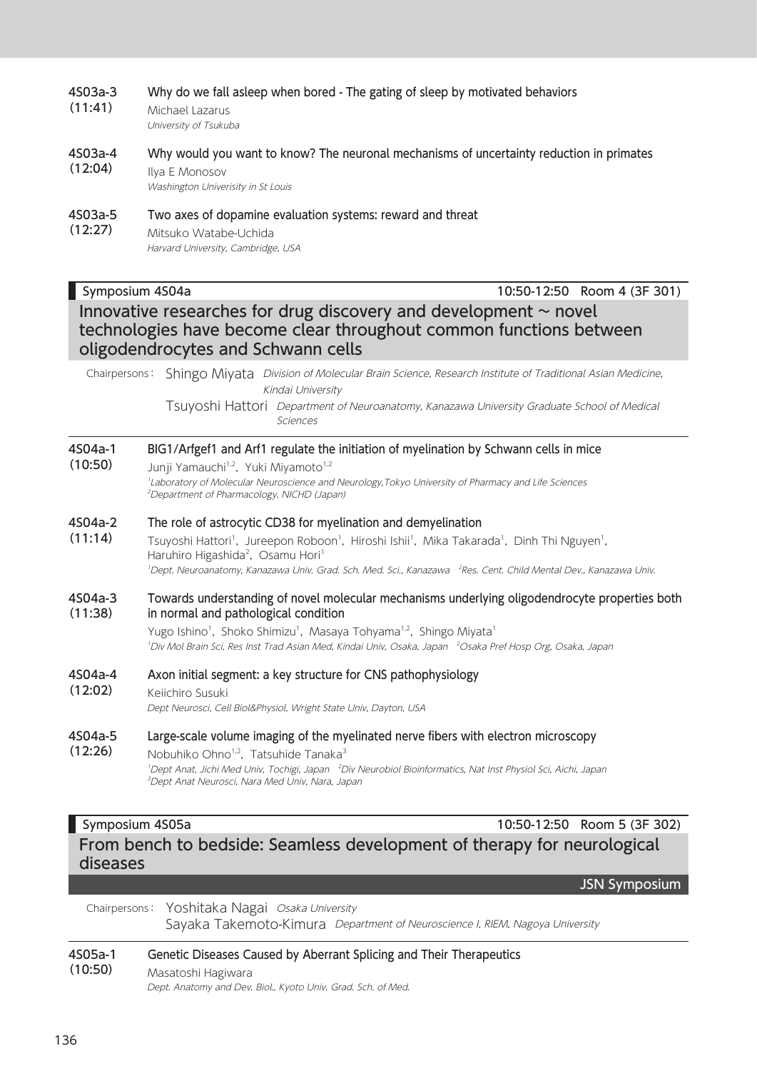|                    | Washington Univerisity in St Louis                                                                                                                                                                                                                                                                                                                               |  |
|--------------------|------------------------------------------------------------------------------------------------------------------------------------------------------------------------------------------------------------------------------------------------------------------------------------------------------------------------------------------------------------------|--|
| 4S03a-5<br>(12:27) | Two axes of dopamine evaluation systems: reward and threat<br>Mitsuko Watabe-Uchida<br>Harvard University, Cambridge, USA                                                                                                                                                                                                                                        |  |
|                    | Symposium 4S04a<br>10:50-12:50 Room 4 (3F 301)                                                                                                                                                                                                                                                                                                                   |  |
|                    | Innovative researches for drug discovery and development $\sim$ novel<br>technologies have become clear throughout common functions between<br>oligodendrocytes and Schwann cells                                                                                                                                                                                |  |
|                    | Chairpersons: Shingo Miyata Division of Molecular Brain Science, Research Institute of Traditional Asian Medicine,<br>Kindai University                                                                                                                                                                                                                          |  |
|                    | Tsuyoshi Hattori Department of Neuroanatomy, Kanazawa University Graduate School of Medical<br>Sciences                                                                                                                                                                                                                                                          |  |
| 4S04a-1<br>(10:50) | BIG1/Arfgef1 and Arf1 regulate the initiation of myelination by Schwann cells in mice<br>Junji Yamauchi <sup>1,2</sup> , Yuki Miyamoto <sup>1,2</sup>                                                                                                                                                                                                            |  |
|                    | <sup>1</sup> Laboratory of Molecular Neuroscience and Neurology, Tokyo University of Pharmacy and Life Sciences<br><sup>2</sup> Department of Pharmacology, NICHD (Japan)                                                                                                                                                                                        |  |
| 4S04a-2            | The role of astrocytic CD38 for myelination and demyelination                                                                                                                                                                                                                                                                                                    |  |
| (11:14)            | Tsuyoshi Hattori <sup>1</sup> , Jureepon Roboon <sup>1</sup> , Hiroshi Ishii <sup>1</sup> , Mika Takarada <sup>1</sup> , Dinh Thi Nguyen <sup>1</sup> ,<br>Haruhiro Higashida <sup>2</sup> , Osamu Hori <sup>1</sup><br><sup>1</sup> Dept. Neuroanatomy, Kanazawa Univ. Grad. Sch. Med. Sci., Kanazawa <sup>2</sup> Res. Cent. Child Mental Dev., Kanazawa Univ. |  |
| 4S04a-3<br>(11:38) | Towards understanding of novel molecular mechanisms underlying oligodendrocyte properties both<br>in normal and pathological condition                                                                                                                                                                                                                           |  |
|                    | Yugo Ishino <sup>1</sup> , Shoko Shimizu <sup>1</sup> , Masaya Tohyama <sup>1,2</sup> , Shingo Miyata <sup>1</sup><br><sup>1</sup> Div Mol Brain Sci, Res Inst Trad Asian Med, Kindai Univ, Osaka, Japan <sup>2</sup> Osaka Pref Hosp Org, Osaka, Japan                                                                                                          |  |
| 4S04a-4            | Axon initial segment: a key structure for CNS pathophysiology                                                                                                                                                                                                                                                                                                    |  |
| (12:02)            | Keiichiro Susuki<br>Dept Neurosci, Cell Biol&Physiol, Wright State Univ, Dayton, USA                                                                                                                                                                                                                                                                             |  |
| 4S04a-5<br>(12:26) | Large-scale volume imaging of the myelinated nerve fibers with electron microscopy<br>Nobuhiko Ohno <sup>1,2</sup> , Tatsuhide Tanaka <sup>3</sup>                                                                                                                                                                                                               |  |
|                    | <sup>1</sup> Dept Anat, Jichi Med Univ, Tochigi, Japan <sup>2</sup> Div Neurobiol Bioinformatics, Nat Inst Physiol Sci, Aichi, Japan<br><sup>3</sup> Dept Anat Neurosci, Nara Med Univ, Nara, Japan                                                                                                                                                              |  |
|                    | 10:50-12:50 Room 5 (3F 302)<br>Symposium 4S05a                                                                                                                                                                                                                                                                                                                   |  |
| diseases           | From bench to bedside: Seamless development of therapy for neurological                                                                                                                                                                                                                                                                                          |  |
|                    | <b>JSN Symposium</b>                                                                                                                                                                                                                                                                                                                                             |  |
| Chairpersons:      | Yoshitaka Nagai Osaka University<br>Sayaka Takemoto-Kimura Department of Neuroscience I, RIEM, Nagoya University                                                                                                                                                                                                                                                 |  |
| 4S05a-1            | Genetic Diseases Caused by Aberrant Splicing and Their Therapeutics                                                                                                                                                                                                                                                                                              |  |
| (10:50)            | Masatoshi Hagiwara<br>Dept. Anatomy and Dev. Biol., Kyoto Univ. Grad. Sch. of Med.                                                                                                                                                                                                                                                                               |  |

#### 4S03a-3 (11:41) Why do we fall asleep when bored - The gating of sleep by motivated behaviors Michael Lazarus

University of Tsukuba

4S03a-4 (12:04) Why would you want to know? The neuronal mechanisms of uncertainty reduction in primates Ilya E Monosov

### 4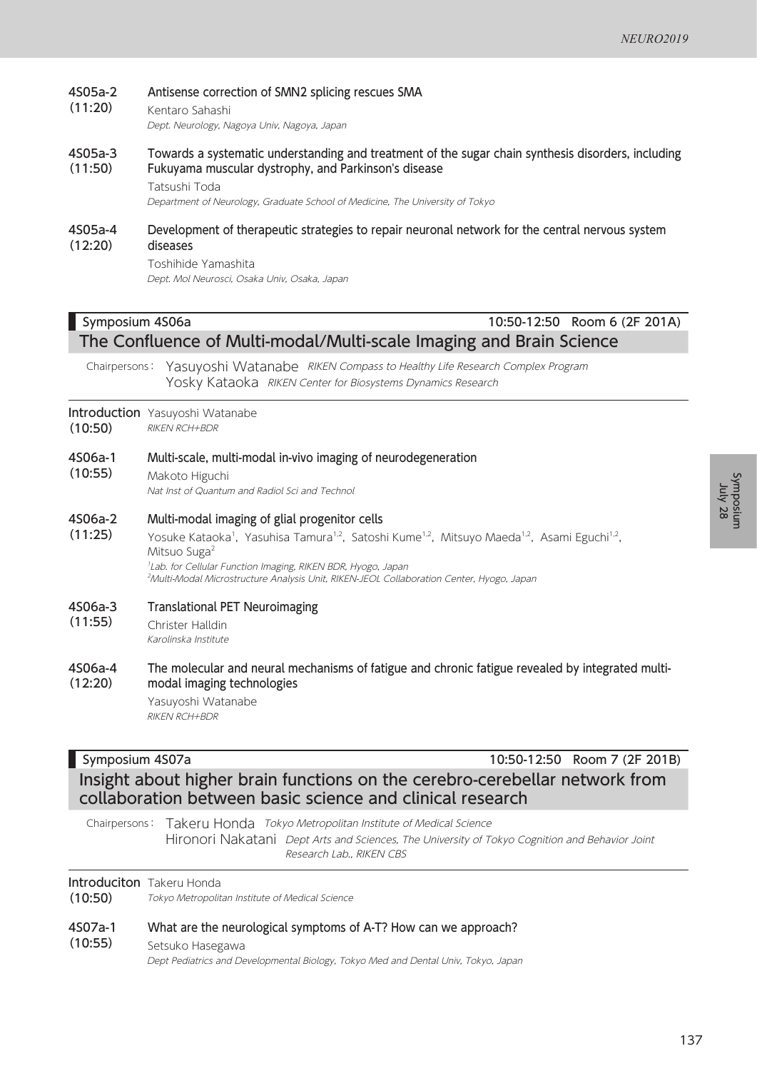#### 4S05a-2 Antisense correction of SMN2 splicing rescues SMA

(11:20) Kentaro Sahashi

Dept. Neurology, Nagoya Univ, Nagoya, Japan

4S05a-3 (11:50) Towards a systematic understanding and treatment of the sugar chain synthesis disorders, including Fukuyama muscular dystrophy, and Parkinson's disease

Tatsushi Toda

Department of Neurology, Graduate School of Medicine, The University of Tokyo

#### 4S05a-4 (12:20) Development of therapeutic strategies to repair neuronal network for the central nervous system diseases

Toshihide Yamashita Dept. Mol Neurosci, Osaka Univ, Osaka, Japan

## Symposium 4S06a 10:50-12:50 Room 6 (2F 201A) The Confluence of Multi-modal/Multi-scale Imaging and Brain Science

Chairpersons: Yasuyoshi Watanabe RIKEN Compass to Healthy Life Research Complex Program Yosky Kataoka RIKEN Center for Biosystems Dynamics Research

### **Introduction** Yasuyoshi Watanabe

- (10:50) RIKEN RCH+BDR
- 4S06a-1 Multi-scale, multi-modal in-vivo imaging of neurodegeneration
- (10:55) Makoto Higuchi Nat Inst of Quantum and Radiol Sci and Technol

#### 4S06a-2 Multi-modal imaging of glial progenitor cells

(11:25) Yosuke Kataoka<sup>1</sup>, Yasuhisa Tamura<sup>1,2</sup>, Satoshi Kume<sup>1,2</sup>, Mitsuyo Maeda<sup>1,2</sup>, Asami Eguchi<sup>1,2</sup>, Mitsuo Suga<sup>2</sup> 1 Lab. for Cellular Function Imaging, RIKEN BDR, Hyogo, Japan 2 Multi-Modal Microstructure Analysis Unit, RIKEN-JEOL Collaboration Center, Hyogo, Japan

#### 4S06a-3 Translational PET Neuroimaging

(11:55) Christer Halldin Karolinska Institute

#### 4S06a-4 (12:20) The molecular and neural mechanisms of fatigue and chronic fatigue revealed by integrated multimodal imaging technologies

Yasuyoshi Watanabe RIKEN RCH+BDR

Symposium 4S07a 10:50-12:50 Room 7 (2F 201B)

Insight about higher brain functions on the cerebro-cerebellar network from collaboration between basic science and clinical research

Chairpersons: Takeru Honda Tokyo Metropolitan Institute of Medical Science Hironori Nakatani Dept Arts and Sciences, The University of Tokyo Cognition and Behavior Joint Research Lab., RIKEN CBS

### **Introduciton** Takeru Honda

(10:50) Tokyo Metropolitan Institute of Medical Science

#### 4S07a-1 What are the neurological symptoms of A-T? How can we approach?

#### (10:55) Setsuko Hasegawa

Dept Pediatrics and Developmental Biology, Tokyo Med and Dental Univ, Tokyo, Japan